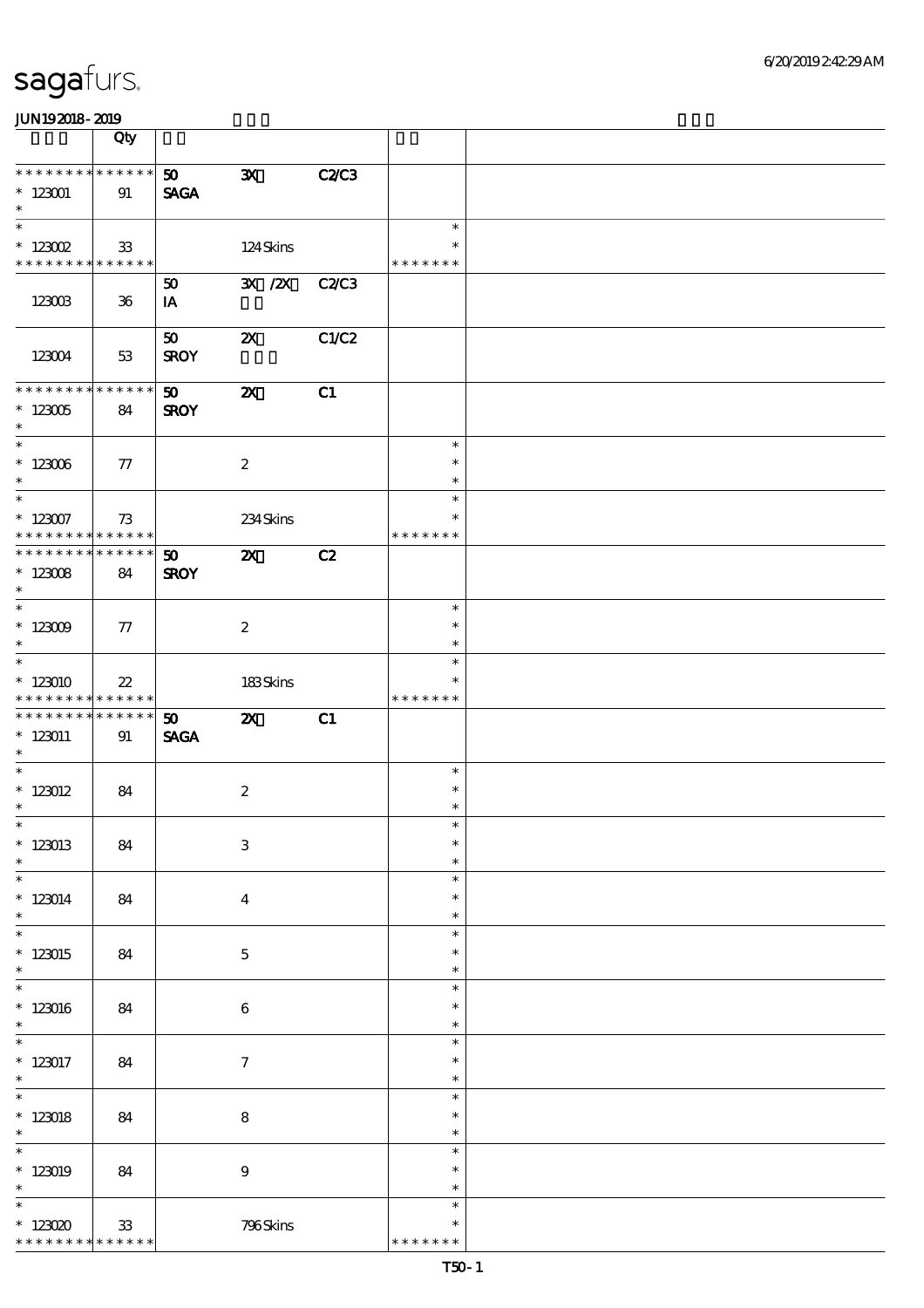|                                                                   | Qty                   |                                |                             |              |                                   |  |
|-------------------------------------------------------------------|-----------------------|--------------------------------|-----------------------------|--------------|-----------------------------------|--|
| ***************<br>$*123001$<br>$\ast$                            | 91                    | 50 <sub>o</sub><br><b>SAGA</b> | $\mathbf{x}$                | <b>C2/C3</b> |                                   |  |
| $\ast$<br>$*$ 123002<br>* * * * * * * * * * * * * *               | $\mathbf{3}$          |                                | 124Skins                    |              | $\ast$<br>$\ast$<br>* * * * * * * |  |
| 123003                                                            | $36\,$                | 50<br>IA                       | $\mathbf{X}$ / $\mathbf{X}$ | C2C3         |                                   |  |
| 123004                                                            | 53                    | 50<br><b>SROY</b>              | $\boldsymbol{\mathsf{z}}$   | C1/C2        |                                   |  |
| * * * * * * * * * * * * * *<br>$*123005$<br>$\ast$                | 84                    | 50<br><b>SROY</b>              | $\boldsymbol{\mathsf{z}}$   | C1           |                                   |  |
| $\overline{\ast}$<br>$^\ast$ 123006<br>$\ast$                     | 77                    |                                | $\boldsymbol{2}$            |              | $\ast$<br>$\ast$<br>$\ast$        |  |
| $\ast$<br>$* 123007$<br>* * * * * * * * * * * * * *               | 73                    |                                | 234Skins                    |              | $\ast$<br>$\ast$<br>* * * * * * * |  |
| * * * * * * * * * * * * * *<br>$^\ast$ 123008<br>$\ast$           | 84                    | 50 <sub>2</sub><br><b>SROY</b> | $\mathbf{z}$                | C2           |                                   |  |
| $\overline{\phantom{0}}$<br>$^*$ 123009 $\,$<br>$\ast$            | 77                    |                                | $\boldsymbol{2}$            |              | $\ast$<br>$\ast$<br>$\ast$        |  |
| $\ast$<br>$*123010$<br>* * * * * * * * <mark>* * * * * * *</mark> | $22\,$                |                                | 183Skins                    |              | $\ast$<br>$\ast$<br>* * * * * * * |  |
| * * * * * * * *<br>$*123011$<br>$\ast$                            | $* * * * * * *$<br>91 | 50<br><b>SAGA</b>              | $\boldsymbol{\mathsf{X}}$   | C1           |                                   |  |
| $\ast$<br>$*$ 123012<br>$\ast$                                    | 84                    |                                | $\boldsymbol{2}$            |              | $\ast$<br>$\ast$<br>$\ast$        |  |
| $*$<br>$*123013$<br>$\ast$                                        | 84                    |                                | $\ensuremath{\mathbf{3}}$   |              | $\ast$<br>$\ast$<br>$\ast$        |  |
| $\ast$<br>$* 123014$<br>$\ast$                                    | 84                    |                                | $\overline{\mathbf{4}}$     |              | $\ast$<br>$\ast$<br>$\ast$        |  |
| $\overline{\ast}$<br>$*123015$<br>$\ast$                          | 84                    |                                | $\mathbf 5$                 |              | $\ast$<br>$\ast$<br>$\ast$        |  |
| $\ast$<br>$*123016$<br>$\ast$                                     | 84                    |                                | $\,6\,$                     |              | $\ast$<br>$\ast$<br>$\ast$        |  |
| $\overline{\phantom{0}}$<br>$*$ 123017<br>$\ast$                  | 84                    |                                | $\boldsymbol{\tau}$         |              | $\ast$<br>$\ast$<br>$\ast$        |  |
| $\overline{\ast}$<br>$*$ 123018<br>$\ast$                         | 84                    |                                | $\bf 8$                     |              | $\ast$<br>$\ast$<br>$\ast$        |  |
| $\ast$<br>$*123019$<br>$\ast$                                     | 84                    |                                | $\boldsymbol{9}$            |              | $\ast$<br>$\ast$<br>$\ast$        |  |
| $\ast$<br>$*123020$<br>* * * * * * * *                            | 33<br>* * * * * *     |                                | 796Skins                    |              | $\ast$<br>$\ast$<br>* * * * * * * |  |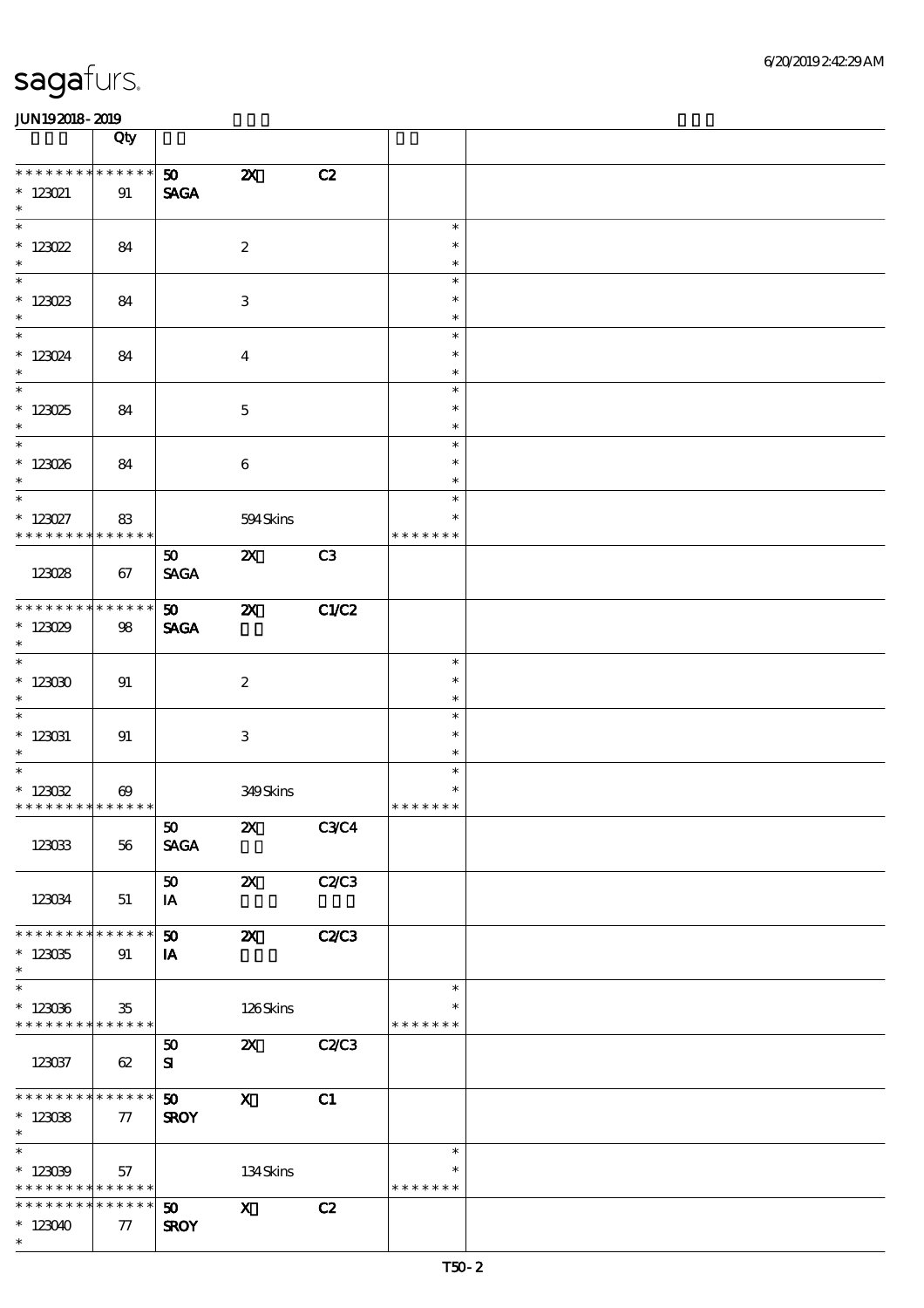|                                                                       | Qty                   |                                            |                           |              |                                   |  |
|-----------------------------------------------------------------------|-----------------------|--------------------------------------------|---------------------------|--------------|-----------------------------------|--|
| * * * * * * * *<br>$* 123021$<br>$\ast$                               | $******$<br>91        | 50 <sub>2</sub><br><b>SAGA</b>             | $\boldsymbol{\mathsf{z}}$ | C2           |                                   |  |
| $\overline{\ast}$<br>$* 123022$<br>$\ast$                             | 84                    |                                            | $\boldsymbol{2}$          |              | $\ast$<br>$\ast$<br>$\ast$        |  |
| $\overline{\phantom{0}}$<br>$* 123023$<br>$\ast$                      | 84                    |                                            | $\,3$                     |              | $\ast$<br>$\ast$<br>$\ast$        |  |
| $\overline{\phantom{a}^*}$<br>$* 123024$<br>$\ast$                    | 84                    |                                            | $\boldsymbol{4}$          |              | $\ast$<br>$\ast$<br>$\ast$        |  |
| $\overline{\ast}$<br>$*123025$<br>$\ast$                              | 84                    |                                            | $\mathbf{5}$              |              | $\ast$<br>$\ast$<br>$\ast$        |  |
| $\overline{\phantom{0}}$<br>$* 123026$<br>$\ast$                      | 84                    |                                            | $\bf 6$                   |              | $\ast$<br>$\ast$<br>$\ast$        |  |
| $\ast$<br>$* 123027$<br>* * * * * * * *                               | 83<br>* * * * * *     |                                            | 594Skins                  |              | $\ast$<br>$\ast$<br>* * * * * * * |  |
| 123028                                                                | 67                    | 50<br><b>SAGA</b>                          | $\boldsymbol{\mathsf{X}}$ | C3           |                                   |  |
| * * * * * * * * * * * * * *<br>$*123029$<br>$\ast$                    | 98                    | 50 <sub>2</sub><br><b>SAGA</b>             | $\boldsymbol{\mathsf{z}}$ | <b>C1/C2</b> |                                   |  |
| $\overline{\phantom{0}}$<br>$*123030$<br>$\ast$                       | 91                    |                                            | $\boldsymbol{2}$          |              | $\ast$<br>$\ast$<br>$\ast$        |  |
| $\overline{\phantom{0}}$<br>$*$ 123031<br>$\ast$                      | 91                    |                                            | 3                         |              | $\ast$<br>$\ast$<br>$\ast$        |  |
| $\overline{\phantom{0}}$<br>$* 123032$<br>* * * * * * * * * * * * * * | $\boldsymbol{\omega}$ |                                            | 349Skins                  |              | $\ast$<br>$\ast$<br>* * * * * * * |  |
| 123033                                                                | 56                    | 50<br><b>SAGA</b>                          | $\boldsymbol{\alpha}$     | C3C4         |                                   |  |
| 123034                                                                | 51                    | 50<br>IA                                   | $\boldsymbol{\mathsf{X}}$ | C2C3         |                                   |  |
| * * * * * * * * * * * * * *<br>$*123035$<br>$\ast$                    | 91                    | 50<br>IA                                   | $\boldsymbol{\alpha}$     | <b>C2/C3</b> |                                   |  |
| $\ast$<br>$*123036$<br>* * * * * * * * * * * * * *                    | $35\,$                |                                            | 126Skins                  |              | $\ast$<br>$\ast$<br>* * * * * * * |  |
| 123037                                                                | 62                    | 50<br>${\bf s}$                            | $\boldsymbol{\mathsf{Z}}$ | C2C3         |                                   |  |
| * * * * * * * * * * * * * *<br>$* 12308$<br>$\ast$                    | 77                    | 50<br><b>SROY</b>                          | $\mathbf X$               | C1           |                                   |  |
| $\ast$<br>$* 123039$<br>* * * * * * * * <mark>* * * * * * *</mark>    | 57                    |                                            | 134Skins                  |              | $\ast$<br>$\ast$<br>* * * * * * * |  |
| * * * * * * * * * * * * * *<br>$*123040$<br>$\ast$                    | 77                    | $\boldsymbol{\mathfrak{D}}$<br><b>SROY</b> | $\mathbf{x}$              | C2           |                                   |  |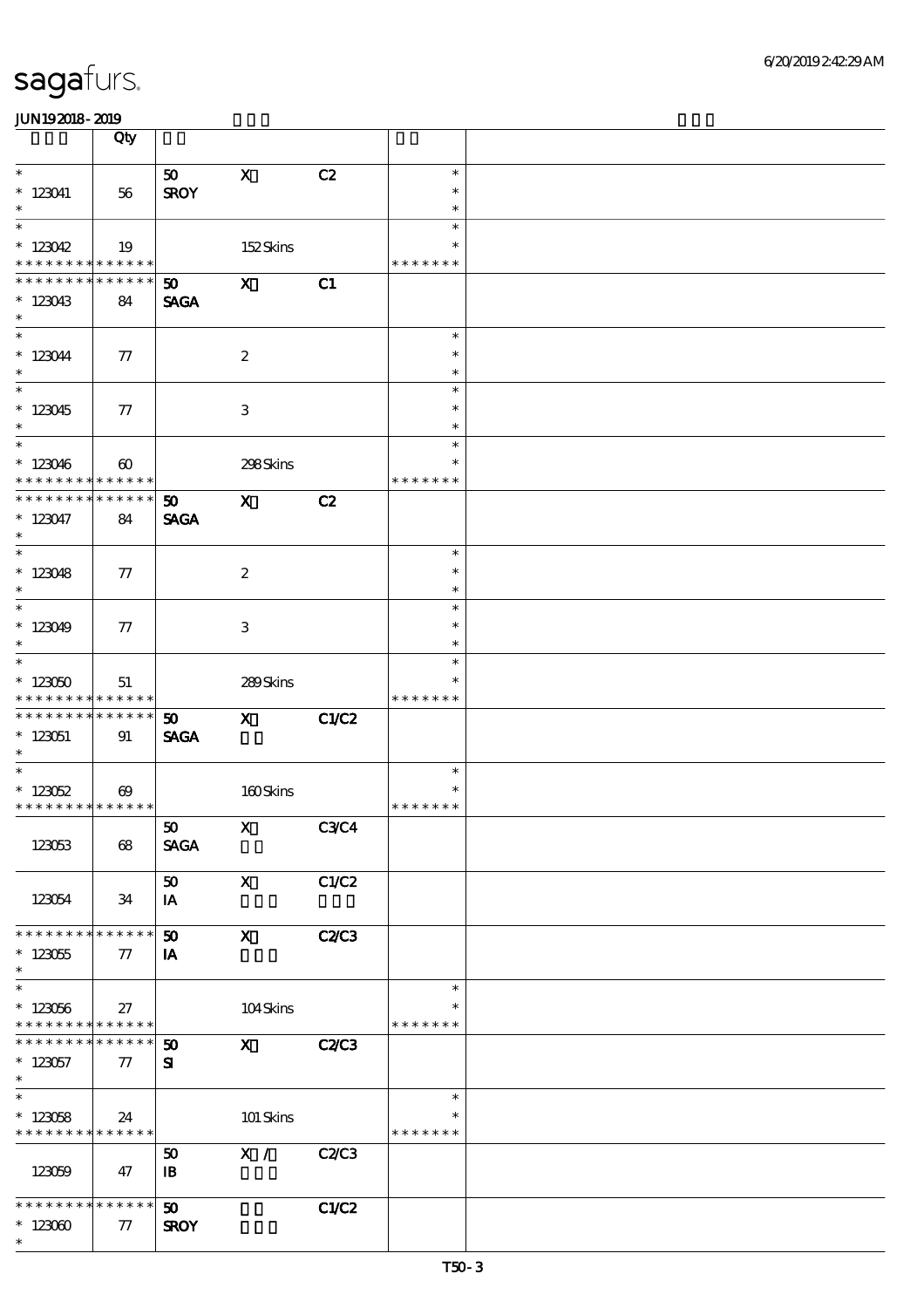|                                          | Qty                        |                             |                           |              |                         |  |
|------------------------------------------|----------------------------|-----------------------------|---------------------------|--------------|-------------------------|--|
| $\overline{\ast}$                        |                            | 50                          | $\mathbf x$               | C2           | $\ast$                  |  |
| $* 123041$                               | 56                         | <b>SROY</b>                 |                           |              | $\ast$                  |  |
| $\ast$                                   |                            |                             |                           |              | $\ast$                  |  |
| $\overline{\ }$                          |                            |                             |                           |              | $\ast$                  |  |
| $*123042$<br>* * * * * * * * * * * * * * | 19                         |                             | 152Skins                  |              | $\ast$<br>* * * * * * * |  |
| * * * * * * * *                          | $* * * * * * *$            | 50                          | $\mathbf{x}$              | C1           |                         |  |
| $* 123043$                               | 84                         | <b>SAGA</b>                 |                           |              |                         |  |
| $\ast$                                   |                            |                             |                           |              |                         |  |
| $\overline{\ast}$                        |                            |                             |                           |              | $\ast$<br>$\ast$        |  |
| $* 123044$<br>$\ast$                     | 77                         |                             | $\boldsymbol{2}$          |              | $\ast$                  |  |
| $\overline{\phantom{0}}$                 |                            |                             |                           |              | $\ast$                  |  |
| $*123045$                                | 77                         |                             | $\,3$                     |              | $\ast$                  |  |
| $\ast$<br>$\overline{\ast}$              |                            |                             |                           |              | $\ast$                  |  |
| $*123046$                                | $\boldsymbol{\omega}$      |                             | 298Skins                  |              | $\ast$<br>$\ast$        |  |
| * * * * * * * *                          | * * * * * *                |                             |                           |              | * * * * * * *           |  |
| ********                                 | $\ast\ast\ast\ast\ast\ast$ | 50                          | $\mathbf{x}$              | C2           |                         |  |
| $* 123047$                               | 84                         | <b>SAGA</b>                 |                           |              |                         |  |
| $\ast$<br>$\overline{\ }$                |                            |                             |                           |              | $\ast$                  |  |
| $*123048$                                | 77                         |                             | $\boldsymbol{2}$          |              | $\ast$                  |  |
| $\ast$                                   |                            |                             |                           |              | $\ast$                  |  |
| $\ast$                                   |                            |                             |                           |              | $\ast$                  |  |
| $*123049$<br>$\ast$                      | 77                         |                             | $\ensuremath{\mathbf{3}}$ |              | $\ast$<br>$\ast$        |  |
| $\overline{\phantom{0}}$                 |                            |                             |                           |              | $\ast$                  |  |
| $*123050$                                | 51                         |                             | 289Skins                  |              |                         |  |
| * * * * * * * *                          | * * * * * *                |                             |                           |              | * * * * * * *           |  |
| * * * * * * * *                          | $* * * * * * *$            | $\boldsymbol{\mathfrak{D}}$ | $\mathbf{x}$              | C1/C2        |                         |  |
| $* 123051$<br>$\ast$                     | 91                         | <b>SAGA</b>                 |                           |              |                         |  |
| $\ast$                                   |                            |                             |                           |              | $\ast$                  |  |
| $* 123052$                               | $\boldsymbol{\omega}$      |                             | 160Skins                  |              | ∗                       |  |
| * * * * * * * * * * * * * * *            |                            |                             |                           |              | * * * * * * *           |  |
| 123053                                   | 68                         | $\boxed{50}$<br><b>SAGA</b> | $\mathbf{X}$              | C3C4         |                         |  |
|                                          |                            |                             |                           |              |                         |  |
|                                          |                            | 50                          | $\boldsymbol{\mathsf{X}}$ | C1/C2        |                         |  |
| 123054                                   | 34                         | IA                          |                           |              |                         |  |
| * * * * * * * *                          | * * * * * *                | 50                          | $\mathbf{X}$              | <b>C2/C3</b> |                         |  |
| $^\ast$ 123055                           | 77                         | IA                          |                           |              |                         |  |
| $\ast$                                   |                            |                             |                           |              |                         |  |
| $\overline{\ast}$                        |                            |                             |                           |              | $\ast$                  |  |
| $*123056$<br>* * * * * * * *             | 27<br>* * * * * *          |                             | 104Skins                  |              | $\ast$<br>* * * * * * * |  |
|                                          | * * * * * *                | $\boldsymbol{\mathfrak{D}}$ | $\mathbf{x}$              | <b>C2/C3</b> |                         |  |
| $*123057$                                | 77                         | ${\bf s}$                   |                           |              |                         |  |
| $\ast$                                   |                            |                             |                           |              |                         |  |
| $\ast$<br>$*123058$                      | 24                         |                             | 101 Skins                 |              | $\ast$                  |  |
| * * * * * * * *                          | * * * * * *                |                             |                           |              | * * * * * * *           |  |
|                                          |                            | 50                          | X /                       | <b>C2/C3</b> |                         |  |
| 123059                                   | 47                         | $\mathbf{B}$                |                           |              |                         |  |
| * * * * * * * *                          | * * * * * *                | 50                          |                           | C1/C2        |                         |  |
| $*123000$                                | $77\,$                     | <b>SROY</b>                 |                           |              |                         |  |
| $\ast$                                   |                            |                             |                           |              |                         |  |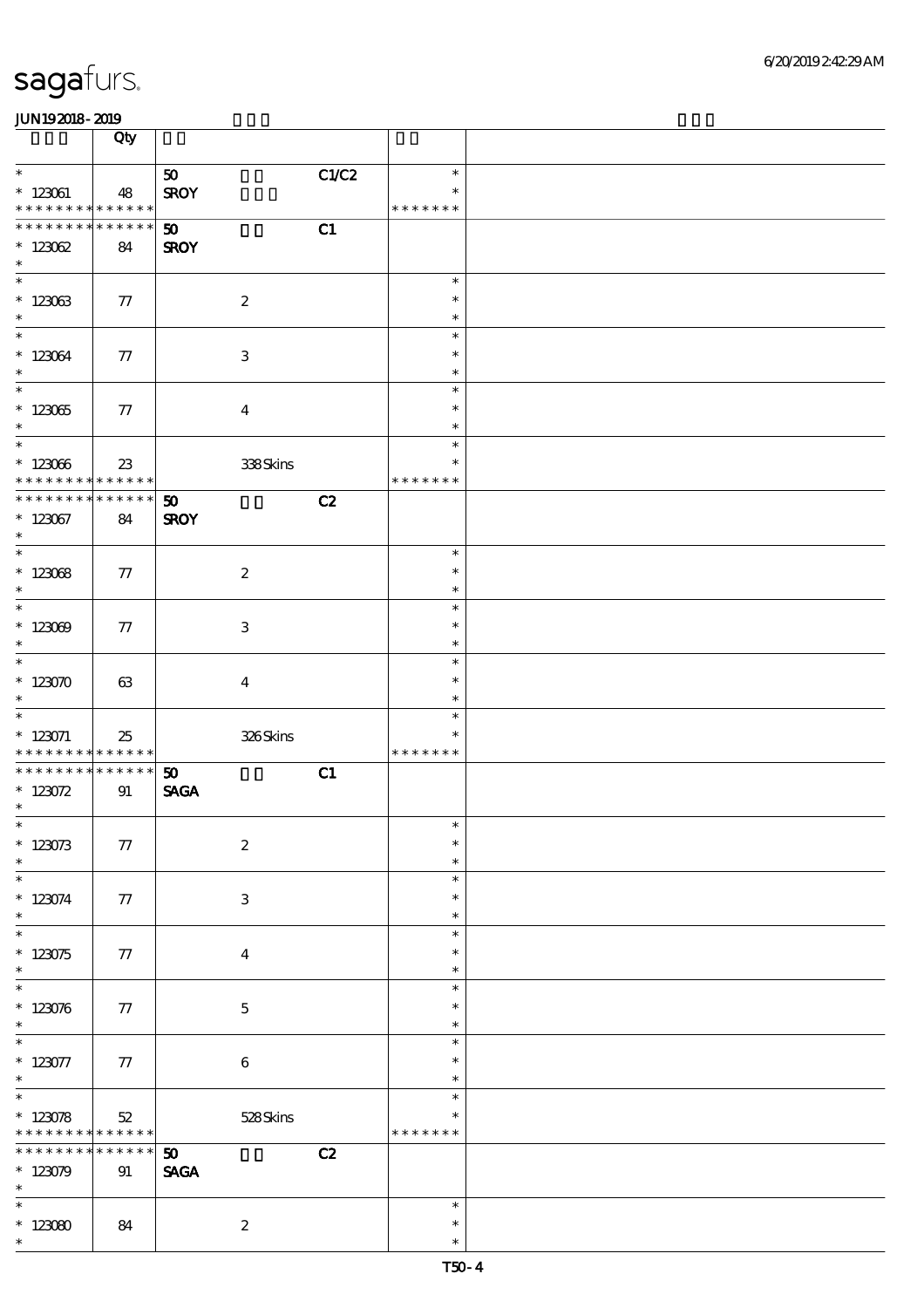|                                           | Qty                   |                                   |                         |  |
|-------------------------------------------|-----------------------|-----------------------------------|-------------------------|--|
| $\ast$                                    |                       | C1/C2<br>50                       | $\ast$                  |  |
| $*$ 123061<br>* * * * * * * * * * * * * * | 48                    | <b>SROY</b>                       | $\ast$<br>* * * * * * * |  |
| * * * * * * * *                           | $* * * * * * *$       | C1<br>$\boldsymbol{\mathfrak{D}}$ |                         |  |
| $* 12302$<br>$\ast$                       | 84                    | <b>SROY</b>                       |                         |  |
|                                           |                       |                                   | $\ast$                  |  |
| $* 123033$<br>$\ast$                      | 77                    | $\boldsymbol{2}$                  | $\ast$<br>$\ast$        |  |
| $\overline{\ast}$                         |                       |                                   | $\ast$                  |  |
| $^\ast$ 123064<br>$\ast$                  | 77                    | $\,3$                             | $\ast$<br>$\ast$        |  |
| $\overline{\ast}$                         |                       |                                   | $\ast$                  |  |
| $^\ast$ 123065<br>$\ast$                  | $77\,$                | $\boldsymbol{4}$                  | $\ast$<br>$\ast$        |  |
| $\overline{\ast}$                         |                       |                                   | $\ast$                  |  |
| $^\ast$ 123066<br>* * * * * * * *         | 23<br>$* * * * * * *$ | 338Skins                          | $\ast$<br>* * * * * * * |  |
| * * * * * * * *                           | * * * * * *           | C2<br>50                          |                         |  |
| $* 123067$<br>$\ast$                      | 84                    | <b>SROY</b>                       |                         |  |
| $\overline{\ast}$                         |                       |                                   | $\ast$                  |  |
| $* 12308$<br>$\ast$                       | 77                    | $\boldsymbol{2}$                  | $\ast$<br>$\ast$        |  |
| $\overline{\ast}$                         |                       |                                   | $\ast$                  |  |
| $*123009$<br>$\ast$                       | 77                    | $\,3$                             | $\ast$<br>$\ast$        |  |
| $\overline{\ast}$                         |                       |                                   | $\ast$                  |  |
| $*123070$<br>$\ast$                       | 63                    | $\boldsymbol{4}$                  | $\ast$<br>$\ast$        |  |
| $\overline{\phantom{0}}$                  |                       |                                   | $\ast$                  |  |
| $* 123071$<br>* * * * * * * *             | 25<br>* * * * * *     | 326Skins                          | $\ast$<br>* * * * * * * |  |
| * * * * * * * *                           | $* * * * * * *$       | C1<br>50                          |                         |  |
| $* 123072$<br>$\ast$                      | 91                    | <b>SAGA</b>                       |                         |  |
| $*$                                       |                       |                                   | $\ast$                  |  |
| $* 123073$<br>$\ast$                      | ${\bf 77}$            | $\boldsymbol{2}$                  | $\ast$<br>$\ast$        |  |
| $\ast$                                    |                       |                                   | $\ast$                  |  |
| $* 123074$<br>$\ast$                      | 77                    | $\,3$                             | $\ast$<br>$\ast$        |  |
| $\ast$                                    |                       |                                   | $\ast$                  |  |
| $* 123075$<br>$\ast$                      | $77\,$                | $\bf{4}$                          | $\ast$<br>$\ast$        |  |
| $\ast$                                    |                       |                                   | $\ast$                  |  |
| $* 123076$<br>$\ast$                      | $77\,$                | $\mathbf 5$                       | $\ast$<br>$\ast$        |  |
| $\ast$                                    |                       |                                   | $\ast$                  |  |
| $* 123077$<br>$\ast$                      | 77                    | $\,6\,$                           | $\ast$<br>$\ast$        |  |
| $\overline{\ast}$                         |                       |                                   | $\ast$                  |  |
| $* 123078$<br>* * * * * * * *             | $52\,$<br>$******$    | 528Skins                          | $\ast$<br>* * * * * * * |  |
| * * * * * * *                             | * * * * * *           | C2<br>$\boldsymbol{\mathfrak{D}}$ |                         |  |
| $*123079$<br>$\ast$                       | 91                    | <b>SAGA</b>                       |                         |  |
| $\ast$                                    |                       |                                   | $\ast$                  |  |
| $*123080$<br>$\ast$                       | 84                    | $\boldsymbol{2}$                  | $\ast$<br>$\ast$        |  |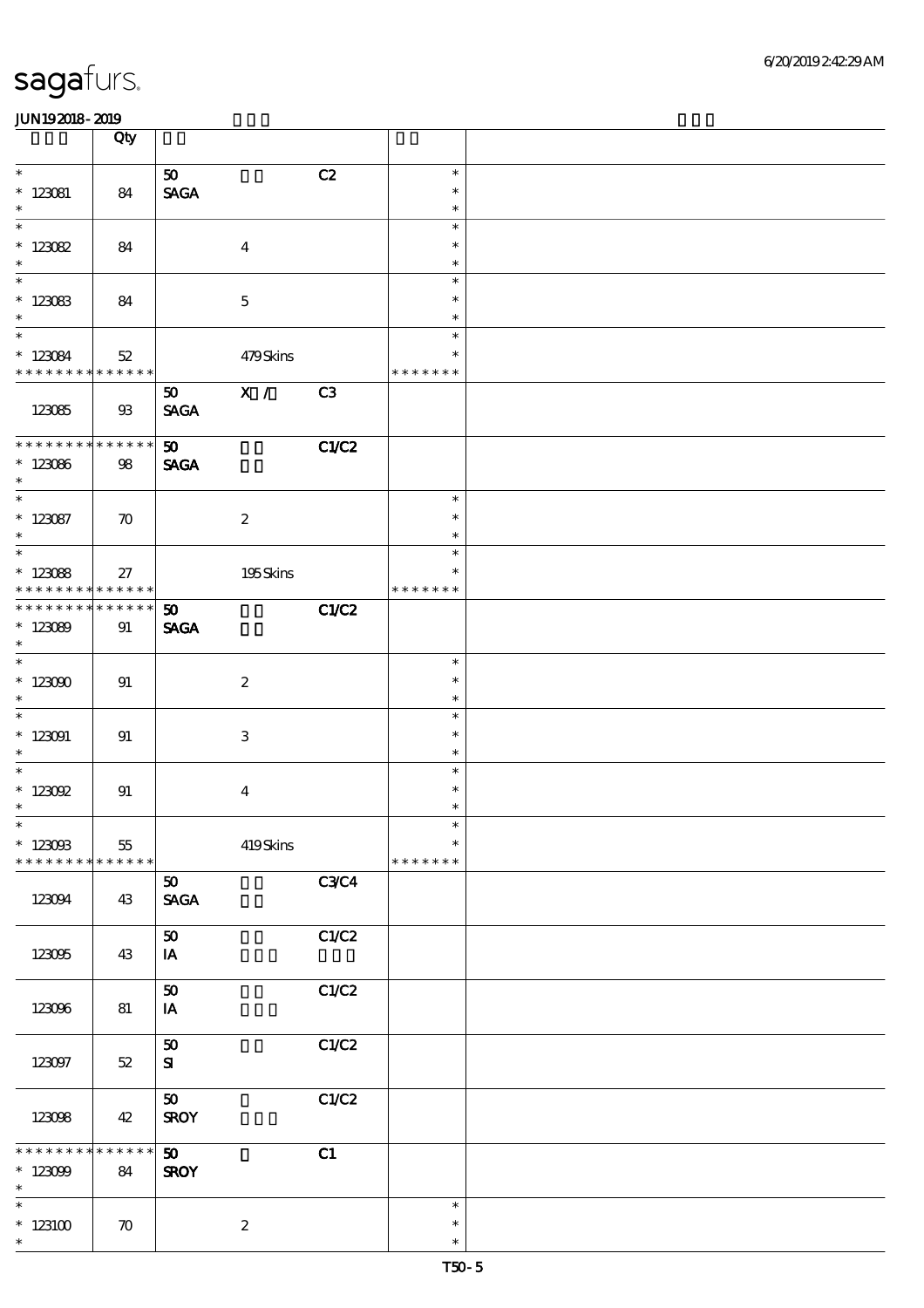|                                                                       | Qty                   |                                                               |                                 |                                   |  |
|-----------------------------------------------------------------------|-----------------------|---------------------------------------------------------------|---------------------------------|-----------------------------------|--|
| $\ast$<br>$* 123081$<br>$\ast$                                        | 84                    | $\boldsymbol{\mathfrak{D}}$<br>$\operatorname{\mathsf{SAGA}}$ | C2                              | $\ast$<br>$\ast$<br>$\ast$        |  |
| $\overline{\phantom{0}}$<br>$* 123082$<br>$\ast$                      | 84                    | $\boldsymbol{4}$                                              |                                 | $\ast$<br>$\ast$<br>$\ast$        |  |
| $\overline{\phantom{0}}$<br>$*123083$<br>$\ast$                       | 84                    | $\mathbf 5$                                                   |                                 | $\ast$<br>$\ast$<br>$\ast$        |  |
| $\overline{\phantom{0}}$<br>$* 123084$<br>* * * * * * * * * * * * * * | $52\,$                |                                                               | 479Skins                        | $\ast$<br>$\ast$<br>* * * * * * * |  |
| 123085                                                                | $\mathfrak{B}$        | 50<br><b>SAGA</b>                                             | $\overline{\mathbf{x}}$ /<br>C3 |                                   |  |
| * * * * * * * * * * * * * *<br>$*$ 123086<br>$\ast$                   | 98                    | 50<br><b>SAGA</b>                                             | C1/C2                           |                                   |  |
| $\overline{\ast}$<br>$*$ 123087<br>$\ast$                             | $\boldsymbol{\pi}$    | $\boldsymbol{2}$                                              |                                 | $\ast$<br>$\ast$<br>$\ast$        |  |
| $\overline{\phantom{0}}$<br>$* 123088$<br>* * * * * * * *             | 27<br>******          |                                                               | $195$ Skins                     | $\ast$<br>$\ast$<br>* * * * * * * |  |
| * * * * * * * *<br>$*123089$<br>$\ast$                                | $******$<br>91        | 50 <sub>o</sub><br><b>SAGA</b>                                | C1/C2                           |                                   |  |
| $\overline{\ast}$<br>$*123000$<br>$\ast$                              | 91                    | $\boldsymbol{z}$                                              |                                 | $\ast$<br>$\ast$<br>$\ast$        |  |
| $\overline{\phantom{0}}$<br>$*$ 123091<br>$\ast$                      | 91                    | 3                                                             |                                 | $\ast$<br>$\ast$<br>$\ast$        |  |
| $\overline{\ast}$<br>$* 123092$<br>$\ast$                             | 91                    | $\bf{4}$                                                      |                                 | $\ast$<br>$\ast$<br>$\ast$        |  |
| $*$<br>$* 12300B$<br>* * * * * * * *                                  | $55\,$<br>* * * * * * |                                                               | 419Skins                        | $\ast$<br>$\ast$<br>* * * * * * * |  |
| 123094                                                                | 43                    | 50<br>$\operatorname{\mathsf{SAGA}}$                          | C3C4                            |                                   |  |
| 123095                                                                | 43                    | 50<br>IA                                                      | C1/C2                           |                                   |  |
| 123096                                                                | 81                    | 50<br>IA                                                      | C1/C2                           |                                   |  |
| 123097                                                                | $52\,$                | 50<br>${\bf s}$                                               | C1/C2                           |                                   |  |
| 123098                                                                | 42                    | 50<br><b>SROY</b>                                             | C1/C2                           |                                   |  |
| * * * * * * *<br>$* 123099$<br>$\ast$                                 | * * * * * *<br>84     | $\boldsymbol{\mathfrak{D}}$<br><b>SROY</b>                    | C1                              |                                   |  |
| $\overline{\phantom{0}}$<br>$^*$ 123100 $\,$<br>$\ast$                | $\boldsymbol{\pi}$    | $\boldsymbol{2}$                                              |                                 | $\ast$<br>$\ast$<br>$\ast$        |  |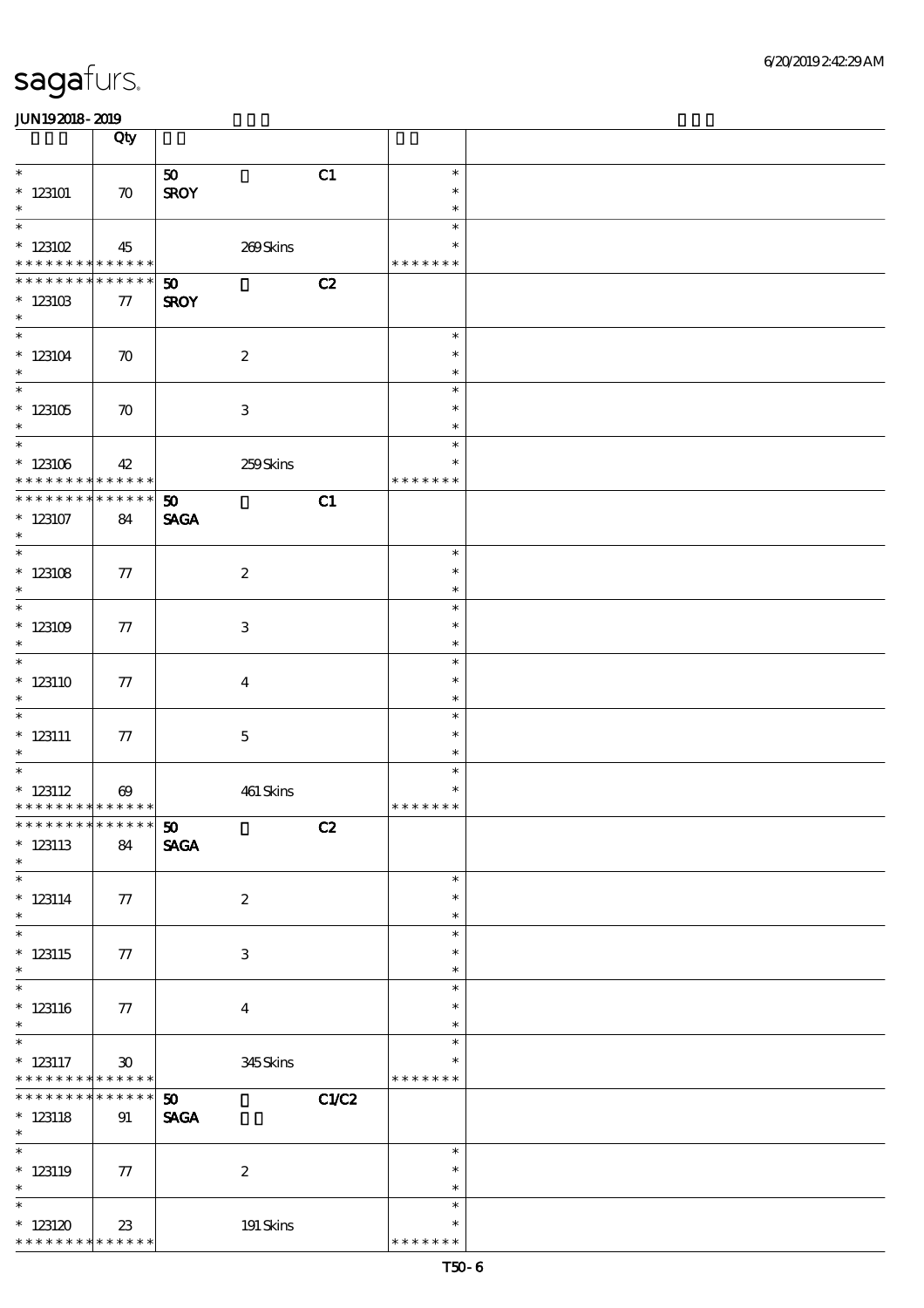|                                                         | Qty                   |                                   |               |  |
|---------------------------------------------------------|-----------------------|-----------------------------------|---------------|--|
| $\ast$                                                  |                       |                                   | $\ast$        |  |
|                                                         |                       | 50<br>C1                          |               |  |
| $*123101$                                               | $\boldsymbol{\pi}$    | <b>SROY</b>                       | $\ast$        |  |
| $\ast$                                                  |                       |                                   | $\ast$        |  |
| $\ast$                                                  |                       |                                   | $\ast$        |  |
| $*$ 123102                                              | 45                    | 269Skins                          |               |  |
| * * * * * * * * * * * * * *                             |                       |                                   | * * * * * * * |  |
| * * * * * * *<br>$\ast$                                 | $* * * * * * *$       | C2<br>$\boldsymbol{\mathfrak{D}}$ |               |  |
| $^*$ 123103                                             | 77                    | <b>SROY</b>                       |               |  |
| $*$                                                     |                       |                                   |               |  |
| $*$                                                     |                       |                                   | $\ast$        |  |
|                                                         |                       |                                   |               |  |
| $*123104$                                               | $\boldsymbol{\pi}$    | $\boldsymbol{2}$                  | $\ast$        |  |
| $\ast$                                                  |                       |                                   | $\ast$        |  |
| $\ast$                                                  |                       |                                   | $\ast$        |  |
| $*123105$                                               | $\boldsymbol{\pi}$    | $\ensuremath{\mathbf{3}}$         | $\ast$        |  |
| $\ast$                                                  |                       |                                   | $\ast$        |  |
| $\ast$                                                  |                       |                                   | $\ast$        |  |
| $* 123106$                                              | 42                    | 259Skins                          | $\ast$        |  |
| * * * * * * * *                                         | $* * * * * * *$       |                                   | * * * * * * * |  |
| * * * * * * *                                           | $* * * * * * *$       | C1<br>50 <sub>2</sub>             |               |  |
| $*123107$                                               | 84                    | <b>SAGA</b>                       |               |  |
| $\ast$                                                  |                       |                                   |               |  |
| $\overline{\phantom{0}}$                                |                       |                                   | $\ast$        |  |
|                                                         |                       |                                   |               |  |
| $* 123108$                                              | 77                    | $\boldsymbol{2}$                  | $\ast$        |  |
| $\ast$                                                  |                       |                                   | $\ast$        |  |
| $\overline{\phantom{0}}$                                |                       |                                   | $\ast$        |  |
| $*123109$                                               | 77                    | $\ensuremath{\mathbf{3}}$         | $\ast$        |  |
| $\ast$                                                  |                       |                                   | $\ast$        |  |
| $\overline{\ast}$                                       |                       |                                   | $\ast$        |  |
| $*123110$                                               | 77                    | $\bf{4}$                          | $\ast$        |  |
| $\ast$                                                  |                       |                                   | $\ast$        |  |
| $\ast$                                                  |                       |                                   | $\ast$        |  |
| $*$ 123111                                              | 77                    | $\mathbf 5$                       | $\ast$        |  |
| $\ast$                                                  |                       |                                   | $\ast$        |  |
| $\ast$                                                  |                       |                                   | $\ast$        |  |
| $*$ 123112                                              | $\boldsymbol{\omega}$ | 461 Skins                         | $\ast$        |  |
| * * * * * * * * * * * * * *                             |                       |                                   | * * * * * * * |  |
| * * * * * * * * <mark>* * * * * *</mark> *              |                       | $\boldsymbol{\mathfrak{D}}$<br>C2 |               |  |
| $* 123113$                                              | 84                    | <b>SAGA</b>                       |               |  |
| $\ast$                                                  |                       |                                   |               |  |
| $\ast$                                                  |                       |                                   | $\ast$        |  |
|                                                         |                       |                                   |               |  |
| $* 123114$<br>$\ast$                                    | 77                    | $\boldsymbol{z}$                  | $\ast$        |  |
|                                                         |                       |                                   | $\ast$        |  |
| $\ast$                                                  |                       |                                   | $\ast$        |  |
| $*$ 123115                                              | 77                    | $\ensuremath{\mathbf{3}}$         | $\ast$        |  |
| $\ast$                                                  |                       |                                   | $\ast$        |  |
| $\ast$                                                  |                       |                                   | $\ast$        |  |
| $*123116$                                               | 77                    | $\boldsymbol{4}$                  | $\ast$        |  |
| $\ast$                                                  |                       |                                   | $\ast$        |  |
| $\ast$                                                  |                       |                                   | $\ast$        |  |
| $*$ 123117                                              | 30                    | 345Skins                          | $\ast$        |  |
| * * * * * * * *                                         | $* * * * * * *$       |                                   | * * * * * * * |  |
| * * * * * * *                                           | * * * * * *           | C1/C2<br>50 <sub>o</sub>          |               |  |
| $* 123118$                                              | 91                    | <b>SAGA</b>                       |               |  |
| $\ast$                                                  |                       |                                   |               |  |
| $\ast$                                                  |                       |                                   | $\ast$        |  |
| $* 123119$                                              | 77                    | $\boldsymbol{2}$                  | $\ast$        |  |
| $\ast$                                                  |                       |                                   | $\ast$        |  |
| $\ast$                                                  |                       |                                   | $\ast$        |  |
|                                                         |                       |                                   | $\ast$        |  |
| $*123120$<br>* * * * * * * * <mark>* * * * * * *</mark> | $23\,$                | 191 Skins                         | * * * * * * * |  |
|                                                         |                       |                                   |               |  |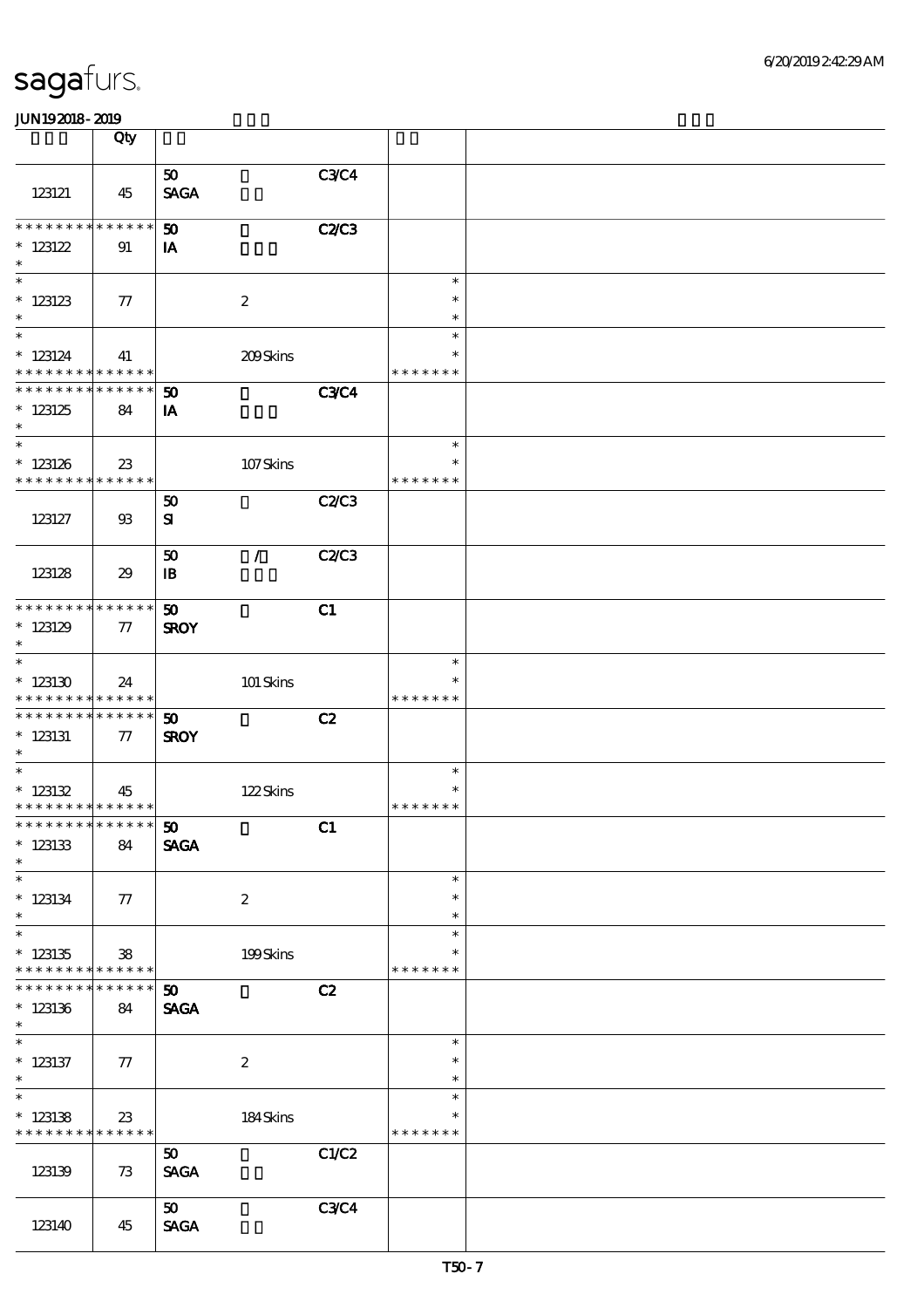|                                                               | Qty                                  |                                     |             |                                   |  |
|---------------------------------------------------------------|--------------------------------------|-------------------------------------|-------------|-----------------------------------|--|
| 123121                                                        | 45                                   | 50 <sub>o</sub><br><b>SAGA</b>      | <b>C3C4</b> |                                   |  |
| * * * * * * * * * * * * * *<br>$* 123122$<br>$\ast$           | 91                                   | $\boldsymbol{\mathfrak{D}}$<br>IA   | <b>C2C3</b> |                                   |  |
| $\ast$<br>$*$ 123123<br>$\ast$                                | 77                                   | $\boldsymbol{2}$                    |             | $\ast$<br>$\ast$<br>$\ast$        |  |
| $\overline{\ast}$<br>$*123124$<br>* * * * * * * * * * * * * * | 41                                   | 209Skins                            |             | $\ast$<br>$\ast$<br>* * * * * * * |  |
| * * * * * * * * * * * * * *<br>$*123125$<br>$\ast$            | 84                                   | 50<br>IA                            | <b>C3C4</b> |                                   |  |
| $\ast$<br>$*123126$<br>* * * * * * * * * * * * * *            | 23                                   | 107Skins                            |             | $\ast$<br>$\ast$<br>* * * * * * * |  |
| 123127                                                        | $\mathfrak{B}$                       | 50<br>${\bf S}$                     | C2C3        |                                   |  |
| 123128                                                        | 29                                   | $\mathcal{L}$<br>50<br>$\mathbf{B}$ | C2C3        |                                   |  |
| * * * * * * * * * * * * * *<br>$*123129$<br>$\ast$            | 77                                   | 50<br><b>SROY</b>                   | C1          |                                   |  |
| $\ast$<br>$*123130$<br>* * * * * * * * * * * * * *            | 24                                   | 101 Skins                           |             | $\ast$<br>$\ast$<br>* * * * * * * |  |
| * * * * * * * *<br>$*123131$<br>$\ast$                        | $\ast\ast\ast\ast\ast\ast$<br>$\tau$ | 50<br><b>SROY</b>                   | C2          |                                   |  |
| $\ast$<br>$* 123132$<br>* * * * * * * * * * * * * *           | 45                                   | 122Skins                            |             | $\ast$<br>$\ast$<br>* * * * * * * |  |
| ************** 50<br>$*$ 123133<br>$\ast$                     | 84                                   | <b>SAGA</b>                         | C1          |                                   |  |
| $\ast$<br>$*123134$<br>$\ast$                                 | 77                                   | $\boldsymbol{2}$                    |             | $\ast$<br>$\ast$<br>$\ast$        |  |
| $\ast$<br>$^\ast$ 123135<br>* * * * * * * * * * * * * *       | ${\bf 38}$                           | 199Skins                            |             | $\ast$<br>$\ast$<br>* * * * * * * |  |
| * * * * * * *<br>$*123136$<br>$\ast$                          | * * * * * *<br>84                    | 50<br><b>SAGA</b>                   | C2          |                                   |  |
| $\overline{\phantom{0}}$<br>$*$ 123137<br>$\ast$              | 77                                   | $\boldsymbol{z}$                    |             | $\ast$<br>$\ast$<br>$\ast$        |  |
| $\overline{\ast}$<br>$*123138$<br>* * * * * * * * * * * * * * | 23                                   | 184Skins                            |             | $\ast$<br>$\ast$<br>* * * * * * * |  |
| 123139                                                        | 73                                   | 50<br><b>SAGA</b>                   | C1/C2       |                                   |  |
| 123140                                                        | 45                                   | 50 <sub>o</sub><br><b>SAGA</b>      | C3C4        |                                   |  |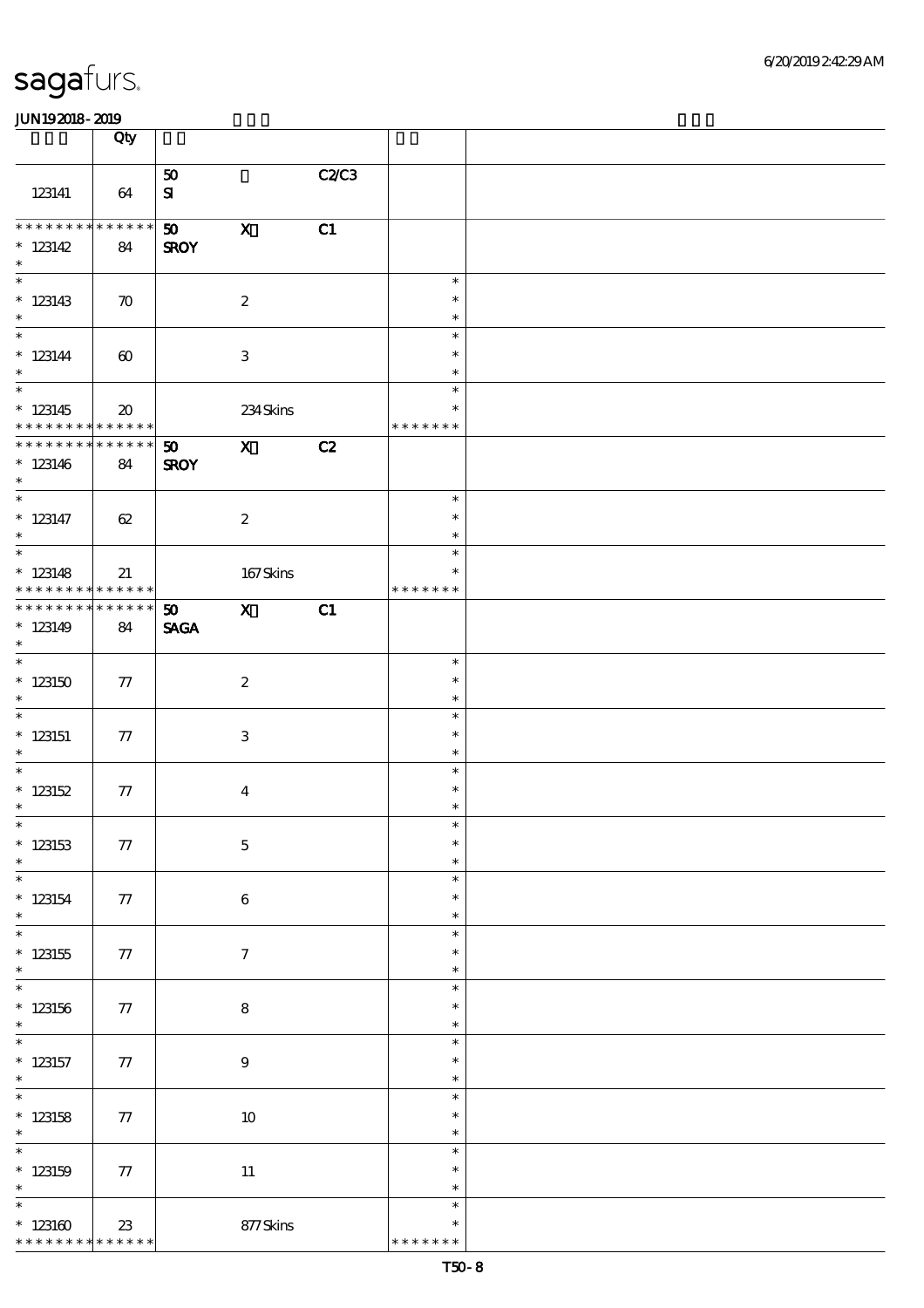|                                                                       | Qty                         |                                |                           |       |                                   |  |
|-----------------------------------------------------------------------|-----------------------------|--------------------------------|---------------------------|-------|-----------------------------------|--|
| 123141                                                                | 64                          | 50<br>${\bf s}$                |                           | C2/C3 |                                   |  |
| **************<br>$* 123142$<br>$\ast$                                | 84                          | 50 <sub>2</sub><br><b>SROY</b> | $\mathbf X$               | C1    |                                   |  |
| $*123143$<br>$\ast$                                                   | $\boldsymbol{\pi}$          |                                | $\boldsymbol{2}$          |       | $\ast$<br>$\ast$<br>$\ast$        |  |
| $* 123144$<br>$\ast$                                                  | $\boldsymbol{\omega}$       |                                | 3                         |       | $\ast$<br>$\ast$<br>$\ast$        |  |
| $\overline{\phantom{0}}$<br>$*123145$<br>* * * * * * * * * * * * * *  | $\boldsymbol{\mathfrak{D}}$ |                                | $234$ Skins               |       | $\ast$<br>$\ast$<br>* * * * * * * |  |
| **************<br>$*123146$<br>$\ast$                                 | 84                          | 50<br><b>SROY</b>              | $\mathbf{x}$              | C2    |                                   |  |
| $\overline{\ast}$<br>$*$ 123147<br>$\ast$<br>$\overline{\phantom{0}}$ | 62                          |                                | $\boldsymbol{z}$          |       | $\ast$<br>$\ast$<br>$\ast$        |  |
| $*123148$<br>* * * * * * * * * * * * * *                              | 21                          |                                | $167$ Skins               |       | $\ast$<br>$\ast$<br>* * * * * * * |  |
| * * * * * * * *<br>$*123149$<br>$\ast$                                | $******$<br>84              | 50 <sub>o</sub><br><b>SAGA</b> | $\mathbf{X}$              | C1    |                                   |  |
| $*123150$<br>$\ast$                                                   | 77                          |                                | $\boldsymbol{2}$          |       | $\ast$<br>$\ast$<br>$\ast$        |  |
| $\overline{\phantom{0}}$<br>$*$ 123151<br>$\ast$                      | 77                          |                                | $\ensuremath{\mathbf{3}}$ |       | $\ast$<br>$\ast$<br>$\ast$        |  |
| * $123152$<br>$\ast$                                                  | 77                          |                                | $\boldsymbol{4}$          |       | $\ast$<br>$\ast$<br>$\ast$        |  |
| $*$<br>$*$ 123153<br>$\ast$                                           | ${\bf 77}$                  |                                | $\bf 5$                   |       | $\ast$<br>$\ast$<br>$\ast$        |  |
| $\ast$<br>$* 123154$<br>$\ast$<br>$\ast$                              | $77\,$                      |                                | $\boldsymbol{6}$          |       | $\ast$<br>$\ast$<br>$\ast$        |  |
| $*$ 123155<br>$\ast$                                                  | 77                          |                                | $\boldsymbol{\tau}$       |       | $\ast$<br>$\ast$<br>$\ast$        |  |
| $\ast$<br>$*$ 123156<br>$\ast$<br>$\overline{\phantom{a}^*}$          | $77\,$                      |                                | $\bf 8$                   |       | $\ast$<br>$\ast$<br>$\ast$        |  |
| $*$ 123157<br>$\ast$<br>$\overline{\ast}$                             | $77\,$                      |                                | $\boldsymbol{9}$          |       | $\ast$<br>$\ast$<br>$\ast$        |  |
| $*$ 123158<br>$\ast$                                                  | $77\,$                      |                                | $10\,$                    |       | $\ast$<br>$\ast$<br>$\ast$        |  |
| $\ast$<br>$*$ 123159<br>$\ast$                                        | $77\,$                      |                                | $11\,$                    |       | $\ast$<br>$\ast$<br>$\ast$        |  |
| $\ast$<br>$^\ast$ 123160<br>* * * * * * * *                           | $23\,$<br>* * * * * *       |                                | 877Skins                  |       | $\ast$<br>$\ast$<br>* * * * * * * |  |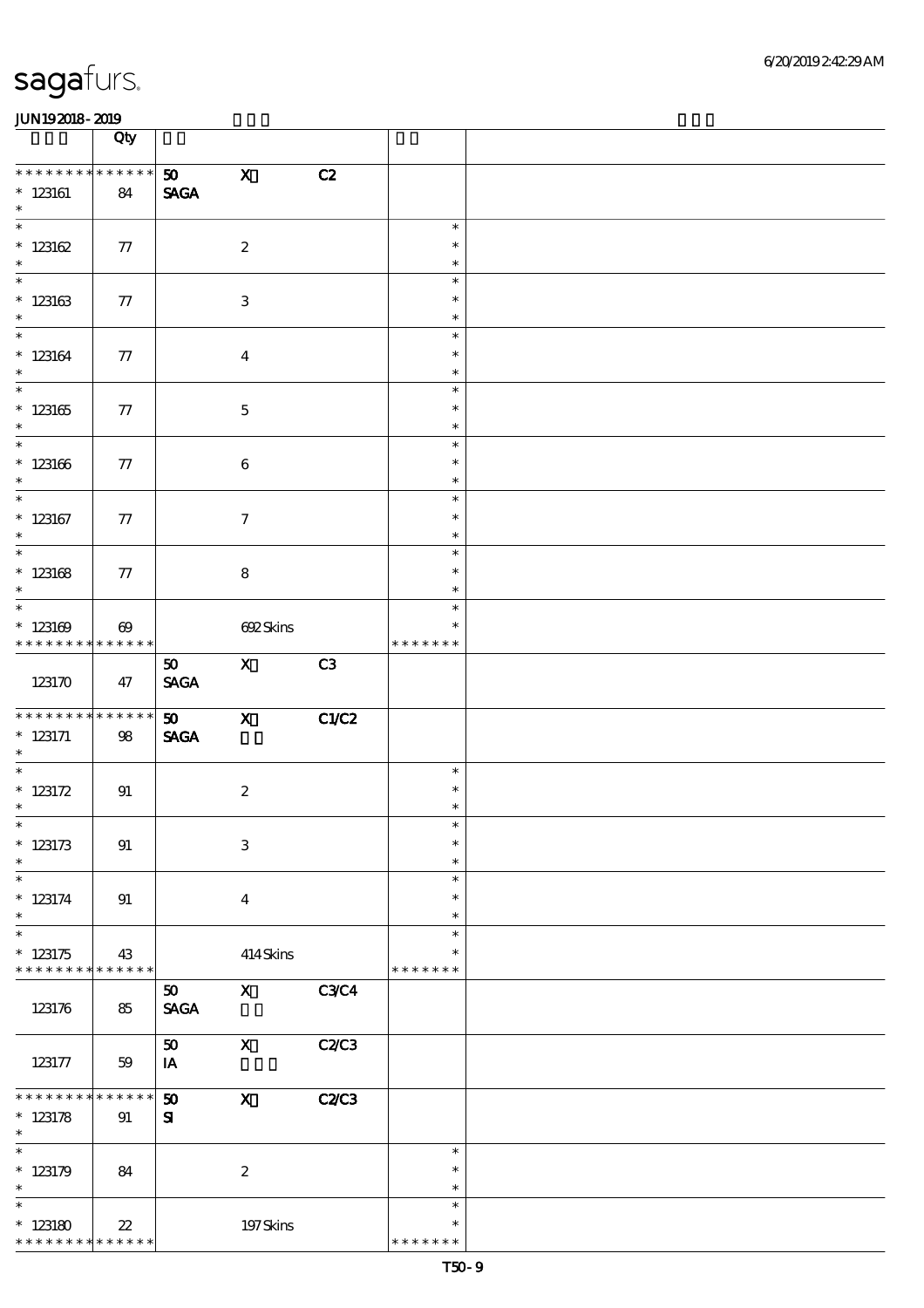|                                                                      | Qty                                       |                                |                           |              |                                   |  |
|----------------------------------------------------------------------|-------------------------------------------|--------------------------------|---------------------------|--------------|-----------------------------------|--|
| * * * * * * * * * * * * * *<br>$*123161$<br>$\ast$                   | 84                                        | 50<br><b>SAGA</b>              | $\mathbf{x}$              | C2           |                                   |  |
| $\overline{\ast}$<br>$* 123162$<br>$\ast$                            | 77                                        |                                | $\boldsymbol{2}$          |              | $\ast$<br>$\ast$<br>$\ast$        |  |
| $\overline{\phantom{0}}$<br>$^\ast$ 123163<br>$\ast$                 | 77                                        |                                | $\ensuremath{\mathbf{3}}$ |              | $\ast$<br>$\ast$<br>$\ast$        |  |
| $\overline{\ast}$<br>$^\ast$ 123164<br>$\ast$                        | 77                                        |                                | $\bf{4}$                  |              | $\ast$<br>$\ast$<br>$\ast$        |  |
| $\overline{\phantom{0}}$<br>$^*$ 123165<br>$\ast$                    | 77                                        |                                | $\mathbf 5$               |              | $\ast$<br>$\ast$<br>$\ast$        |  |
| $\overline{\phantom{0}}$<br>$^\ast$ 123166<br>$\ast$                 | 77                                        |                                | $\boldsymbol{6}$          |              | $\ast$<br>$\ast$<br>$\ast$        |  |
| $\overline{\ast}$<br>$*$ 123167<br>$\ast$                            | 77                                        |                                | $\tau$                    |              | $\ast$<br>$\ast$<br>$\ast$        |  |
| $\overline{\phantom{0}}$<br>$*$ 123168<br>$\ast$                     | 77                                        |                                | 8                         |              | $\ast$<br>$\ast$<br>$\ast$        |  |
| $\overline{\phantom{0}}$<br>$*123169$<br>* * * * * * * * * * * * * * | $\boldsymbol{\omega}$                     |                                | 692Skins                  |              | $\ast$<br>$\ast$<br>* * * * * * * |  |
| 123170                                                               | 47                                        | 50 <sub>1</sub><br><b>SAGA</b> | $\mathbf{x}$              | C3           |                                   |  |
| * * * * * * * * * * * * * *<br>$*$ 123171<br>$\ast$                  | 98                                        | 50 <sub>2</sub><br><b>SAGA</b> | $\mathbf{X}$              | C1/C2        |                                   |  |
| $\ast$<br>$* 123172$<br>$\ast$                                       | 91                                        |                                | $\boldsymbol{2}$          |              | $\ast$<br>$\ast$<br>$\ast$        |  |
| $*$<br>$* 123173$<br>$\ast$                                          | 91                                        |                                | $\ensuremath{\mathbf{3}}$ |              | $\ast$<br>$\ast$<br>$\ast$        |  |
| $\ast$<br>$* 123174$<br>$\ast$                                       | 91                                        |                                | $\bf{4}$                  |              | $\ast$<br>$\ast$<br>$\ast$        |  |
| $\ast$<br>$* 123175$<br>* * * * * * * * * * * * * *                  | 43                                        |                                | 414Skins                  |              | $\ast$<br>$\ast$<br>* * * * * * * |  |
| 123176                                                               | 85                                        | 50 <sub>o</sub><br><b>SAGA</b> | $\mathbf x$               | <b>C3C4</b>  |                                   |  |
| 123177                                                               | 59                                        | 50<br>IA                       | $\boldsymbol{\mathrm{X}}$ | C2C3         |                                   |  |
| * * * * * * * *<br>$* 123178$<br>$\ast$                              | * * * * * *<br>91                         | ${\bf 50}$<br>${\bf s}$        | $\boldsymbol{\mathrm{X}}$ | <b>C2/C3</b> |                                   |  |
| $\ast$<br>$* 123179$<br>$\ast$                                       | 84                                        |                                | $\boldsymbol{2}$          |              | $\ast$<br>$\ast$<br>$\ast$        |  |
| $\ast$<br>$^\ast$ 123180<br>* * * * * * * *                          | $\boldsymbol{\mathcal{Z}}$<br>* * * * * * |                                | 197Skins                  |              | $\ast$<br>$\ast$<br>* * * * * * * |  |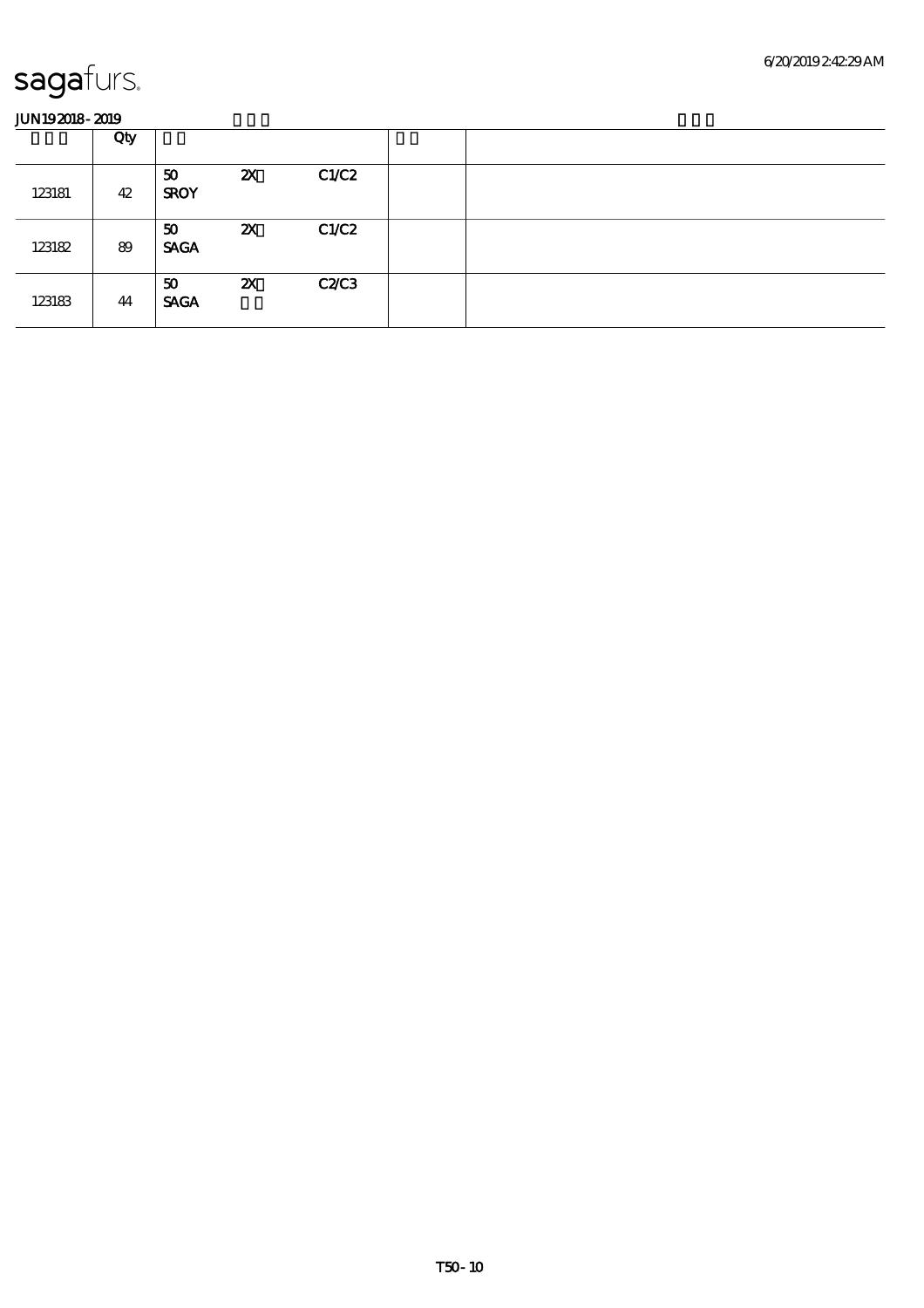|        | Qty |                   |                           |       |  |
|--------|-----|-------------------|---------------------------|-------|--|
| 123181 | 42  | 50<br><b>SROY</b> | $\boldsymbol{\mathsf{z}}$ | C1/C2 |  |
| 123182 | 89  | 50<br><b>SAGA</b> | $\boldsymbol{\mathsf{z}}$ | C1/C2 |  |
| 123183 | 44  | 50<br><b>SAGA</b> | $\boldsymbol{\mathsf{z}}$ | C2C3  |  |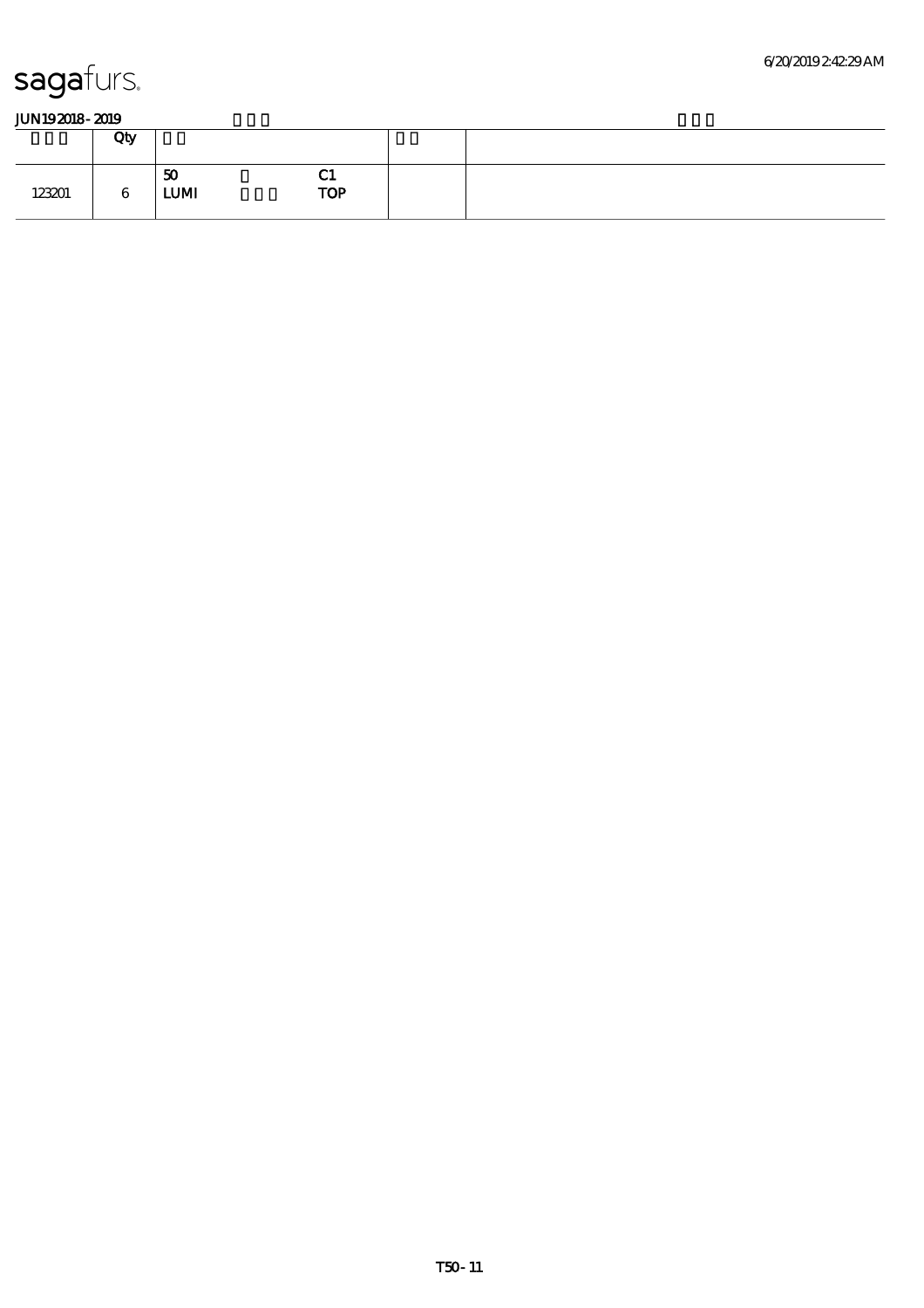|        | Qty |                          |                 |  |
|--------|-----|--------------------------|-----------------|--|
| 123201 | 6   | $\boldsymbol{50}$<br>LUM | u<br><b>TOP</b> |  |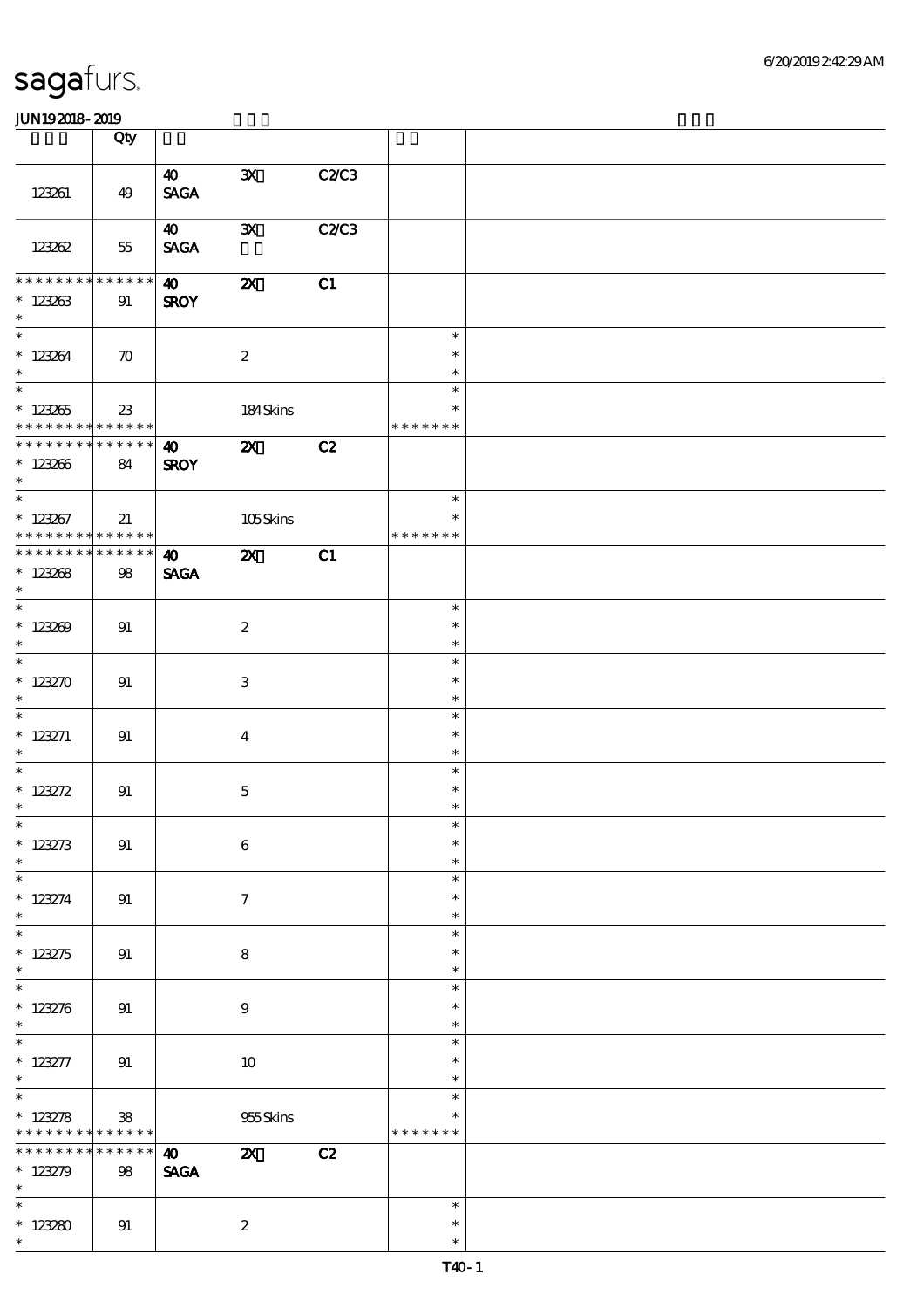|                                                   | Qty                       |                                      |                           |              |                                      |  |
|---------------------------------------------------|---------------------------|--------------------------------------|---------------------------|--------------|--------------------------------------|--|
| 123261                                            | 49                        | $\boldsymbol{40}$<br><b>SAGA</b>     | $\mathbf{x}$              | C2/C3        |                                      |  |
| 123262                                            | 55                        | $\boldsymbol{\omega}$<br><b>SAGA</b> | ${\bf x}$                 | <b>C2/C3</b> |                                      |  |
| * * * * * * * *<br>$* 123263$<br>$\ast$           | * * * * * *<br>91         | $\boldsymbol{\omega}$<br><b>SROY</b> | $\boldsymbol{\mathsf{z}}$ | C1           |                                      |  |
| * 123264                                          | $\boldsymbol{\pi}$        |                                      | $\boldsymbol{2}$          |              | $\ast$<br>$\ast$<br>$\ast$           |  |
| $*123265$<br>* * * * * * * *                      | 23<br>$******$            |                                      | 184Skins                  |              | $\ast$<br>$\ast$<br>* * * * * * *    |  |
| ********<br>$*123206$<br>$\ast$                   | ******<br>84              | $\boldsymbol{\omega}$<br><b>SROY</b> | $\boldsymbol{\alpha}$     | C2           |                                      |  |
| $\overline{\ast}$<br>$*123267$<br>* * * * * * * * | 21<br>******              |                                      | 105Skins                  |              | $\ast$<br>$\ast$<br>* * * * * * *    |  |
| * * * * * * * *<br>$*123268$<br>$\ast$            | $* * * * * * *$<br>98     | 40<br><b>SAGA</b>                    | $\mathbf{x}$              | C1           |                                      |  |
| $*123209$<br>$\ast$                               | 91                        |                                      | $\boldsymbol{2}$          |              | $\ast$<br>$\ast$<br>$\ast$           |  |
| * $123270$<br>$\ast$<br>$\overline{\phantom{0}}$  | 91                        |                                      | 3                         |              | $\ast$<br>$\ast$<br>$\ast$           |  |
| * $123271$<br>$\ast$                              | 91                        |                                      | $\overline{4}$            |              | $\ast$<br>$\ast$<br>$\ast$           |  |
| * $123272$<br>$\ast$                              | 91                        |                                      | $\mathbf 5$               |              | $\ast$<br>$\ast$<br>$\ast$           |  |
| $*$<br>$* 123273$<br>$\ast$                       | $91\,$                    |                                      | $\,6\,$                   |              | $\ast$<br>$\ast$<br>$\ast$           |  |
| $\ast$<br>$* 123274$<br>$\ast$<br>$\ast$          | 91                        |                                      | $\boldsymbol{\tau}$       |              | $\ast$<br>$\ast$<br>$\ast$           |  |
| $* 123275$<br>$\ast$<br>$\ast$                    | 91                        |                                      | 8                         |              | $\ast$<br>$\ast$<br>$\ast$           |  |
| $* 123276$<br>$\ast$<br>$\overline{\ast}$         | 91                        |                                      | $\boldsymbol{9}$          |              | $\ast$<br>$\ast$<br>$\ast$<br>$\ast$ |  |
| $* 123277$<br>$\ast$<br>$\overline{\ast}$         | 91                        |                                      | 10                        |              | $\ast$<br>$\ast$<br>$\ast$           |  |
| $* 123278$<br>* * * * * * * *                     | ${\bf 38}$<br>* * * * * * |                                      | 955Skins                  |              | $\ast$<br>* * * * * * *              |  |
| * * * * * * *<br>$* 123279$<br>$\ast$             | * * * * * *<br>$98\,$     | $\boldsymbol{\omega}$<br><b>SAGA</b> | $\boldsymbol{\mathsf{X}}$ | C2           |                                      |  |
| $\ast$<br>$*123280$<br>$\ast$                     | 91                        |                                      | $\boldsymbol{2}$          |              | $\ast$<br>$\ast$<br>$\ast$           |  |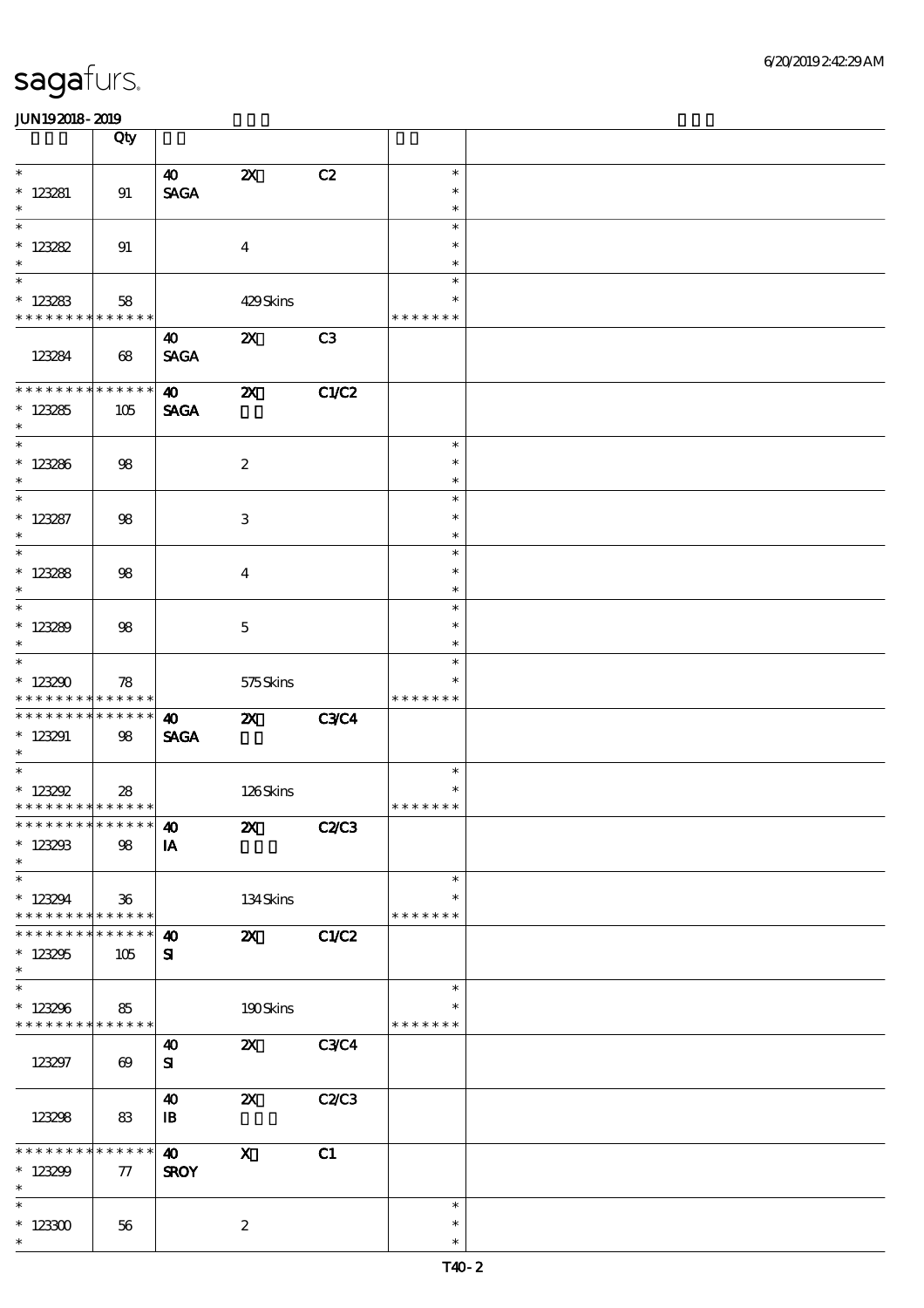|                                                                      | Qty                   |                                      |                           |              |                                   |  |
|----------------------------------------------------------------------|-----------------------|--------------------------------------|---------------------------|--------------|-----------------------------------|--|
| $\ast$<br>$* 123281$<br>$\ast$                                       | 91                    | $\boldsymbol{40}$<br><b>SAGA</b>     | $\boldsymbol{\mathsf{z}}$ | C2           | $\ast$<br>$\ast$<br>$\ast$        |  |
| $\ast$<br>$* 123282$<br>$\ast$                                       | 91                    |                                      | $\overline{\mathbf{4}}$   |              | $\ast$<br>$\ast$<br>$\ast$        |  |
| $\overline{\phantom{0}}$<br>$*123283$<br>* * * * * * * * * * * * * * | 58                    |                                      | 429Skins                  |              | $\ast$<br>$\ast$<br>* * * * * * * |  |
| 123284                                                               | 68                    | $\boldsymbol{\omega}$<br><b>SAGA</b> | $\boldsymbol{\mathsf{Z}}$ | C3           |                                   |  |
| ******** <mark>**</mark> *****<br>$*123285$<br>$\ast$                | 105                   | $\boldsymbol{\omega}$<br><b>SAGA</b> | $\boldsymbol{\mathsf{X}}$ | <b>C1/C2</b> |                                   |  |
| $*$<br>$* 123286$<br>$\ast$                                          | $98$                  |                                      | $\boldsymbol{2}$          |              | $\ast$<br>$\ast$<br>$\ast$        |  |
| $\overline{\ast}$<br>$* 123287$<br>$\ast$                            | 98                    |                                      | 3                         |              | $\ast$<br>$\ast$<br>$\ast$        |  |
| $_{\ast}^{-}$<br>$* 123288$<br>$\ast$                                | 98                    |                                      | $\overline{4}$            |              | $\ast$<br>$\ast$<br>$\ast$        |  |
| $\overline{\phantom{0}}$<br>$*123289$<br>$\ast$                      | $98$                  |                                      | $\mathbf{5}$              |              | $\ast$<br>$\ast$<br>$\ast$        |  |
| $\ast$<br>$*123290$<br>* * * * * * * * <mark>* * * * * * *</mark>    | 78                    |                                      | 575Skins                  |              | $\ast$<br>$\ast$<br>* * * * * * * |  |
| * * * * * * * *<br>$* 123291$<br>$*$                                 | $* * * * * * *$<br>98 | $\boldsymbol{\omega}$<br><b>SAGA</b> | $\mathbf{X}$              | <b>C3C4</b>  |                                   |  |
| $\overline{\ast}$<br>$* 123292$<br>* * * * * * * * * * * * * * *     | 28                    |                                      | 126Skins                  |              | $\ast$<br>$\ast$<br>* * * * * * * |  |
| ************** <b>40</b><br>$* 123293$<br>$\ast$                     | $98$                  | IA                                   | <b>2X</b> C2/C3           |              |                                   |  |
| $\ast$<br>$*123294$<br>* * * * * * * *                               | 36<br>$* * * * * * *$ |                                      | 134Skins                  |              | $\ast$<br>$\ast$<br>* * * * * * * |  |
| * * * * * * *<br>$*123295$<br>$\ast$                                 | * * * * * *<br>105    | $\boldsymbol{\omega}$<br>${\bf s}$   | $\boldsymbol{\mathsf{X}}$ | C1/C2        |                                   |  |
| $\ast$<br>$*123296$<br>* * * * * * * * * * * * * *                   | 85                    |                                      | 190Skins                  |              | $\ast$<br>*<br>* * * * * * *      |  |
| 123297                                                               | $\boldsymbol{\omega}$ | 40<br>${\bf s}$                      | $\boldsymbol{\mathsf{Z}}$ | <b>C3C4</b>  |                                   |  |
| 123298                                                               | 83                    | $\boldsymbol{40}$<br>$\mathbf{B}$    | $\boldsymbol{\mathsf{Z}}$ | C2C3         |                                   |  |
| * * * * * * *<br>$*123299$<br>$\ast$                                 | * * * * * *<br>77     | $\boldsymbol{\omega}$<br><b>SROY</b> | $\boldsymbol{\mathrm{X}}$ | C1           |                                   |  |
| $\ast$<br>$^*$ 123300 $\,$<br>$\ast$                                 | 56                    |                                      | $\boldsymbol{2}$          |              | $\ast$<br>$\ast$<br>$\ast$        |  |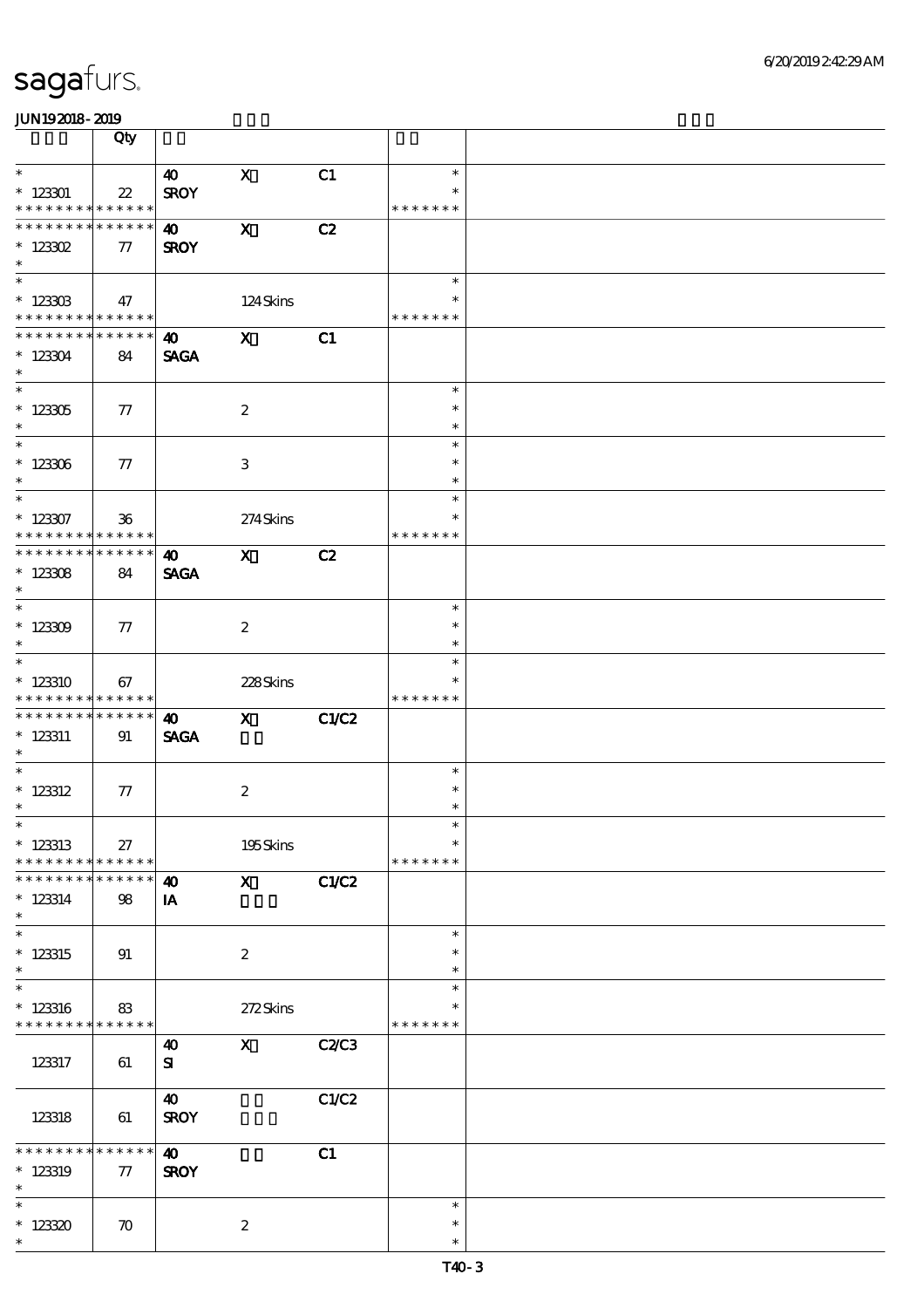|                                            | Qty                |                       |                  |       |                         |  |
|--------------------------------------------|--------------------|-----------------------|------------------|-------|-------------------------|--|
| $\ast$                                     |                    | $\boldsymbol{\omega}$ | $\mathbf{x}$     | C1    | $\ast$                  |  |
| $*123301$<br>* * * * * * * * * * * * * *   | $22\,$             | <b>SROY</b>           |                  |       | $\ast$<br>* * * * * * * |  |
| * * * * * * * * * * * * * *                |                    | $\boldsymbol{\omega}$ | $\mathbf{x}$     | C2    |                         |  |
| $^*$ 123302                                | $\tau$             | <b>SROY</b>           |                  |       |                         |  |
| $\ast$                                     |                    |                       |                  |       |                         |  |
| $\overline{\phantom{0}}$                   |                    |                       |                  |       | $\ast$                  |  |
| $*123303$<br>* * * * * * * * * * * * * *   | 47                 |                       | 124Skins         |       | * * * * * * *           |  |
| * * * * * * * * * * * * * *                |                    | <b>40</b>             | $\mathbf{x}$     | C1    |                         |  |
| $* 123304$                                 | 84                 | <b>SAGA</b>           |                  |       |                         |  |
| $\ast$                                     |                    |                       |                  |       |                         |  |
|                                            |                    |                       |                  |       | $\ast$                  |  |
| $*123305$<br>$\ast$                        | 77                 |                       | $\boldsymbol{2}$ |       | $\ast$<br>$\ast$        |  |
| $\overline{\phantom{0}}$                   |                    |                       |                  |       | $\ast$                  |  |
| $* 123306$                                 | 77                 |                       | 3                |       | $\ast$                  |  |
| $\ast$                                     |                    |                       |                  |       | $\ast$                  |  |
| $\overline{\ast}$                          |                    |                       |                  |       | $\ast$                  |  |
| $*$ 123307<br>* * * * * * * * * * * * * *  | $36\,$             |                       | 274Skins         |       | $\ast$<br>* * * * * * * |  |
| * * * * * * * * * * * * * *                |                    | $\boldsymbol{\omega}$ | $\mathbf{x}$     | C2    |                         |  |
| $* 123308$                                 | 84                 | <b>SAGA</b>           |                  |       |                         |  |
| $\ast$                                     |                    |                       |                  |       |                         |  |
|                                            |                    |                       |                  |       | $\ast$<br>$\ast$        |  |
| $*123309$<br>$\ast$                        | 77                 |                       | $\boldsymbol{2}$ |       | $\ast$                  |  |
| $\overline{\phantom{0}}$                   |                    |                       |                  |       | $\ast$                  |  |
| $*123310$                                  | 67                 |                       | 228Skins         |       | $\ast$                  |  |
| * * * * * * * * * * * * * *                |                    |                       |                  |       | * * * * * * *           |  |
| * * * * * * * * * * * * * *                |                    | $\boldsymbol{\omega}$ | $\mathbf{X}$     | C1/C2 |                         |  |
| $* 123311$<br>$*$                          | 91                 | <b>SAGA</b>           |                  |       |                         |  |
|                                            |                    |                       |                  |       | $\ast$                  |  |
| $*$ 123312                                 | 77                 |                       | $\boldsymbol{2}$ |       | $\ast$                  |  |
| $\ast$                                     |                    |                       |                  |       | $\ast$                  |  |
| $*$ $*$<br>$*$ 123313                      | 27                 |                       | 195Skins         |       | $\ast$<br>$\ast$        |  |
| * * * * * * * * <mark>* * * * * *</mark> * |                    |                       |                  |       | * * * * * * *           |  |
| * * * * * * *                              | * * * * * *        | $\boldsymbol{\omega}$ |                  |       |                         |  |
| $* 123314$                                 |                    |                       | $\mathbf{x}$     |       |                         |  |
|                                            | 98                 | IA                    |                  | C1/C2 |                         |  |
| $\ast$                                     |                    |                       |                  |       |                         |  |
| $\overline{\ast}$                          |                    |                       |                  |       | $\ast$                  |  |
| $*$ 123315<br>$\ast$                       | 91                 |                       | $\boldsymbol{2}$ |       | $\ast$<br>$\ast$        |  |
| $\ast$                                     |                    |                       |                  |       | $\ast$                  |  |
| $*123316$                                  | 83                 |                       | 272Skins         |       | ∗                       |  |
| * * * * * * * * <mark>* * * * * * *</mark> |                    |                       |                  |       | * * * * * * *           |  |
|                                            |                    | $\boldsymbol{\omega}$ | $\mathbf{x}$     | C2C3  |                         |  |
| 123317                                     | 61                 | ${\bf s}$             |                  |       |                         |  |
|                                            |                    | $\boldsymbol{\omega}$ |                  | C1/C2 |                         |  |
| 123318                                     | 61                 | <b>SROY</b>           |                  |       |                         |  |
|                                            |                    |                       |                  |       |                         |  |
| * * * * * * * *                            | * * * * * *        | $\boldsymbol{\omega}$ |                  | C1    |                         |  |
| $*$ 123319<br>$\ast$                       | $\tau$             | <b>SROY</b>           |                  |       |                         |  |
| $\ast$                                     |                    |                       |                  |       | $\ast$                  |  |
| $*12330$<br>$\ast$                         | $\boldsymbol{\pi}$ |                       | $\boldsymbol{2}$ |       | $\ast$<br>$\ast$        |  |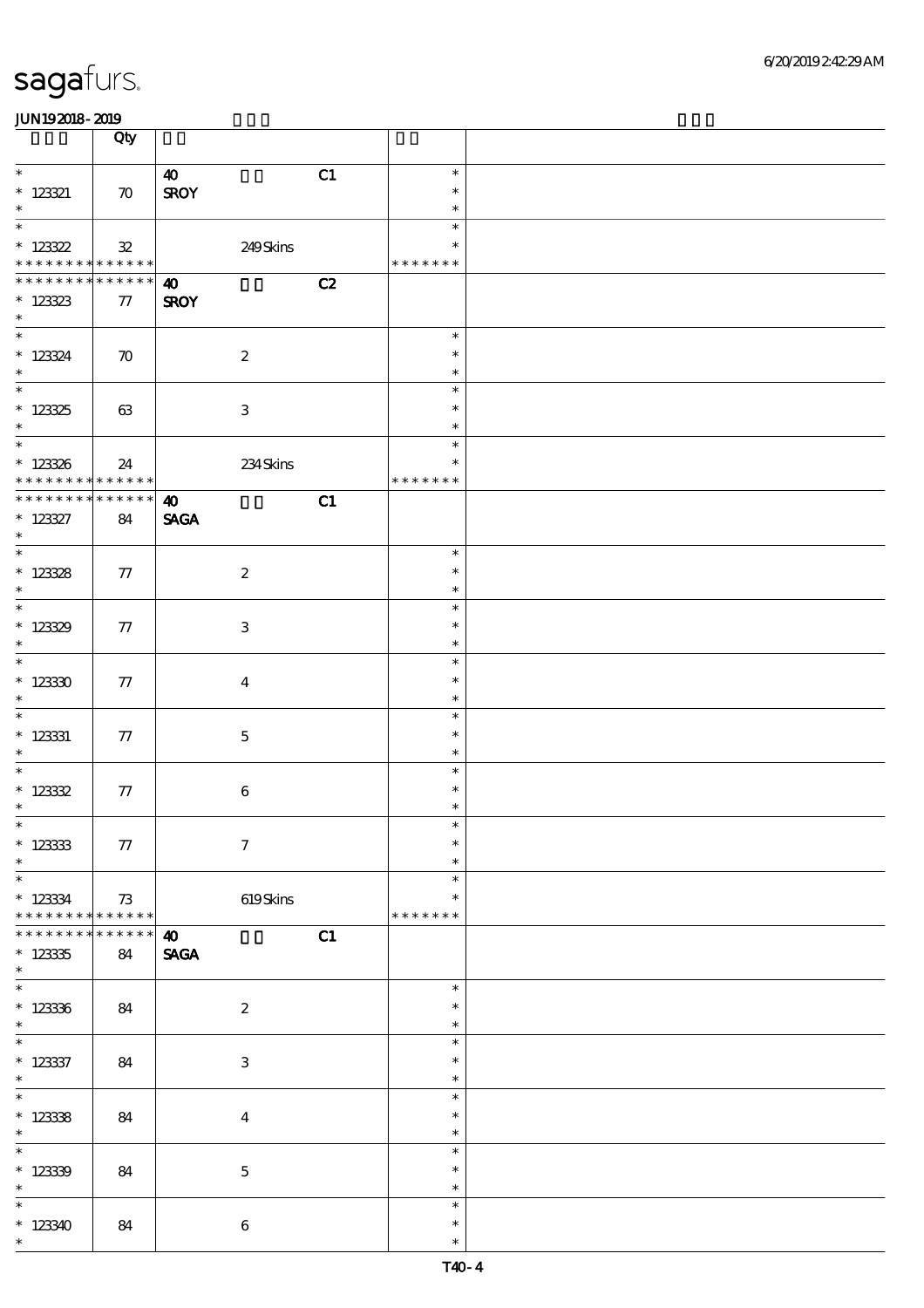|                                                                               | Qty                |                                            |                                   |  |
|-------------------------------------------------------------------------------|--------------------|--------------------------------------------|-----------------------------------|--|
| $\ast$<br>$* 123321$<br>$\ast$                                                | $\boldsymbol{\pi}$ | $\boldsymbol{\omega}$<br>C1<br><b>SROY</b> | $\ast$<br>$\ast$<br>$\ast$        |  |
| $\ast$<br>$*123322$<br>* * * * * * * * * * * * * *                            | ${\bf 3\!}$        | 249Skins                                   | $\ast$<br>$\ast$<br>* * * * * * * |  |
| * * * * * * * * * * * * * *<br>$* 123323$<br>$\ast$                           | $77\,$             | C2<br>$\boldsymbol{\omega}$<br><b>SROY</b> |                                   |  |
| $*$<br>$* 123324$<br>$\ast$                                                   | $\boldsymbol{\pi}$ | $\boldsymbol{2}$                           | $\ast$<br>$\ast$<br>$\ast$        |  |
| * 123325                                                                      | 63                 | $\ensuremath{\mathbf{3}}$                  | $\ast$<br>$\ast$<br>$\ast$        |  |
| $\overline{\phantom{0}}$<br>$* 123326$<br>* * * * * * * * * * * * * *         | 24                 | $234$ Skins                                | $\ast$<br>$\ast$<br>* * * * * * * |  |
| * * * * * * * * * * * * * *<br>$* 123327$<br>$\ast$                           | 84                 | C1<br>$\boldsymbol{\omega}$<br><b>SAGA</b> |                                   |  |
| $\overline{\phantom{0}}$<br>$\begin{array}{cc} * & 123328 \\ * & \end{array}$ | 77                 | $\boldsymbol{2}$                           | $\ast$<br>$\ast$<br>$\ast$        |  |
| $\overline{\phantom{0}}$<br>$*123329$<br>$\ast$                               | 77                 | 3                                          | $\ast$<br>$\ast$<br>$\ast$        |  |
| $\overline{\ast}$<br>$*123330$<br>$\ast$                                      | 77                 | $\boldsymbol{4}$                           | $\ast$<br>$\ast$<br>$\ast$        |  |
| $\overline{\phantom{0}}$<br>$*$ 123331<br>$\ast$                              | $77\,$             | $\mathbf 5$                                | $\ast$<br>$\ast$<br>$\ast$        |  |
| * $12332$<br>$\ast$                                                           | 77                 | $\bf 6$                                    | $\ast$<br>$\ast$<br>$\ast$        |  |
| $*$<br>$* 123333$<br>$\ast$                                                   | ${\bf 77}$         | $\boldsymbol{\tau}$                        | $\ast$<br>$\ast$<br>$\ast$        |  |
| $\ast$<br>$* 123334$<br>* * * * * * * * * * * * * * *                         | 73                 | 619Skins                                   | $\ast$<br>$\ast$<br>* * * * * * * |  |
| * * * * * * *<br>$^\ast$ 123335<br>$\ast$<br>$\overline{\phantom{0}}$         | $******$<br>84     | C1<br>$\boldsymbol{\omega}$<br><b>SAGA</b> |                                   |  |
| $* 123336$<br>$\ast$<br>$\overline{\phantom{0}}$                              | 84                 | $\boldsymbol{2}$                           | $\ast$<br>$\ast$<br>$\ast$        |  |
| $* 123337$<br>$\ast$                                                          | 84                 | $\ensuremath{\mathbf{3}}$                  | $\ast$<br>$\ast$<br>$\ast$        |  |
| $\overline{\ast}$<br>$* 123338$<br>$\ast$                                     | 84                 | $\bf{4}$                                   | $\ast$<br>$\ast$<br>$\ast$        |  |
| $\overline{\ast}$<br>$*12339$<br>$\ast$                                       | 84                 | $\mathbf 5$                                | $\ast$<br>$\ast$<br>$\ast$        |  |
| $\ast$<br>* 123340 *                                                          | 84                 | $\bf 6$                                    | $\ast$<br>$\ast$<br>$\ast$        |  |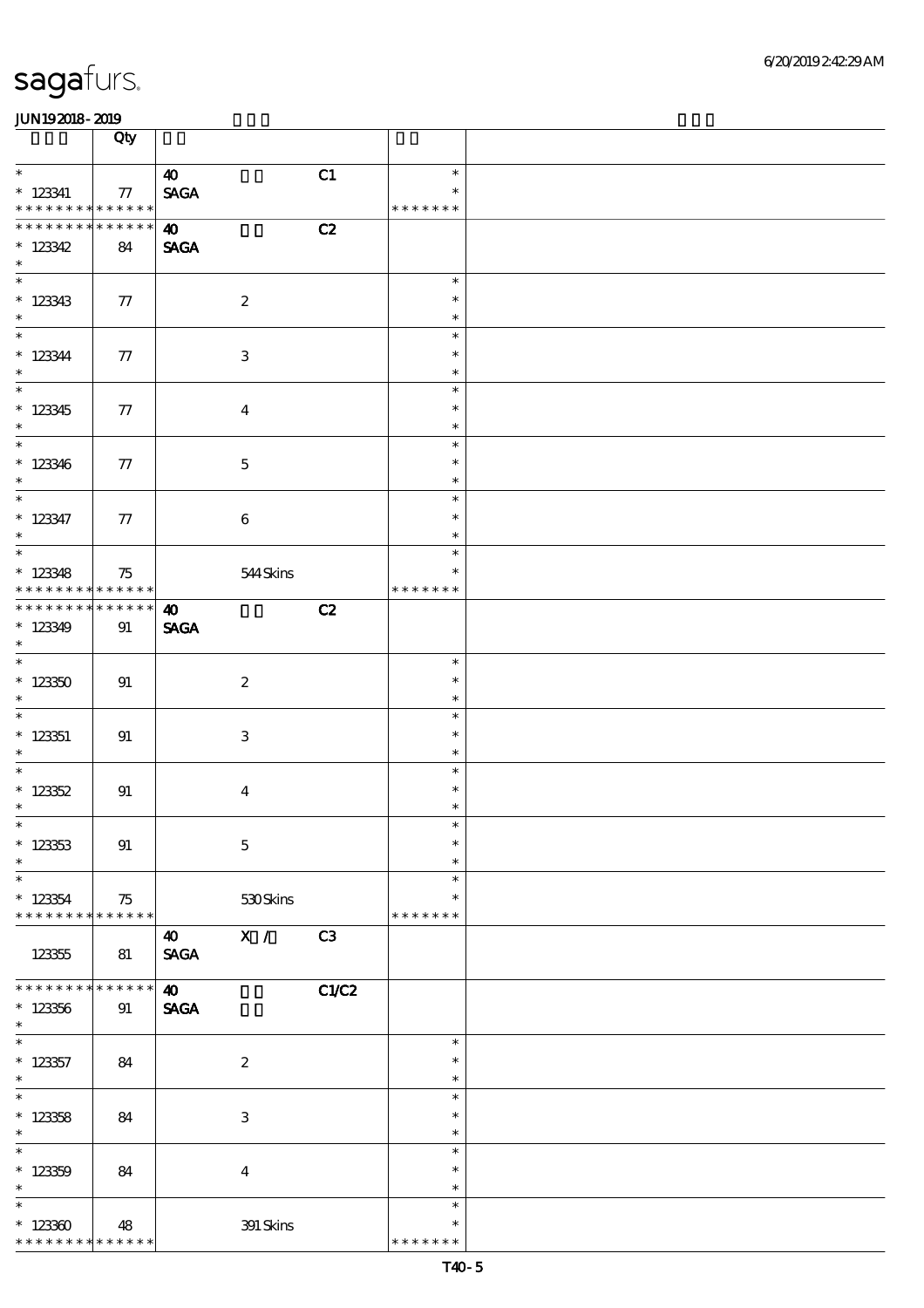|                                                                             | Qty               |                                                               |                                      |  |
|-----------------------------------------------------------------------------|-------------------|---------------------------------------------------------------|--------------------------------------|--|
| $\ast$<br>$*$ 123341<br>* * * * * * * * * * * * * *                         | 77                | C1<br>$\boldsymbol{\omega}$<br><b>SAGA</b>                    | $\ast$<br>$\ast$<br>* * * * * * *    |  |
| * * * * * * * * * * * * * *<br>$*123342$<br>$\ast$                          | 84                | C2<br>$\boldsymbol{40}$<br><b>SAGA</b>                        |                                      |  |
| $* 123343$                                                                  | 77                | $\boldsymbol{2}$                                              | $\ast$<br>$\ast$<br>$\ast$           |  |
| $^\ast$ 123344                                                              | 77                | 3                                                             | $\ast$<br>$\ast$<br>$\ast$           |  |
| $\overline{\phantom{0}}$<br>$*123345$<br>$\ast$                             | 77                | $\boldsymbol{4}$                                              | $\ast$<br>$\ast$<br>$\ast$           |  |
| $\overline{\phantom{0}}$<br>$*123346$<br>$\ast$<br>$\overline{\phantom{0}}$ | 77                | $\mathbf 5$                                                   | $\ast$<br>$\ast$<br>$\ast$           |  |
| $* 123347$<br>$\ast$<br>$\overline{\phantom{0}}$                            | 77                | $\boldsymbol{6}$                                              | $\ast$<br>$\ast$<br>$\ast$<br>$\ast$ |  |
| $*123348$<br>* * * * * * * * <mark>* * * * * * *</mark>                     | 75                | 544Skins                                                      | $\ast$<br>* * * * * * *              |  |
| **************<br>$*123349$<br>$\ast$                                       | 91                | C2<br>$\boldsymbol{\omega}$<br><b>SAGA</b>                    |                                      |  |
| $*123350$<br>$\ast$<br>$\overline{\phantom{0}}$                             | 91                | $\boldsymbol{2}$                                              | $\ast$<br>$\ast$<br>$\ast$           |  |
| $*$ 123351<br>$\ast$                                                        | 91                | 3                                                             | $\ast$<br>$\ast$<br>$\ast$           |  |
| * $123352$<br>$\ast$                                                        | 91                | $\boldsymbol{4}$                                              | $\ast$<br>$\ast$<br>$\ast$           |  |
| $\ast$<br>$* 123353$<br>$\ast$<br>$\ast$                                    | 91                | $\mathbf 5$                                                   | $\ast$<br>$\ast$<br>$\ast$<br>$\ast$ |  |
| $*123354$<br>* * * * * * * * * * * * * *                                    | 75                | 530Skins                                                      | $\ast$<br>* * * * * * *              |  |
| 123355                                                                      | 81                | X /<br>C <sub>3</sub><br>$\boldsymbol{\omega}$<br><b>SAGA</b> |                                      |  |
| * * * * * * * *<br>$* 123356$<br>$\ast$<br>$\overline{\phantom{0}}$         | * * * * * *<br>91 | $\boldsymbol{\omega}$<br>C1/C2<br><b>SAGA</b>                 |                                      |  |
| $*$ 123357<br>$*$<br>$\overline{\ast}$                                      | 84                | $\boldsymbol{2}$                                              | $\ast$<br>$\ast$<br>$\ast$           |  |
| $*123358$<br>$\ast$<br>$\ast$                                               | 84                | $\,3\,$                                                       | $\ast$<br>$\ast$<br>$\ast$           |  |
| $* 123359$<br>$\ast$<br>$\ast$                                              | 84                | $\boldsymbol{4}$                                              | $\ast$<br>$\ast$<br>$\ast$           |  |
| $*123300$<br>* * * * * * * *                                                | 48<br>* * * * * * | 391 Skins                                                     | $\ast$<br>$\ast$<br>* * * * * * *    |  |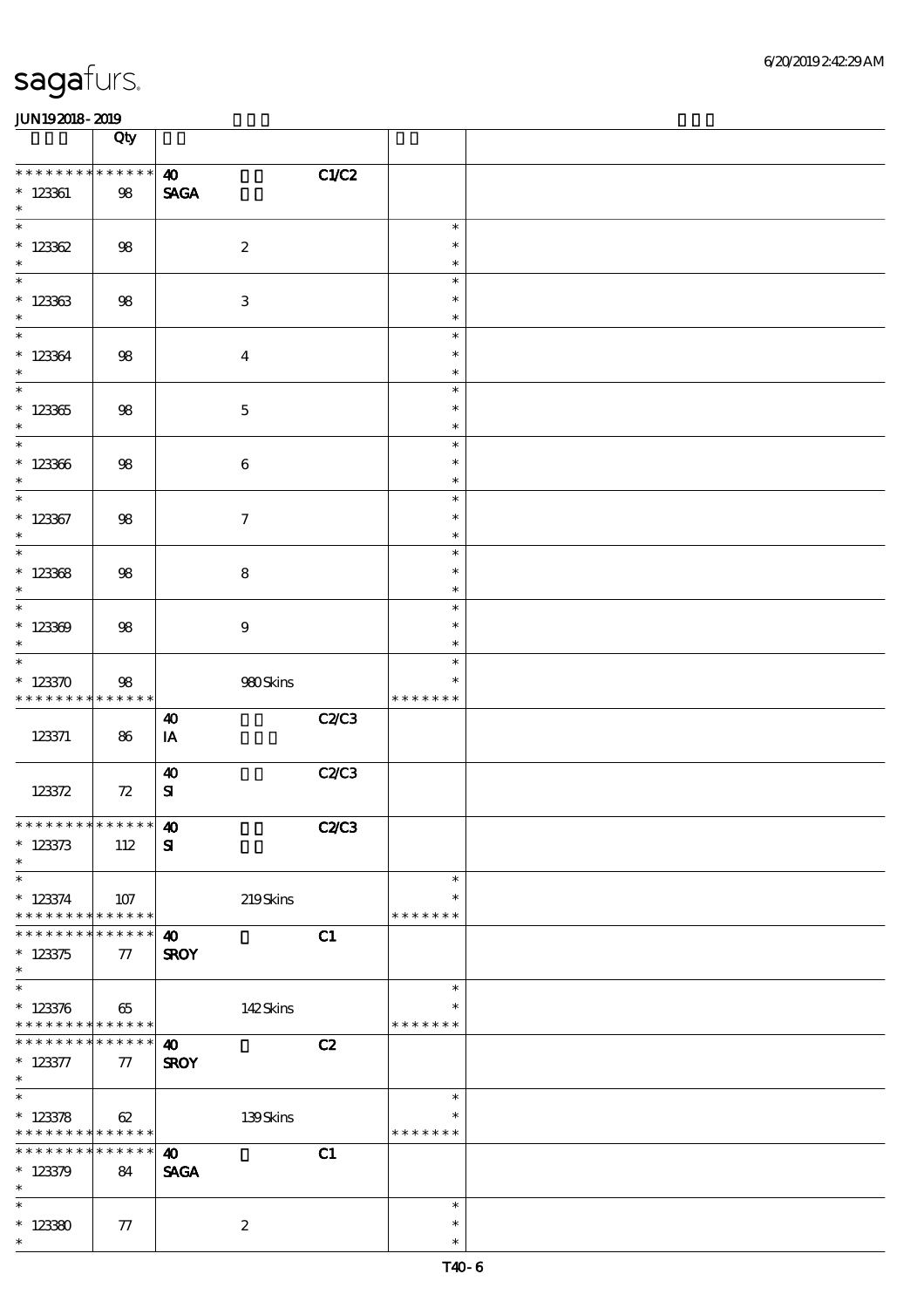|                                                                          | Qty               |                                      |              |                                   |  |
|--------------------------------------------------------------------------|-------------------|--------------------------------------|--------------|-----------------------------------|--|
| * * * * * * * * * * * * * *<br>$* 123361$<br>$\ast$                      | 98                | $\boldsymbol{\omega}$<br><b>SAGA</b> | C1/C2        |                                   |  |
| $\overline{\phantom{0}}$<br>$* 123362$<br>$\ast$                         | 98                | $\boldsymbol{2}$                     |              | $\ast$<br>$\ast$<br>$\ast$        |  |
| $\overline{\ast}$<br>$*123363$<br>$\ast$                                 | 98                | $\,3\,$                              |              | $\ast$<br>$\ast$<br>$\ast$        |  |
| $\ast$<br>$* 123364$<br>$\ast$                                           | 98                | $\boldsymbol{4}$                     |              | $\ast$<br>$\ast$<br>$\ast$        |  |
| $\overline{\phantom{0}}$<br>$^\ast$ 123365<br>$\ast$                     | $98$              | $\mathbf 5$                          |              | $\ast$<br>$\ast$<br>$\ast$        |  |
| $\overline{\ast}$<br>$*123366$<br>$\ast$                                 | 98                | $\bf 6$                              |              | $\ast$<br>$\ast$<br>$\ast$        |  |
| $\ast$<br>$*$ 123367<br>$\ast$                                           | 98                | $\boldsymbol{\tau}$                  |              | $\ast$<br>$\ast$<br>$\ast$        |  |
| $\overline{\phantom{0}}$<br>$* 123368$<br>$\ast$                         | $98$              | $\bf8$                               |              | $\ast$<br>$\ast$<br>$\ast$        |  |
| $\overline{\phantom{0}}$<br>$*123309$<br>$\ast$                          | 98                | $\boldsymbol{9}$                     |              | $\ast$<br>$\ast$<br>$\ast$        |  |
| $\ast$<br>$*123370$<br>* * * * * * * * * * * * * *                       | $98\,$            | 980Skins                             |              | $\ast$<br>* * * * * * *           |  |
| 123371                                                                   | 86                | $\boldsymbol{\omega}$<br>IA          | C2C3         |                                   |  |
| 123372                                                                   | 72                | $\boldsymbol{\omega}$<br>${\bf S}$   | C2C3         |                                   |  |
| *************** <b>10</b><br>$* 123373$<br>$\ast$                        | 112               | ${\bf s}$                            | <b>C2/C3</b> |                                   |  |
| $\ast$<br>$*123374$<br>* * * * * * * * * * * * * *                       | 107               | 219Skins                             |              | $\ast$<br>$\ast$<br>* * * * * * * |  |
| * * * * * * *<br>$* 123375$<br>$\ast$                                    | * * * * * *<br>77 | $\boldsymbol{\omega}$<br><b>SROY</b> | C1           |                                   |  |
| $\overline{\ast}$<br>$*123376$<br>* * * * * * * * * * * * * *            | 65                | 142Skins                             |              | $\ast$<br>$\ast$<br>* * * * * * * |  |
| * * * * * * * * * * * * * *<br>$* 123377$<br>$\ast$<br>$\overline{\ast}$ | 77                | $\boldsymbol{\omega}$<br><b>SROY</b> | C2           |                                   |  |
| $* 123378$<br>* * * * * * * * * * * * * *                                | 62                | 139Skins                             |              | $\ast$<br>∗<br>* * * * * * *      |  |
| * * * * * * * * * * * * * *<br>$* 123379$<br>$\ast$                      | 84                | $\boldsymbol{\omega}$<br><b>SAGA</b> | C1           |                                   |  |
| $\ast$<br>$*12330$<br>$\ast$                                             | 77                | $\boldsymbol{2}$                     |              | $\ast$<br>$\ast$<br>$\ast$        |  |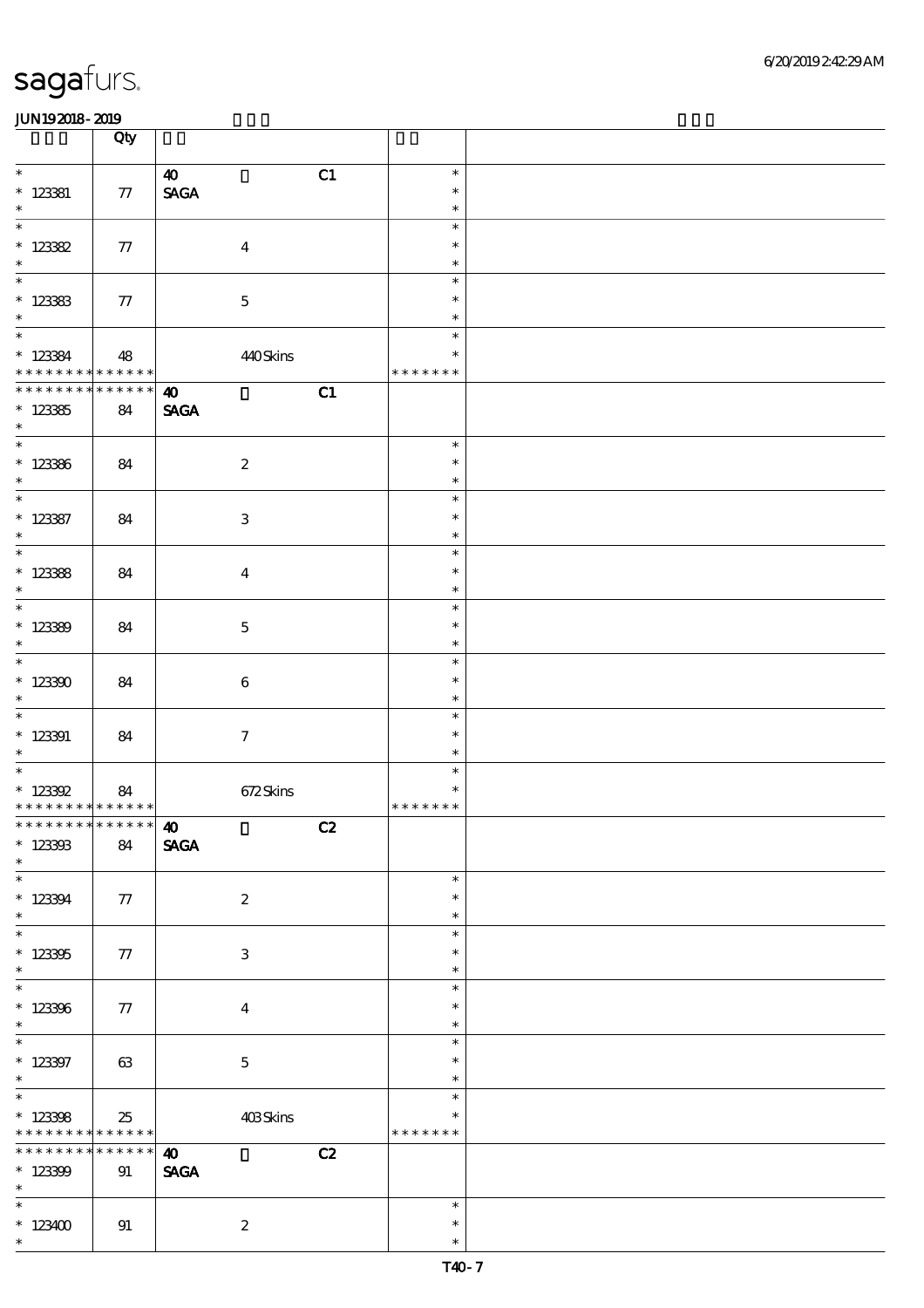|                                                      | Qty         |                              |                         |  |
|------------------------------------------------------|-------------|------------------------------|-------------------------|--|
| $\overline{\ast}$                                    |             | C1<br>$\boldsymbol{\omega}$  | $\ast$                  |  |
| $*$ 123381<br>$\ast$                                 | 77          | $\ensuremath{\mathsf{SAGA}}$ | $\ast$<br>$\ast$        |  |
| $\ast$                                               |             |                              | $\ast$                  |  |
| $* 123382$                                           | 77          | $\boldsymbol{4}$             | $\ast$                  |  |
| $\ast$                                               |             |                              | $\ast$                  |  |
| $\overline{\phantom{0}}$<br>$\underset{*}{*}$ 123383 | 77          | $\mathbf 5$                  | $\ast$<br>$\ast$        |  |
|                                                      |             |                              | $\ast$                  |  |
| $\overline{\ast}$                                    |             |                              | $\ast$                  |  |
| $*123384$<br>* * * * * * * * * * * * * *             | 48          | 440Skins                     | $\ast$<br>* * * * * * * |  |
| * * * * * * * *                                      | * * * * * * | C1<br>$\boldsymbol{\omega}$  |                         |  |
| $* 12335$                                            | 84          | <b>SAGA</b>                  |                         |  |
| $\ast$                                               |             |                              |                         |  |
|                                                      |             |                              | $\ast$                  |  |
| $*123386$<br>$\ast$                                  | 84          | $\boldsymbol{2}$             | $\ast$<br>$\ast$        |  |
|                                                      |             |                              | $\ast$                  |  |
| $*$ 123387                                           | 84          | $\ensuremath{\mathbf{3}}$    | $\ast$                  |  |
| $\ast$                                               |             |                              | $\ast$                  |  |
| $\overline{\ast}$                                    |             |                              | $\ast$                  |  |
| $* 123388$                                           | 84          | $\boldsymbol{4}$             | $\ast$                  |  |
| $\ast$<br>$\overline{\phantom{0}}$                   |             |                              | $\ast$<br>$\ast$        |  |
| $* 123300$                                           | 84          | $\mathbf{5}$                 | $\ast$                  |  |
| $\ast$                                               |             |                              | $\ast$                  |  |
| $\overline{\ast}$                                    |             |                              | $\ast$                  |  |
| $*123300$                                            | 84          | $\bf 6$                      | $\ast$                  |  |
| $\ast$                                               |             |                              | $\ast$                  |  |
| $\overline{\ast}$                                    |             |                              | $\ast$                  |  |
| $*123391$<br>$\ast$                                  | 84          | $\tau$                       | $\ast$<br>$\ast$        |  |
|                                                      |             |                              | $\ast$                  |  |
| $* 123392$                                           | 84          | 672Skins                     | $\ast$                  |  |
| * * * * * * * * * * * * * *                          |             |                              | * * * * * * *           |  |
|                                                      |             | C2                           |                         |  |
| $* 123303$<br>$\ast$                                 | 84          | <b>SAGA</b>                  |                         |  |
| $\overline{\phantom{0}}$                             |             |                              | $\ast$                  |  |
| $* 123394$                                           | 77          | $\boldsymbol{z}$             | $\ast$                  |  |
| $\ast$                                               |             |                              | $\ast$                  |  |
| $\overline{\phantom{0}}$                             |             |                              | $\ast$                  |  |
| $*123305$<br>$\ast$                                  | 77          | 3                            | $\ast$<br>$\ast$        |  |
| $\overline{\phantom{0}}$                             |             |                              | $\ast$                  |  |
| $* 123306$                                           | 77          | $\overline{4}$               | $\ast$                  |  |
| $\ast$                                               |             |                              | $\ast$                  |  |
| $\ast$                                               |             |                              | $\ast$                  |  |
| $*$ 123397                                           | 63          | $\overline{5}$               | $\ast$                  |  |
| $\ast$<br>$\overline{\phantom{0}}$                   |             |                              | $\ast$<br>$\ast$        |  |
| $*123398$                                            | 25          | 403Skins                     | $\ast$                  |  |
| * * * * * * * * * * * * * *                          |             |                              | * * * * * * *           |  |
| * * * * * * * *                                      | * * * * * * | C2<br>$\boldsymbol{\omega}$  |                         |  |
| $* 123309$                                           | 91          | <b>SAGA</b>                  |                         |  |
| $*$<br>$\ast$                                        |             |                              |                         |  |
| $*123400$                                            | 91          | $\boldsymbol{2}$             | $\ast$<br>$\ast$        |  |
| $\ast$                                               |             |                              | $\ast$                  |  |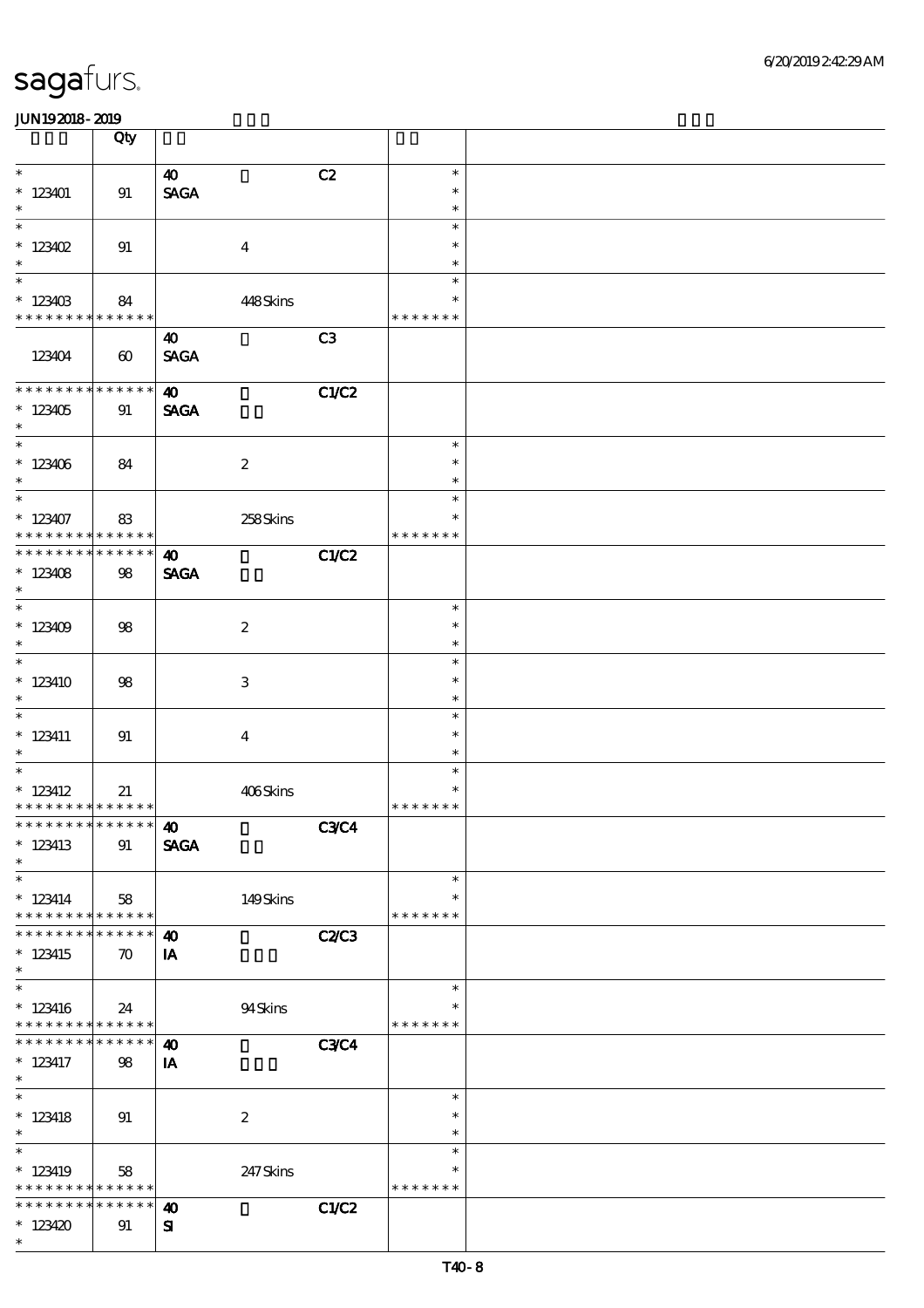|                                                                 | Qty                   |                                                         |                |                                   |  |
|-----------------------------------------------------------------|-----------------------|---------------------------------------------------------|----------------|-----------------------------------|--|
| $\overline{\ast}$<br>$*123401$                                  | 91                    | $\boldsymbol{\omega}$<br>$\operatorname{\mathsf{SAGA}}$ | C2             | $\ast$<br>$\ast$                  |  |
| $\ast$<br>$\overline{\phantom{0}}$                              |                       |                                                         |                | $\ast$                            |  |
| $* 123402$                                                      | 91                    | $\boldsymbol{4}$                                        |                | $\ast$<br>$\ast$                  |  |
| $\ast$<br>$\overline{\phantom{0}}$                              |                       |                                                         |                | $\ast$<br>$\ast$                  |  |
| $*123403$<br>* * * * * * * * * * * * * *                        | 84                    | 448Skins                                                |                | $\ast$<br>* * * * * * *           |  |
| 123404                                                          | $\boldsymbol{\omega}$ | $\boldsymbol{\omega}$<br><b>SAGA</b>                    | C <sub>3</sub> |                                   |  |
| ********<br>$*123405$<br>$\ast$                                 | * * * * * *<br>91     | $\boldsymbol{\omega}$<br><b>SAGA</b>                    | C1/C2          |                                   |  |
| $\overline{\phantom{0}}$<br>$*123406$<br>$\ast$                 | 84                    | $\boldsymbol{2}$                                        |                | $\ast$<br>$\ast$<br>$\ast$        |  |
| $\overline{\ast}$<br>$*123407$<br>* * * * * * * * * * * * * * * | 83                    | 258Skins                                                |                | $\ast$<br>$\ast$<br>* * * * * * * |  |
| ********<br>$*123408$<br>$\ast$                                 | * * * * * *<br>98     | $\boldsymbol{\omega}$<br><b>SAGA</b>                    | C1/C2          |                                   |  |
| $\overline{\phantom{0}}$<br>$*123409$<br>$\ast$                 | 98                    | $\boldsymbol{2}$                                        |                | $\ast$<br>$\ast$<br>$\ast$        |  |
| $\ast$<br>$*123410$<br>$\ast$                                   | $98$                  | 3                                                       |                | $\ast$<br>$\ast$<br>$\ast$        |  |
| $\ast$<br>$*$ 123411<br>$\ast$                                  | 91                    | $\bf{4}$                                                |                | $\ast$<br>$\ast$<br>$\ast$        |  |
| $*$ 123412<br>* * * * * * * * * * * * * * *                     | 21                    | 406Skins                                                |                | $\ast$<br>$\ast$<br>* * * * * * * |  |
| ************** <b>40</b><br>$*$ 123413<br>$\ast$                | 91                    | <b>SAGA</b>                                             | C3C4           |                                   |  |
| $\ast$<br>$* 123414$<br>* * * * * * * * * * * * * * *           | 58                    | 149Skins                                                |                | $\ast$<br>$\ast$<br>* * * * * * * |  |
| * * * * * * * * * * * * * *<br>$*$ 123415<br>$\ast$             | $\boldsymbol{\pi}$    | $\boldsymbol{\omega}$<br>IA                             | <b>C2/C3</b>   |                                   |  |
| $\overline{\ast}$<br>$*123416$<br>* * * * * * * * * * * * * *   | 24                    | 94Skins                                                 |                | $\ast$<br>* * * * * * *           |  |
| * * * * * * *<br>$* 123417$<br>$\ast$                           | * * * * * *<br>98     | $\boldsymbol{\omega}$<br>IA                             | <b>C3C4</b>    |                                   |  |
| $\overline{\ast}$<br>$*$ 123418<br>$\ast$                       | 91                    | $\boldsymbol{2}$                                        |                | $\ast$<br>$\ast$<br>$\ast$        |  |
| $\ast$<br>$*123419$<br>* * * * * * * * * * * * * *              | 58                    | 247 Skins                                               |                | $\ast$<br>$\ast$<br>* * * * * * * |  |
| * * * * * * * *<br>$*123420$<br>$\ast$                          | * * * * * *<br>91     | $\boldsymbol{\omega}$<br>${\bf s}$                      | C1/C2          |                                   |  |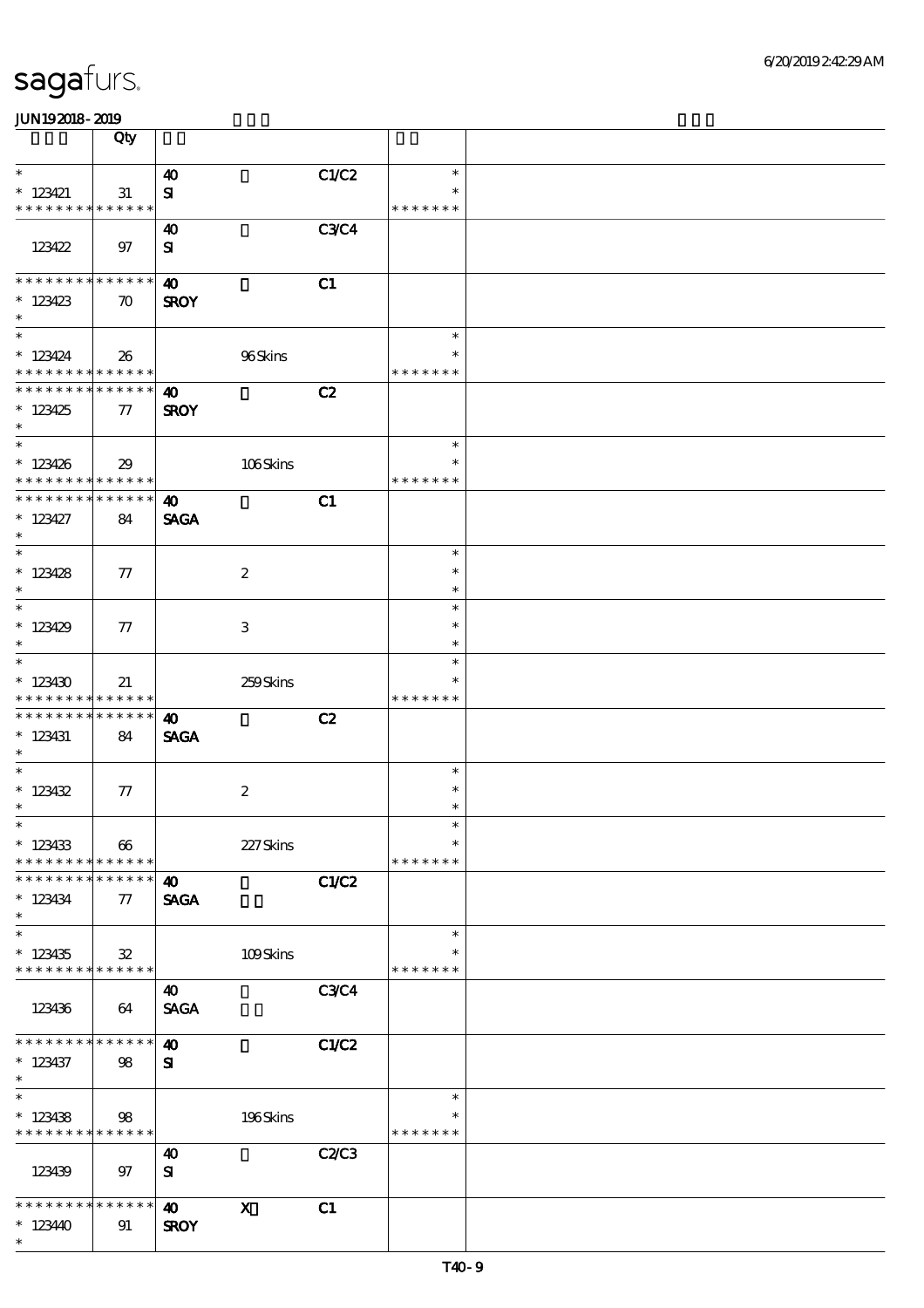|                                                       | Qty                |                                       |             |                         |  |
|-------------------------------------------------------|--------------------|---------------------------------------|-------------|-------------------------|--|
| $\ast$                                                |                    | $\boldsymbol{\omega}$                 | C1/C2       | $\ast$                  |  |
| $* 123421$<br>* * * * * * * * * * * * * *             | 31                 | ${\bf s}$                             |             | * * * * * * *           |  |
| 123422                                                | 97                 | 40<br>$\mathbf{S}$                    | <b>C3C4</b> |                         |  |
|                                                       |                    |                                       |             |                         |  |
| * * * * * * * * * * * * * *<br>$*123423$<br>$\ast$    | $\boldsymbol{\pi}$ | $\boldsymbol{\omega}$<br><b>SROY</b>  | C1          |                         |  |
| $\ast$                                                |                    |                                       |             | $\ast$                  |  |
| $*123424$<br>* * * * * * * * * * * * * *              | 26                 | 96Skins                               |             | $\ast$<br>* * * * * * * |  |
| * * * * * * * * * * * * * * *                         |                    | $\boldsymbol{\omega}$                 | C2          |                         |  |
| $*123425$<br>$\ast$                                   | $\tau$             | <b>SROY</b>                           |             |                         |  |
| $*$                                                   |                    |                                       |             | $\ast$                  |  |
| $*123426$<br>* * * * * * * * * * * * * *              | 29                 | 106Skins                              |             | $\ast$<br>* * * * * * * |  |
| * * * * * * * * * * * * * *                           |                    | $\boldsymbol{\omega}$                 | C1          |                         |  |
| $* 123427$<br>$\ast$                                  | 84                 | <b>SAGA</b>                           |             |                         |  |
| $\overline{\phantom{0}}$                              |                    |                                       |             | $\ast$                  |  |
| $*123428$<br>$\ast$                                   | $\pi$              | $\boldsymbol{2}$                      |             | $\ast$<br>$\ast$        |  |
|                                                       |                    |                                       |             | $\ast$                  |  |
| $*123429$<br>$\ast$                                   | 77                 | 3                                     |             | $\ast$<br>$\ast$        |  |
| $\ast$                                                |                    |                                       |             | $\ast$                  |  |
| $*123430$<br>* * * * * * * * * * * * * *              | 21                 | 259Skins                              |             | * * * * * * *           |  |
| ******** <mark>******</mark>                          |                    | $\boldsymbol{\omega}$                 | C2          |                         |  |
| $*$ 123431<br>$*$                                     | 84                 | <b>SAGA</b>                           |             |                         |  |
| $*$                                                   |                    |                                       |             | $\ast$                  |  |
| $* 123432$                                            | 77                 | $\boldsymbol{2}$                      |             | $\ast$                  |  |
| $\ast$                                                |                    |                                       |             | $\ast$                  |  |
| $*$<br>$*123433$                                      | 66                 | 227Skins                              |             | $\ast$<br>$\ast$        |  |
| * * * * * * * * <mark>* * * * * *</mark>              |                    |                                       |             | * * * * * * *           |  |
| * * * * * * * *<br>$* 123434$<br>$\ast$               | * * * * * *<br>77  | $\boldsymbol{\omega}$<br><b>SAGA</b>  | C1/C2       |                         |  |
| $\overline{\ast}$                                     |                    |                                       |             | $\ast$                  |  |
| $*123435$<br>* * * * * * * * * * * * * *              | ${\bf 32}$         | 109Skins                              |             | * * * * * * *           |  |
|                                                       |                    | 40                                    | <b>C3C4</b> |                         |  |
| 123436                                                | 64                 | <b>SAGA</b>                           |             |                         |  |
| * * * * * * * * * * * * * *                           |                    | $\boldsymbol{\omega}$                 | C1/C2       |                         |  |
| $* 123437$<br>$*$                                     | 98                 | ${\bf s}$                             |             |                         |  |
| $\overline{\ast}$                                     |                    |                                       |             | $\ast$                  |  |
| $*123438$<br>* * * * * * * * <mark>* * * * * *</mark> | 98                 | 196Skins                              |             | * * * * * * *           |  |
|                                                       |                    | 40                                    | C2/C3       |                         |  |
| 123439                                                | 97                 | ${\bf s}$                             |             |                         |  |
| * * * * * * * *                                       | * * * * * *        | $\mathbf{x}$<br>$\boldsymbol{\omega}$ | C1          |                         |  |
| $*12340$<br>$\ast$                                    | 91                 | <b>SROY</b>                           |             |                         |  |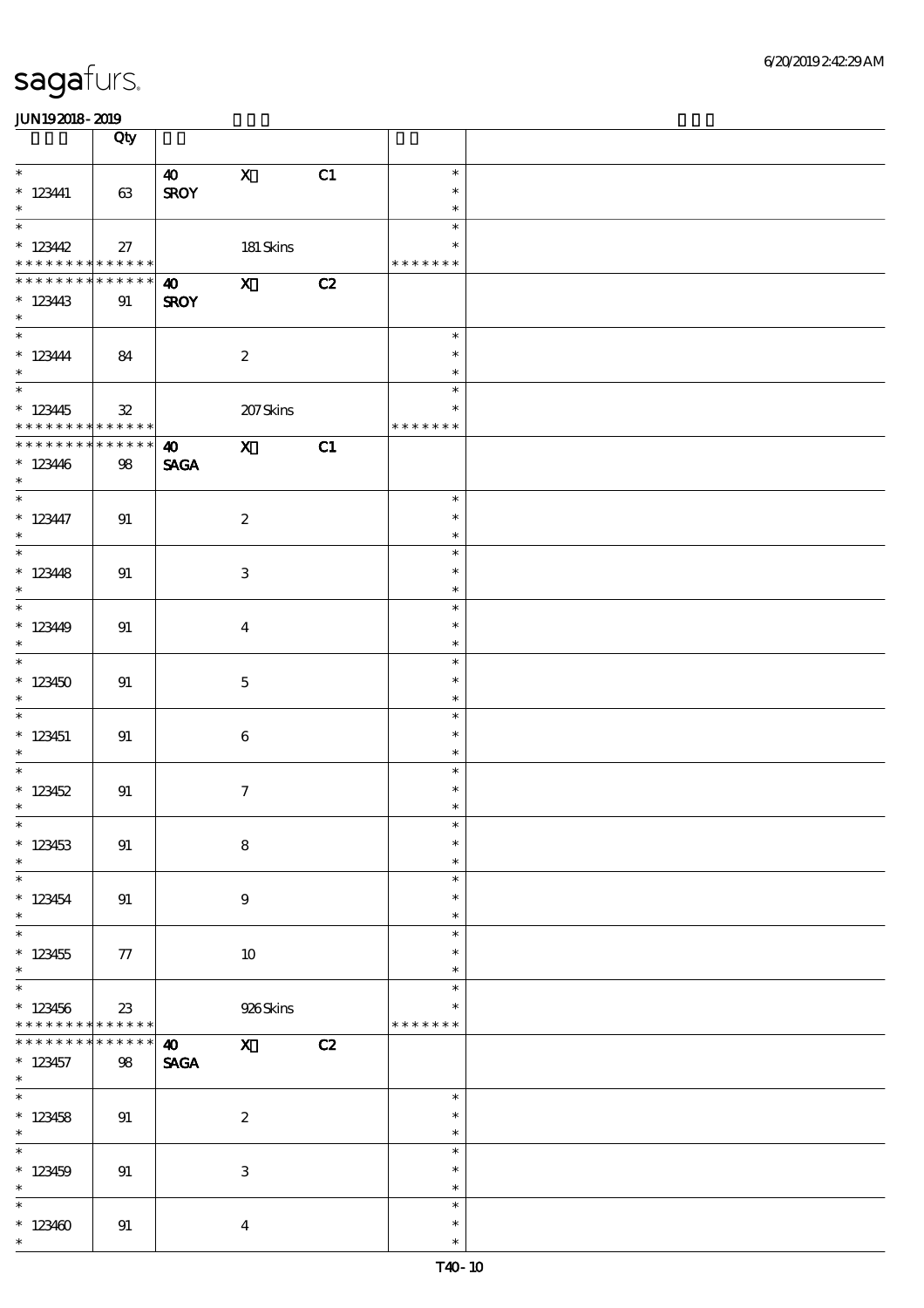|                                                               | Qty               |                                      |                               |    |                                   |  |
|---------------------------------------------------------------|-------------------|--------------------------------------|-------------------------------|----|-----------------------------------|--|
| $\overline{\ast}$<br>$* 123441$<br>$\ast$                     | 63                | 40 X<br><b>SROY</b>                  |                               | C1 | $\ast$<br>$\ast$<br>$\ast$        |  |
| $\overline{\ast}$<br>$*123442$<br>* * * * * * * * * * * * * * | 27                |                                      | 181 Skins                     |    | $\ast$<br>$\ast$<br>* * * * * * * |  |
| * * * * * * * * * * * * * *<br>$*123443$<br>$\ast$            | 91                | <b>40</b> X<br><b>SROY</b>           |                               | C2 |                                   |  |
| $* 123444$<br>$\ast$                                          | 84                |                                      | $\boldsymbol{2}$              |    | $\ast$<br>$\ast$<br>$\ast$        |  |
| $*123445$<br>* * * * * * * * * * * * * * *                    | ${\bf 32}$        |                                      | $207\mathrm{S} \mathrm{kins}$ |    | $\ast$<br>$\ast$<br>* * * * * * * |  |
| **************<br>$*123446$<br>$\ast$                         | 98                | $\boldsymbol{\omega}$<br><b>SAGA</b> | $\overline{\mathbf{X}}$       | C1 |                                   |  |
| $* 123447$<br>$\ast$                                          | 91                |                                      | $\boldsymbol{2}$              |    | $\ast$<br>$\ast$<br>$\ast$        |  |
| * 123448                                                      | 91                |                                      | $\ensuremath{\mathsf{3}}$     |    | $\ast$<br>$\ast$<br>$\ast$        |  |
| $*123449$<br>$\ast$                                           | 91                |                                      | $\overline{\mathbf{4}}$       |    | $\ast$<br>$\ast$<br>$\ast$        |  |
| $*123450$<br>$\ast$                                           | 91                |                                      | $\mathbf 5$                   |    | $\ast$<br>$\ast$<br>$\ast$        |  |
| $\overline{\phantom{0}}$<br>$*$ 123451<br>$\ast$              | 91                |                                      | $\bf 6$                       |    | $\ast$<br>$\ast$<br>$\ast$        |  |
| $*123452$<br>$\ast$                                           | 91                |                                      | $\tau$                        |    | $\ast$<br>$\ast$<br>$\ast$        |  |
| $*$ $*$<br>$* 123453$<br>$\ast$                               | 91                |                                      | $\bf 8$                       |    | $\ast$<br>$\ast$<br>$\ast$        |  |
| $\ast$<br>$* 123454$<br>$\ast$                                | 91                |                                      | $\boldsymbol{9}$              |    | $\ast$<br>$\ast$<br>$\ast$        |  |
| $\overline{\phantom{0}}$<br>$*123455$<br>$\ast$               | $77\,$            |                                      | $10\,$                        |    | $\ast$<br>$\ast$<br>$\ast$        |  |
| $\overline{\ast}$<br>$*123456$<br>* * * * * * * * * * * * * * | 23                |                                      | 926Skins                      |    | $\ast$<br>$\ast$<br>* * * * * * * |  |
| * * * * * * *<br>$* 123457$<br>$\ast$                         | * * * * * *<br>98 | $\boldsymbol{\omega}$<br><b>SAGA</b> | $\mathbf{x}$                  | C2 |                                   |  |
| $\overline{\phantom{0}}$<br>$* 123458$<br>$\ast$              | 91                |                                      | $\boldsymbol{2}$              |    | $\ast$<br>$\ast$<br>$\ast$        |  |
| $\overline{\ast}$<br>$*123459$<br>$\ast$                      | 91                |                                      | $\,3$                         |    | $\ast$<br>$\ast$<br>$\ast$        |  |
| $\ast$<br>$*123400$<br>$\ast$                                 | 91                |                                      | $\boldsymbol{4}$              |    | $\ast$<br>$\ast$<br>$\ast$        |  |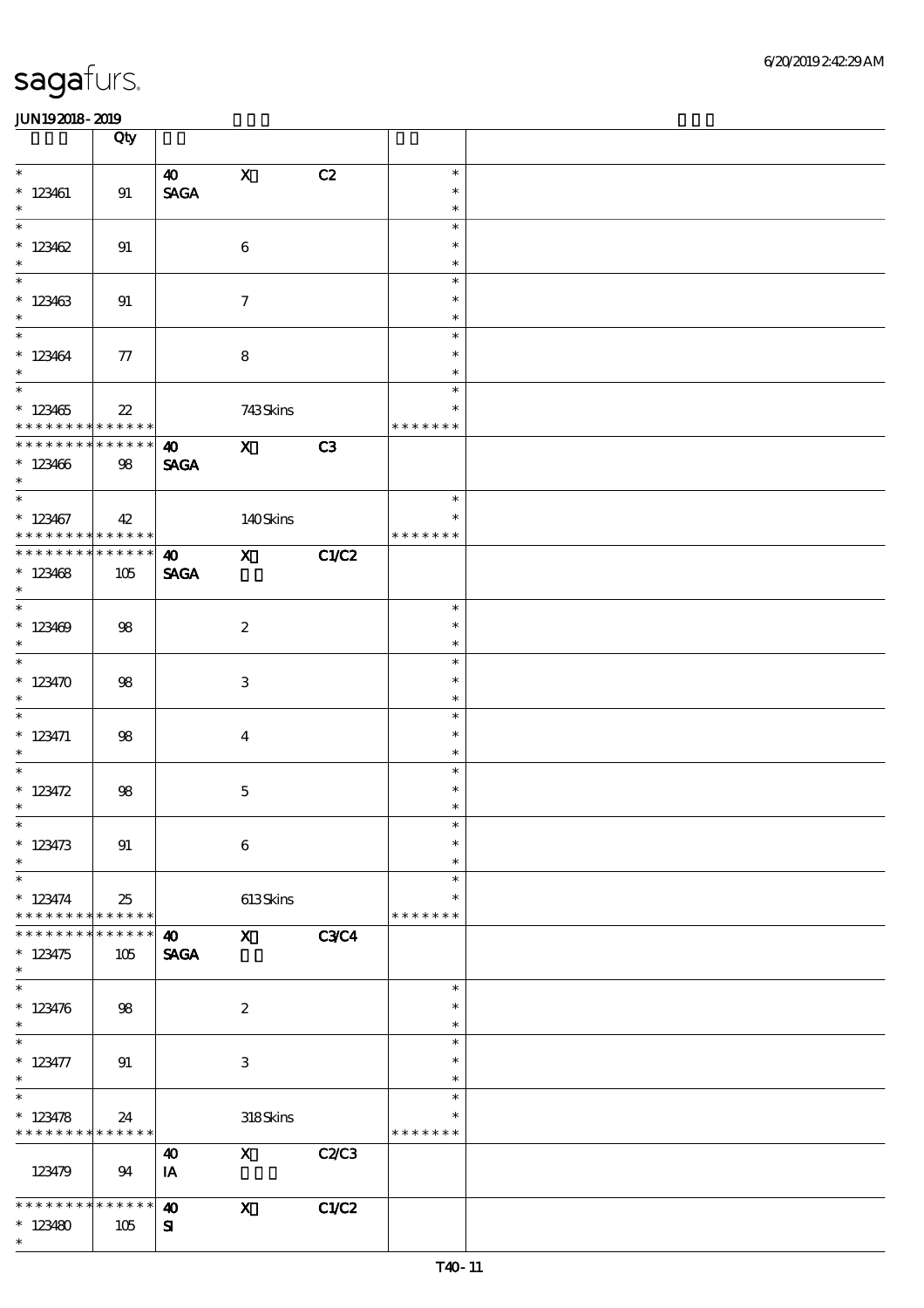|                                                                        | Qty                |                                      |                           |             |                                   |  |
|------------------------------------------------------------------------|--------------------|--------------------------------------|---------------------------|-------------|-----------------------------------|--|
| $\ast$<br>$*123461$<br>$\ast$                                          | 91                 | 40<br><b>SAGA</b>                    | $\mathbf{x}$              | C2          | $\ast$<br>$\ast$<br>$\ast$        |  |
| $\overline{\phantom{0}}$<br>$*123462$<br>$\ast$                        | 91                 |                                      | $\bf 6$                   |             | $\ast$<br>$\ast$<br>$\ast$        |  |
| $\overline{\ast}$<br>$* 123463$                                        | 91                 |                                      | $\boldsymbol{7}$          |             | $\ast$<br>$\ast$<br>$\ast$        |  |
| $* 123464$                                                             | 77                 |                                      | 8                         |             | $\ast$<br>$\ast$<br>$\ast$        |  |
| $\overline{\phantom{a}}$<br>$*123465$<br>* * * * * * * * * * * * * * * | $22\,$             |                                      | 743Skins                  |             | $\ast$<br>$\ast$<br>* * * * * * * |  |
| **************<br>$*123406$<br>$\ast$                                  | $98\,$             | $\boldsymbol{\omega}$<br><b>SAGA</b> | $\mathbf x$               | C3          |                                   |  |
| $\overline{\ast}$<br>$*123467$<br>* * * * * * * * * * * * * * *        | 42                 |                                      | 140Skins                  |             | $\ast$<br>$\ast$<br>* * * * * * * |  |
| * * * * * * * * * * * * * *<br>$*123468$<br>$\ast$                     | 105                | 40<br><b>SAGA</b>                    | $\mathbf X$               | C1/C2       |                                   |  |
| $*123409$<br>$\ast$                                                    | 98                 |                                      | $\boldsymbol{2}$          |             | $\ast$<br>$\ast$<br>$\ast$        |  |
| * $123470$<br>$\ast$                                                   | 98                 |                                      | 3                         |             | $\ast$<br>$\ast$<br>$\ast$        |  |
| $\overline{\phantom{0}}$<br>$* 123471$<br>$*$                          | 98                 |                                      | $\bf{4}$                  |             | $\ast$<br>$\ast$<br>$\ast$        |  |
| * $123472$<br>$\ast$                                                   | 98                 |                                      | $\mathbf 5$               |             | $\ast$<br>$\ast$<br>$\ast$        |  |
| $*$<br>$* 123473$<br>$\ast$                                            | 91                 |                                      | $\,6\,$                   |             | $\ast$<br>$\ast$<br>$\ast$        |  |
| $\ast$<br>$* 123474$<br>* * * * * * * * <mark>* * * * * * *</mark>     | 25                 |                                      | $613$ Skins               |             | $\ast$<br>$\ast$<br>* * * * * * * |  |
| * * * * * * *<br>$* 123475$<br>$\ast$                                  | * * * * * *<br>105 | $\boldsymbol{\omega}$<br><b>SAGA</b> | $\mathbf{x}$              | <b>C3C4</b> |                                   |  |
| $\overline{\ast}$<br>$* 123476$<br>$\ast$                              | 98                 |                                      | $\boldsymbol{2}$          |             | $\ast$<br>$\ast$<br>$\ast$        |  |
| $\overline{\phantom{a}^*}$<br>$* 123477$<br>$\ast$                     | 91                 |                                      | $\,3$                     |             | $\ast$<br>$\ast$<br>$\ast$        |  |
| $\overline{\ast}$<br>$* 123478$<br>* * * * * * * * * * * * * *         | 24                 |                                      | 318Skins                  |             | $\ast$<br>$\ast$<br>* * * * * * * |  |
| 123479                                                                 | 94                 | $\boldsymbol{\omega}$<br>IA          | $\mathbf{x}$              | C2/C3       |                                   |  |
| * * * * * * * *<br>$*123480$<br>$\ast$                                 | * * * * * *<br>105 | $\boldsymbol{\omega}$<br>${\bf s}$   | $\boldsymbol{\mathrm{X}}$ | C1/C2       |                                   |  |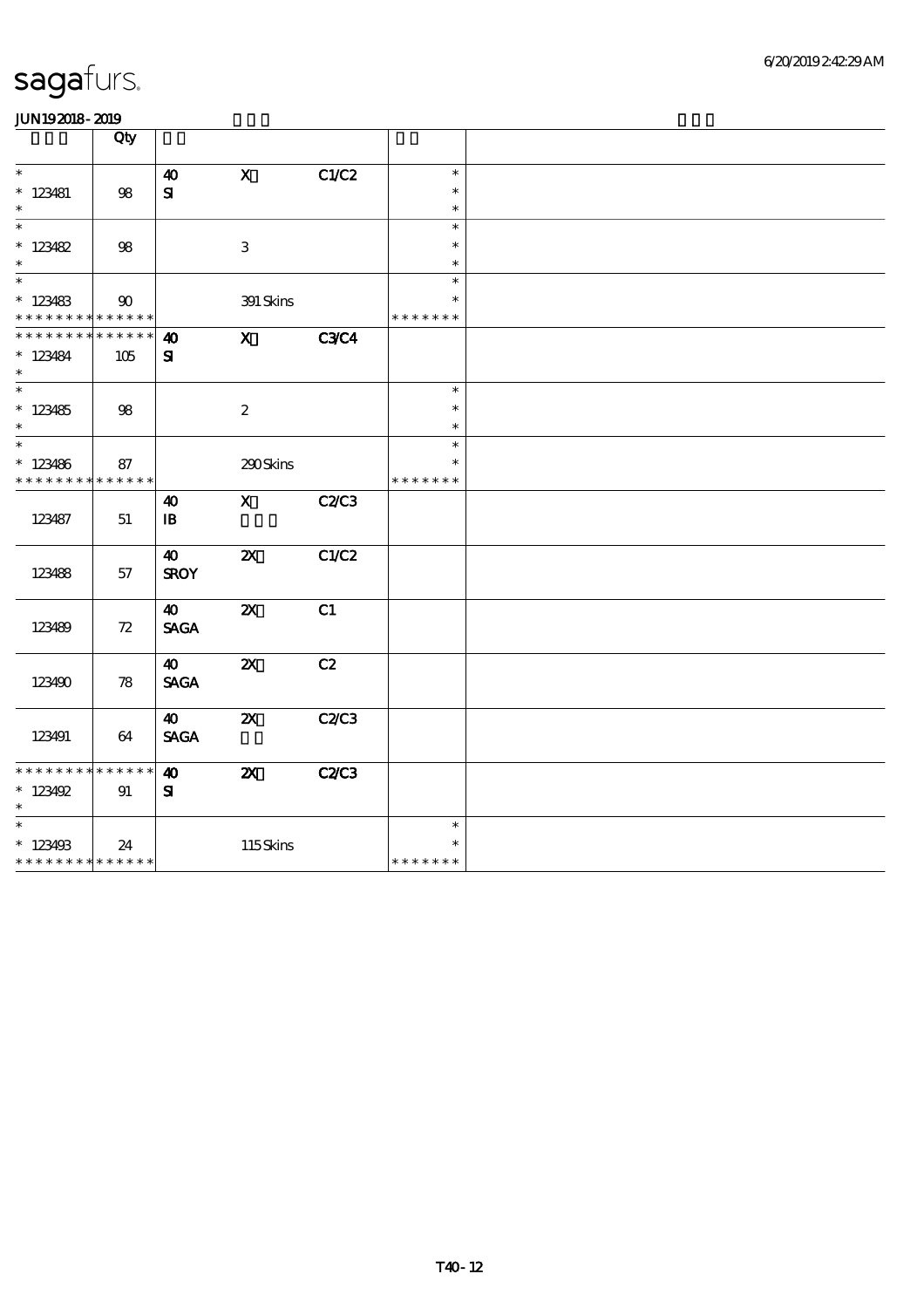|                             | Qty          |                            |                           |              |                  |  |
|-----------------------------|--------------|----------------------------|---------------------------|--------------|------------------|--|
|                             |              |                            |                           |              |                  |  |
| $\ast$                      |              | $\boldsymbol{\omega}$      | $\mathbf{x}$              | C1/C2        | $\ast$           |  |
| $* 123481$                  | 98           | ${\bf s}$                  |                           |              | $\ast$           |  |
| $\ast$<br>$\ast$            |              |                            |                           |              | $\ast$           |  |
|                             |              |                            |                           |              | $\ast$<br>$\ast$ |  |
| $* 123482$<br>$\ast$        | 98           |                            | 3                         |              | $\ast$           |  |
| $\overline{\ast}$           |              |                            |                           |              | $\ast$           |  |
| $* 123483$                  | $90^{\circ}$ |                            | 391 Skins                 |              | $\ast$           |  |
| * * * * * * * *             | * * * * * *  |                            |                           |              | * * * * * * *    |  |
| * * * * * * *               | * * * * * *  | 40                         | $\mathbf{x}$              | <b>C3C4</b>  |                  |  |
| $* 123484$                  | 105          | ${\bf s}$                  |                           |              |                  |  |
| $\ast$                      |              |                            |                           |              |                  |  |
| $\overline{\ast}$           |              |                            |                           |              | $\ast$           |  |
| $*123485$                   | 98           |                            | $\boldsymbol{2}$          |              | $\ast$           |  |
| $\ast$<br>$\ast$            |              |                            |                           |              | $\ast$<br>$\ast$ |  |
| $*123486$                   | 87           |                            |                           |              | $\ast$           |  |
| * * * * * * * *             | * * * * * *  |                            | 290Skins                  |              | * * * * * * *    |  |
|                             |              | $\boldsymbol{\omega}$      | $\mathbf{X}$              | <b>C2/C3</b> |                  |  |
| 123487                      | 51           | $\, {\bf I} \! {\bf B} \,$ |                           |              |                  |  |
|                             |              |                            |                           |              |                  |  |
|                             |              | $\boldsymbol{\omega}$      | $\boldsymbol{\mathsf{z}}$ | C1/C2        |                  |  |
| 123488                      | 57           | <b>SROY</b>                |                           |              |                  |  |
|                             |              |                            |                           |              |                  |  |
|                             |              | $\boldsymbol{\omega}$      | $\boldsymbol{\mathsf{X}}$ | C1           |                  |  |
| 123489                      | 72           | <b>SAGA</b>                |                           |              |                  |  |
|                             |              | $\boldsymbol{\omega}$      | $\boldsymbol{\mathsf{Z}}$ | C2           |                  |  |
| 123490                      | 78           | <b>SAGA</b>                |                           |              |                  |  |
|                             |              |                            |                           |              |                  |  |
|                             |              | $\boldsymbol{\omega}$      | $\boldsymbol{\mathsf{X}}$ | C2C3         |                  |  |
| 123491                      | 64           | <b>SAGA</b>                |                           |              |                  |  |
|                             |              |                            |                           |              |                  |  |
| * * * * * * * *             | * * * * * *  | $\boldsymbol{\omega}$      | $\boldsymbol{\mathsf{z}}$ | <b>C2/C3</b> |                  |  |
| $* 123492$                  | 91           | ${\bf s}$                  |                           |              |                  |  |
| $\ast$<br>$\ast$            |              |                            |                           |              | $\ast$           |  |
| $*123493$                   |              |                            |                           |              | $\ast$           |  |
| * * * * * * * * * * * * * * | 24           |                            | 115Skins                  |              | * * * * * * *    |  |
|                             |              |                            |                           |              |                  |  |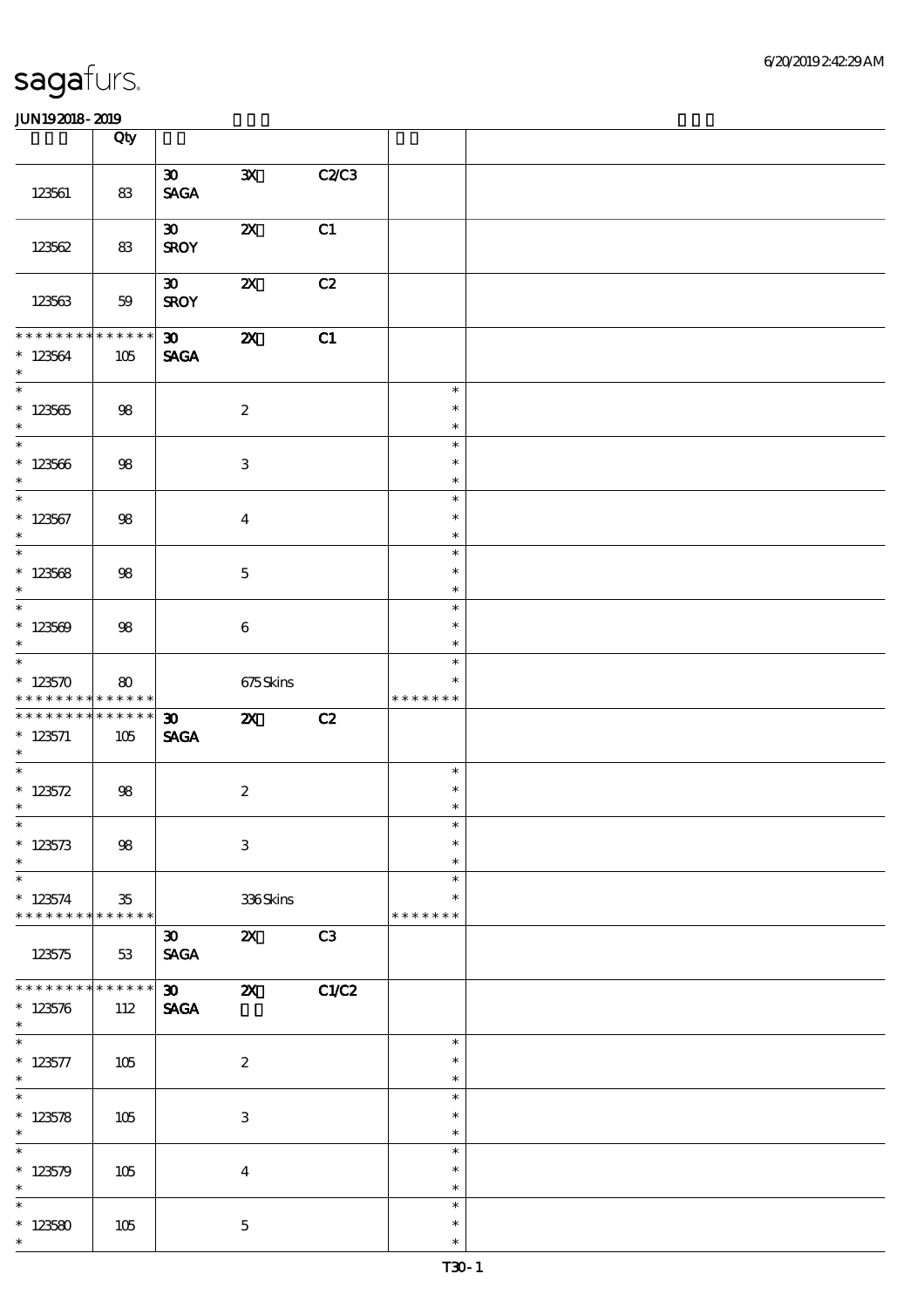|                                                                                                         | Qty                       |                                            |                           |       |                                      |  |
|---------------------------------------------------------------------------------------------------------|---------------------------|--------------------------------------------|---------------------------|-------|--------------------------------------|--|
| 123561                                                                                                  | 83                        | $\infty$<br><b>SAGA</b>                    | $\mathbf{x}$              | C2/C3 |                                      |  |
| 123562                                                                                                  | 83                        | $\boldsymbol{\mathfrak{D}}$<br><b>SROY</b> | $\boldsymbol{\mathsf{z}}$ | C1    |                                      |  |
| 123563                                                                                                  | $59\,$                    | $\boldsymbol{\mathfrak{D}}$<br><b>SROY</b> | $\boldsymbol{\mathsf{z}}$ | C2    |                                      |  |
| * * * * * * * *<br>$* 123564$<br>$\ast$                                                                 | $******$<br>105           | $\boldsymbol{\mathfrak{D}}$<br><b>SAGA</b> | $\boldsymbol{\mathsf{z}}$ | C1    |                                      |  |
| $\overline{\phantom{0}}$<br>$\begin{array}{cc} * & 123565 \\ * & \end{array}$                           | 98                        |                                            | $\boldsymbol{2}$          |       | $\ast$<br>$\ast$<br>$\ast$           |  |
| $\overline{\ast}$<br>$* 123566$<br>$\ast$                                                               | 98                        |                                            | $\ensuremath{\mathbf{3}}$ |       | $\ast$<br>$\ast$<br>$\ast$           |  |
| $\overline{\ast}$<br>$* 123567$<br>$\ast$<br>$\overline{\phantom{0}}$                                   | 98                        |                                            | $\boldsymbol{4}$          |       | $\ast$<br>$\ast$<br>$\ast$           |  |
| * 123568<br>$\overline{\ast}$                                                                           | 98                        |                                            | $\mathbf{5}$              |       | $\ast$<br>$\ast$<br>$\ast$           |  |
| $*123509$<br>$\ast$<br>$\overline{\phantom{0}}$                                                         | 98                        |                                            | $\bf 6$                   |       | $\ast$<br>$\ast$<br>$\ast$<br>$\ast$ |  |
| $*123570$<br>* * * * * * * * <mark>* * * * * * *</mark>                                                 | 80                        |                                            | 675Skins                  |       | $\ast$<br>* * * * * * *              |  |
|                                                                                                         |                           |                                            |                           |       |                                      |  |
| * * * * * * * *                                                                                         | ******<br>105             | $\boldsymbol{\mathfrak{D}}$<br><b>SAGA</b> | $\boldsymbol{\mathsf{Z}}$ | C2    |                                      |  |
|                                                                                                         | 98                        |                                            | $\boldsymbol{2}$          |       | $\ast$<br>$\ast$<br>$\ast$           |  |
| $* 123571$<br>$\ast$<br>$\overline{\phantom{0}}$<br>* $123572$<br>$\ast$<br>$*$<br>$* 123573$<br>$\ast$ | $98\,$                    |                                            | $\ensuremath{\mathbf{3}}$ |       | $\ast$<br>$\ast$<br>$\ast$           |  |
| $\ast$<br>$*123574$<br>* * * * * * * *                                                                  | $35\,$<br>$* * * * * * *$ |                                            | 336Skins                  |       | $\ast$<br>$\ast$<br>* * * * * * *    |  |
| 123575                                                                                                  | 53                        | 30 <sub>o</sub><br><b>SAGA</b>             | $\boldsymbol{\mathsf{z}}$ | C3    |                                      |  |
| * * * * * * *<br>$* 123576$<br>$\ast$                                                                   | $******$<br>112           | $\boldsymbol{\mathfrak{D}}$<br><b>SAGA</b> | $\boldsymbol{\mathsf{z}}$ | C1/C2 |                                      |  |
| $\overline{\phantom{0}}$<br>$* 123577$<br>$\ast$                                                        | 105                       |                                            | $\boldsymbol{2}$          |       | $\ast$<br>$\ast$<br>$\ast$           |  |
| $\overline{\ast}$<br>$* 123578$<br>$\ast$                                                               | 105                       |                                            | $\ensuremath{\mathbf{3}}$ |       | $\ast$<br>$\ast$<br>$\ast$           |  |
| $\ast$<br>$*123579$<br>$\ast$<br>$\ast$                                                                 | 105                       |                                            | $\boldsymbol{4}$          |       | $\ast$<br>$\ast$<br>$\ast$<br>$\ast$ |  |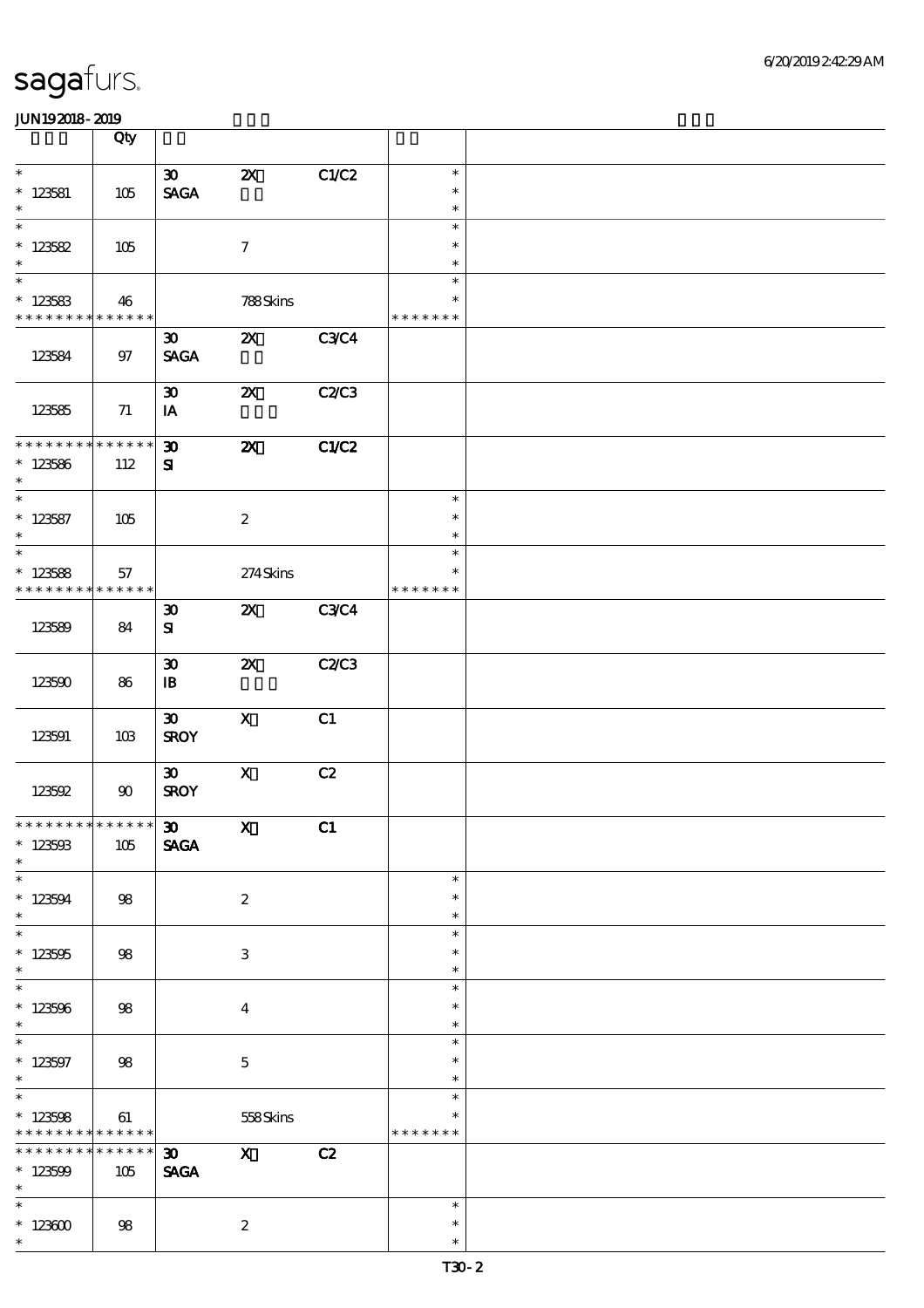|                                                      | Qty                              |                                                               |                           |              |                                   |  |
|------------------------------------------------------|----------------------------------|---------------------------------------------------------------|---------------------------|--------------|-----------------------------------|--|
| $\ast$                                               |                                  | $\boldsymbol{\mathfrak{D}}$                                   | $\boldsymbol{\mathsf{z}}$ | C1/C2        | $\ast$                            |  |
| $* 123581$<br>$\ast$                                 | 105                              | $\operatorname{\mathsf{SAGA}}$                                |                           |              | $\ast$<br>$\ast$                  |  |
| $\overline{\ast}$                                    |                                  |                                                               |                           |              | $\ast$                            |  |
| $* 123582$<br>$\ast$                                 | 105                              |                                                               | $\boldsymbol{7}$          |              | $\ast$<br>$\ast$                  |  |
| $\overline{\phantom{a}^*}$                           |                                  |                                                               |                           |              | $\ast$                            |  |
| $*123583$<br>* * * * * * * *                         | 46<br>$\ast\ast\ast\ast\ast\ast$ |                                                               | 788Skins                  |              | $\ast$<br>* * * * * * *           |  |
| 123584                                               | $97\,$                           | $\boldsymbol{\mathfrak{D}}$<br><b>SAGA</b>                    | $\boldsymbol{\mathsf{Z}}$ | <b>C3C4</b>  |                                   |  |
| 123585                                               | 71                               | $\boldsymbol{\mathfrak{D}}$<br>IA                             | $\boldsymbol{\mathsf{X}}$ | C2C3         |                                   |  |
| ********<br>$*123586$<br>$\ast$                      | $******$<br>112                  | $\boldsymbol{\mathfrak{D}}$<br>${\bf s}$                      | $\boldsymbol{\mathsf{X}}$ | C1/C2        |                                   |  |
| $\ast$<br>$* 123587$<br>$\ast$                       | 105                              |                                                               | $\boldsymbol{2}$          |              | $\ast$<br>$\ast$<br>$\ast$        |  |
| $\overline{\ast}$<br>$*123588$<br>* * * * * * * *    | 57<br>$\ast\ast\ast\ast\ast\ast$ |                                                               | $274$ Skins               |              | $\ast$<br>$\ast$<br>* * * * * * * |  |
| 123589                                               | 84                               | $\boldsymbol{\mathfrak{D}}$<br>${\bf s}$                      | $\boldsymbol{\alpha}$     | C3C4         |                                   |  |
| 123590                                               | 86                               | $\boldsymbol{\mathfrak{D}}$<br>$\mathbf{B}$                   | $\boldsymbol{\mathsf{z}}$ | <b>C2/C3</b> |                                   |  |
| 123591                                               | 10B                              | $\boldsymbol{\mathfrak{D}}$<br><b>SROY</b>                    | $\mathbf{X}$              | C1           |                                   |  |
| 123592                                               | 90                               | $\boldsymbol{\mathfrak{D}}$<br><b>SROY</b>                    | $\mathbf X$               | C2           |                                   |  |
| ******** <mark>******</mark><br>$* 123503$<br>$\ast$ | 105                              | $\boldsymbol{\mathfrak{D}}$<br><b>SAGA</b>                    | $\mathbf{X}$              | C1           |                                   |  |
| $\overline{\phantom{a}}$<br>$*123594$<br>$\ast$      | 98                               |                                                               | $\boldsymbol{2}$          |              | $\ast$<br>$\ast$<br>$\ast$        |  |
| $\overline{\ast}$<br>$*123505$<br>$\ast$             | 98                               |                                                               | 3                         |              | $\ast$<br>$\ast$<br>$\ast$        |  |
| $\ast$<br>$*123506$<br>$\ast$                        | 98                               |                                                               | $\overline{\mathbf{4}}$   |              | $\ast$<br>$\ast$<br>$\ast$        |  |
| $\overline{\phantom{a}}$<br>$* 123597$<br>$\ast$     | 98                               |                                                               | $\mathbf{5}$              |              | $\ast$<br>$\ast$<br>$\ast$        |  |
| $\overline{\ast}$<br>$* 123508$<br>* * * * * * * *   | 61<br>$******$                   |                                                               | 558Skins                  |              | $\ast$<br>* * * * * * *           |  |
| $*******$<br>$\ast$<br>$*123509$<br>$\ast$           | $******$<br>105                  | $\boldsymbol{\mathfrak{D}}$<br>$\operatorname{\mathsf{SAGA}}$ | $\mathbf{x}$              | C2           |                                   |  |
| $\overline{\phantom{0}}$<br>$^\ast$ 123600<br>$\ast$ | 98                               |                                                               | $\boldsymbol{z}$          |              | $\ast$<br>$\ast$<br>$\ast$        |  |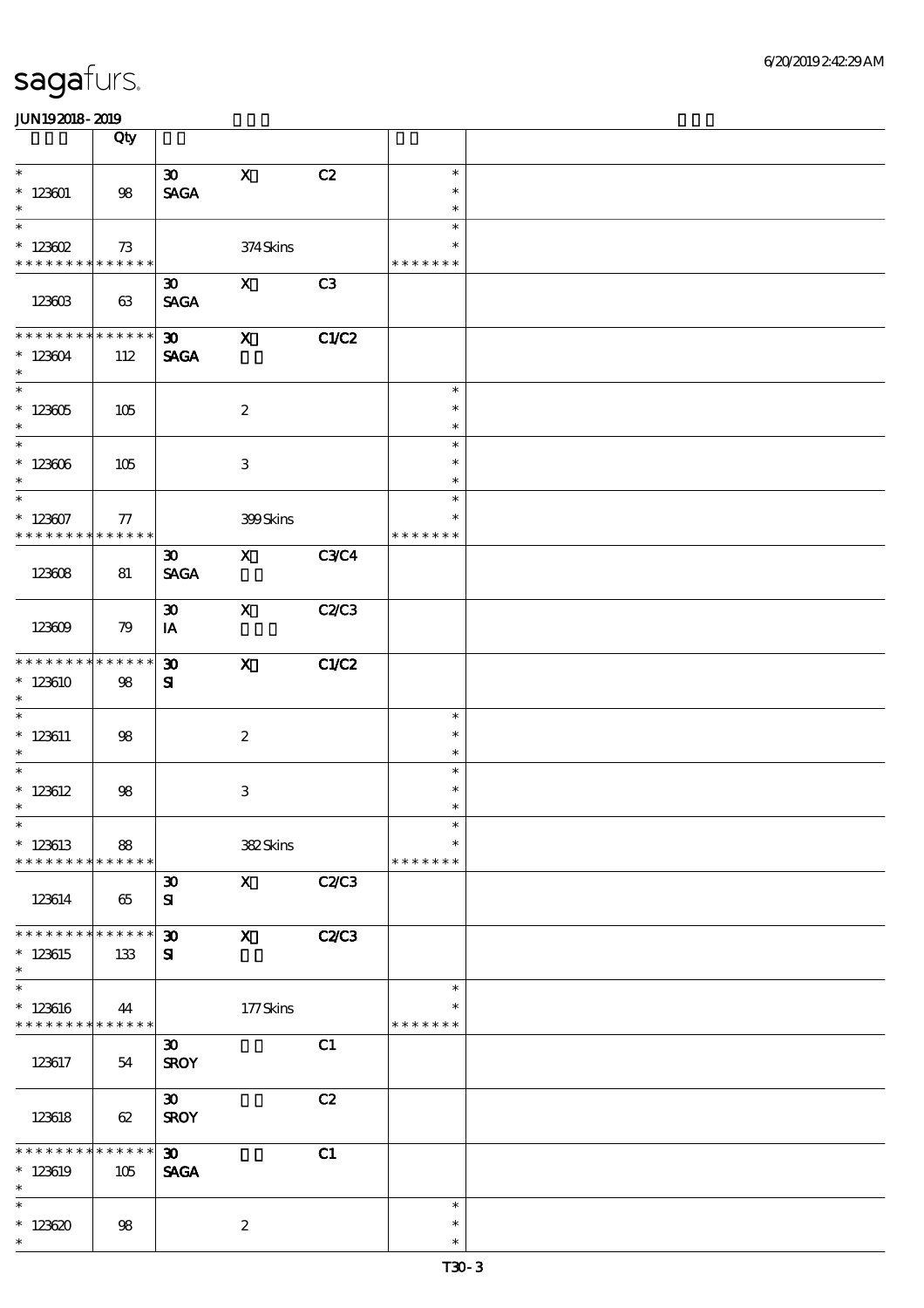|                                                    | Qty                    |                                            |                           |              |                                   |  |
|----------------------------------------------------|------------------------|--------------------------------------------|---------------------------|--------------|-----------------------------------|--|
| $\ast$                                             |                        | $\boldsymbol{\mathfrak{D}}$                | $\mathbf X$               | C2           | $\ast$                            |  |
| $* 123001$                                         | 98                     | $\operatorname{\mathsf{SAGA}}$             |                           |              | $\ast$                            |  |
| $\ast$<br>$\overline{\ast}$                        |                        |                                            |                           |              | $\ast$                            |  |
| $^*$ 123602                                        | 73                     |                                            | 374Skins                  |              | $\ast$<br>$\ast$                  |  |
| * * * * * * * *                                    | * * * * * *            |                                            |                           |              | * * * * * * *                     |  |
| 123603                                             | 63                     | $\boldsymbol{\mathfrak{D}}$<br><b>SAGA</b> | $\boldsymbol{\mathsf{X}}$ | C3           |                                   |  |
| * * * * * * *<br>$* 123604$<br>$\ast$              | * * * * * *<br>112     | $\boldsymbol{\mathfrak{D}}$<br><b>SAGA</b> | $\mathbf x$               | C1/C2        |                                   |  |
| $\overline{\ast}$<br>$^\ast$ 123605<br>$\ast$      | 105                    |                                            | $\boldsymbol{2}$          |              | $\ast$<br>$\ast$<br>$\ast$        |  |
| $\overline{\phantom{0}}$<br>$* 123606$<br>$\ast$   | 105                    |                                            | $\ensuremath{\mathbf{3}}$ |              | $\ast$<br>$\ast$<br>$\ast$        |  |
| $\overline{\ast}$<br>$* 123607$<br>* * * * * * * * | 77<br>* * * * * *      |                                            | 399Skins                  |              | $\ast$<br>$\ast$<br>* * * * * * * |  |
| 123608                                             | 81                     | $\boldsymbol{\mathfrak{D}}$<br><b>SAGA</b> | $\boldsymbol{\mathsf{X}}$ | <b>C3C4</b>  |                                   |  |
| 123609                                             | 79                     | $\boldsymbol{\mathfrak{D}}$<br>IA          | $\mathbf X$               | C2C3         |                                   |  |
| * * * * * * *<br>$*123610$<br>$\ast$               | * * * * * *<br>98      | $\boldsymbol{\mathfrak{D}}$<br>${\bf s}$   | $\mathbf x$               | C1/C2        |                                   |  |
| $\overline{\ast}$<br>$* 123611$<br>$\ast$          | 98                     |                                            | $\boldsymbol{2}$          |              | $\ast$<br>$\ast$<br>$\ast$        |  |
| $\overline{\ast}$<br>$*$ 123612<br>$\ast$          | $98$                   |                                            | $\,3$                     |              | $\ast$<br>$\ast$<br>$\ast$        |  |
| $\ast$<br>$*$ 123613<br>* * * * * * * *            | 88<br>* * * * * *      |                                            | 382Skins                  |              | $\ast$<br>$\ast$<br>* * * * * * * |  |
| 123614                                             | 65                     | $\boldsymbol{\mathfrak{D}}$<br>${\bf s}$   | $\mathbf X$               | C2C3         |                                   |  |
| * * * * * * * *<br>$*123615$<br>$\ast$             | $* * * * * * *$<br>133 | $\boldsymbol{\mathfrak{D}}$<br>${\bf s}$   | $\mathbf x$               | <b>C2/C3</b> |                                   |  |
| $\ast$<br>$*123616$<br>* * * * * * * *             | 44<br>* * * * * *      |                                            | 177Skins                  |              | $\ast$<br>∗<br>* * * * * * *      |  |
| 123617                                             | 54                     | $\boldsymbol{\mathfrak{D}}$<br><b>SROY</b> |                           | C1           |                                   |  |
| 123618                                             | 62                     | $\boldsymbol{\mathfrak{D}}$<br><b>SROY</b> |                           | C2           |                                   |  |
| * * * * * * *<br>$*$ 123619<br>$\ast$              | * * * * * *<br>105     | $\boldsymbol{\mathfrak{D}}$<br><b>SAGA</b> |                           | C1           |                                   |  |
| $\ast$<br>$*123620$<br>$\ast$                      | $98$                   |                                            | $\boldsymbol{2}$          |              | $\ast$<br>$\ast$<br>$\ast$        |  |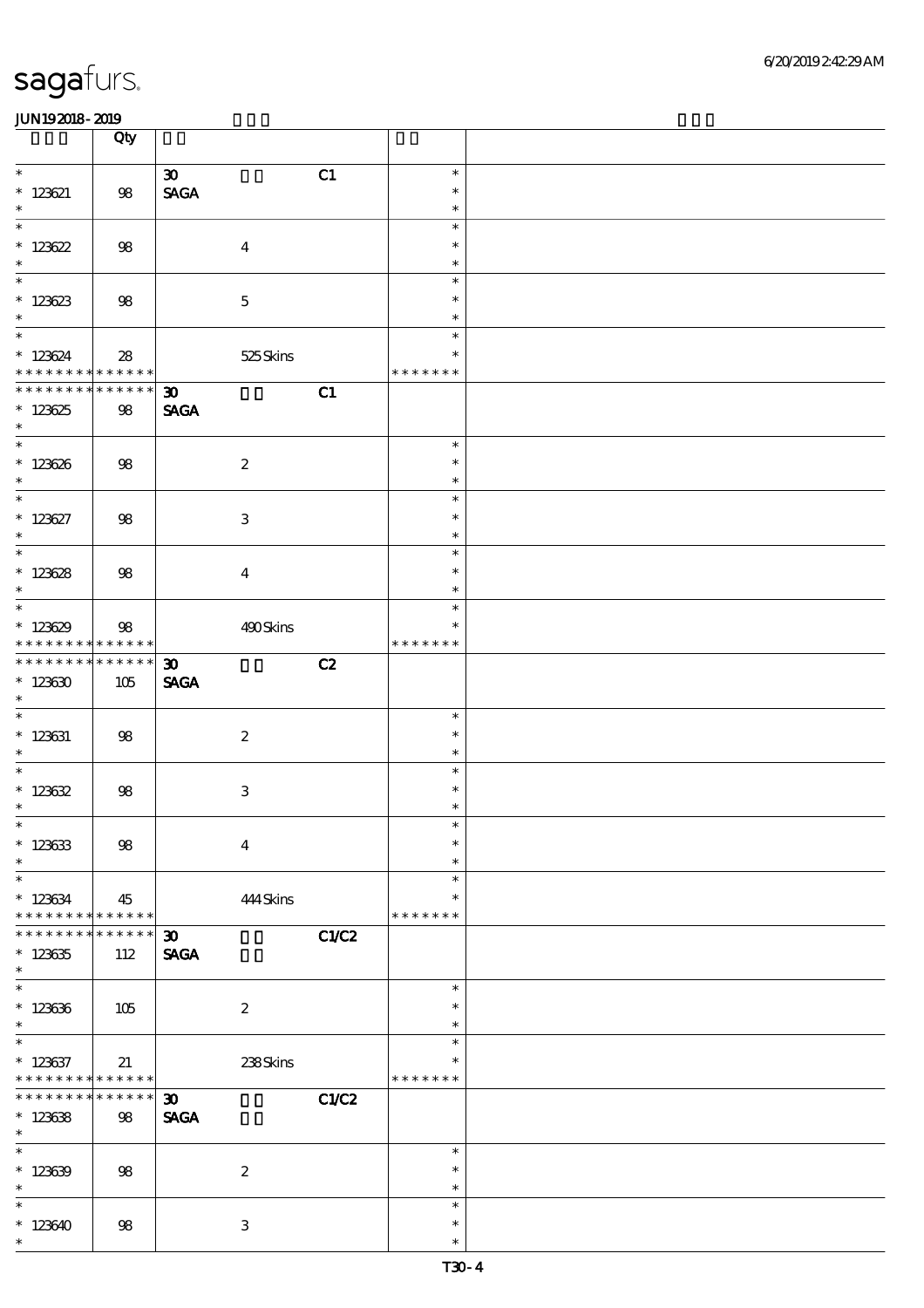|                                                                        | Qty                   |                                                     |                                   |  |
|------------------------------------------------------------------------|-----------------------|-----------------------------------------------------|-----------------------------------|--|
| $\ast$<br>$* 123621$<br>$\ast$                                         | $98\,$                | C1<br>$\boldsymbol{\mathfrak{D}}$<br><b>SAGA</b>    | $\ast$<br>$\ast$<br>$\ast$        |  |
| $\overline{\ast}$<br>$*123622$<br>$\ast$                               | 98                    | $\boldsymbol{4}$                                    | $\ast$<br>$\ast$<br>$\ast$        |  |
| $\overline{\phantom{0}}$<br>$*123623$<br>$\ast$                        | $98$                  | $\mathbf 5$                                         | $\ast$<br>$\ast$<br>$\ast$        |  |
| $\overline{\phantom{a}^*}$<br>$*123624$<br>* * * * * * * * * * * * * * | 28                    | 525Skins                                            | $\ast$<br>$\ast$<br>* * * * * * * |  |
| * * * * * * * * * * * * * * *<br>$*123625$<br>$\ast$                   | 98                    | C1<br>$\boldsymbol{\mathfrak{D}}$<br><b>SAGA</b>    |                                   |  |
| $*123626$<br>$\ast$                                                    | 98                    | $\boldsymbol{2}$                                    | $\ast$<br>$\ast$<br>$\ast$        |  |
| $\overline{\ast}$<br>$* 123627$<br>$\ast$                              | 98                    | 3                                                   | $\ast$<br>$\ast$<br>$\ast$        |  |
| $\overline{\phantom{0}}$<br>$* 123628$<br>$\ast$                       | 98                    | $\overline{\mathbf{4}}$                             | $\ast$<br>$\ast$<br>$\ast$        |  |
| $\overline{\ast}$<br>$*123629$<br>* * * * * * * * * * * * * *          | $98$                  | 490Skins                                            | $\ast$<br>*<br>* * * * * * *      |  |
| * * * * * * * * * * * * * * *<br>$*123630$<br>$\ast$                   | 105                   | $\boldsymbol{\mathfrak{D}}$<br>C2<br><b>SAGA</b>    |                                   |  |
| $\overline{\phantom{0}}$<br>$*$ 123631<br>$\ast$                       | 98                    | $\boldsymbol{2}$                                    | $\ast$<br>$\ast$<br>$\ast$        |  |
| $* 123632$<br>$\ast$                                                   | $98$                  | $\ensuremath{\mathbf{3}}$                           | $\ast$<br>$\ast$<br>$\ast$        |  |
| $*$<br>$*123633$<br>$\ast$                                             | $98\,$                | $\boldsymbol{4}$                                    | $\ast$<br>$\ast$<br>$\ast$        |  |
| $\ast$<br>$*123634$<br>* * * * * * * *                                 | 45<br>$* * * * * * *$ | 444Skins                                            | $\ast$<br>$\ast$<br>* * * * * * * |  |
| * * * * * * *<br>$*123635$<br>$\ast$                                   | * * * * * *<br>112    | C1/C2<br>$\boldsymbol{\mathfrak{D}}$<br><b>SAGA</b> |                                   |  |
| $\ast$<br>$* 123636$<br>$\ast$                                         | 105                   | $\boldsymbol{z}$                                    | $\ast$<br>$\ast$<br>$\ast$        |  |
| $\ast$<br>$*123637$<br>* * * * * * * * <mark>* * * * * * *</mark>      | 21                    | 238Skins                                            | $\ast$<br>$\ast$<br>* * * * * * * |  |
| * * * * * * * *<br>$*123638$<br>$\ast$                                 | $******$<br>98        | C1/C2<br>$\boldsymbol{\mathfrak{D}}$<br><b>SAGA</b> |                                   |  |
| $\ast$<br>$*123639$<br>$\ast$                                          | 98                    | $\boldsymbol{2}$                                    | $\ast$<br>$\ast$<br>$\ast$        |  |
| $\ast$<br>$*123640$<br>$\ast$                                          | $98$                  | $\ensuremath{\mathbf{3}}$                           | $\ast$<br>$\ast$<br>$\ast$        |  |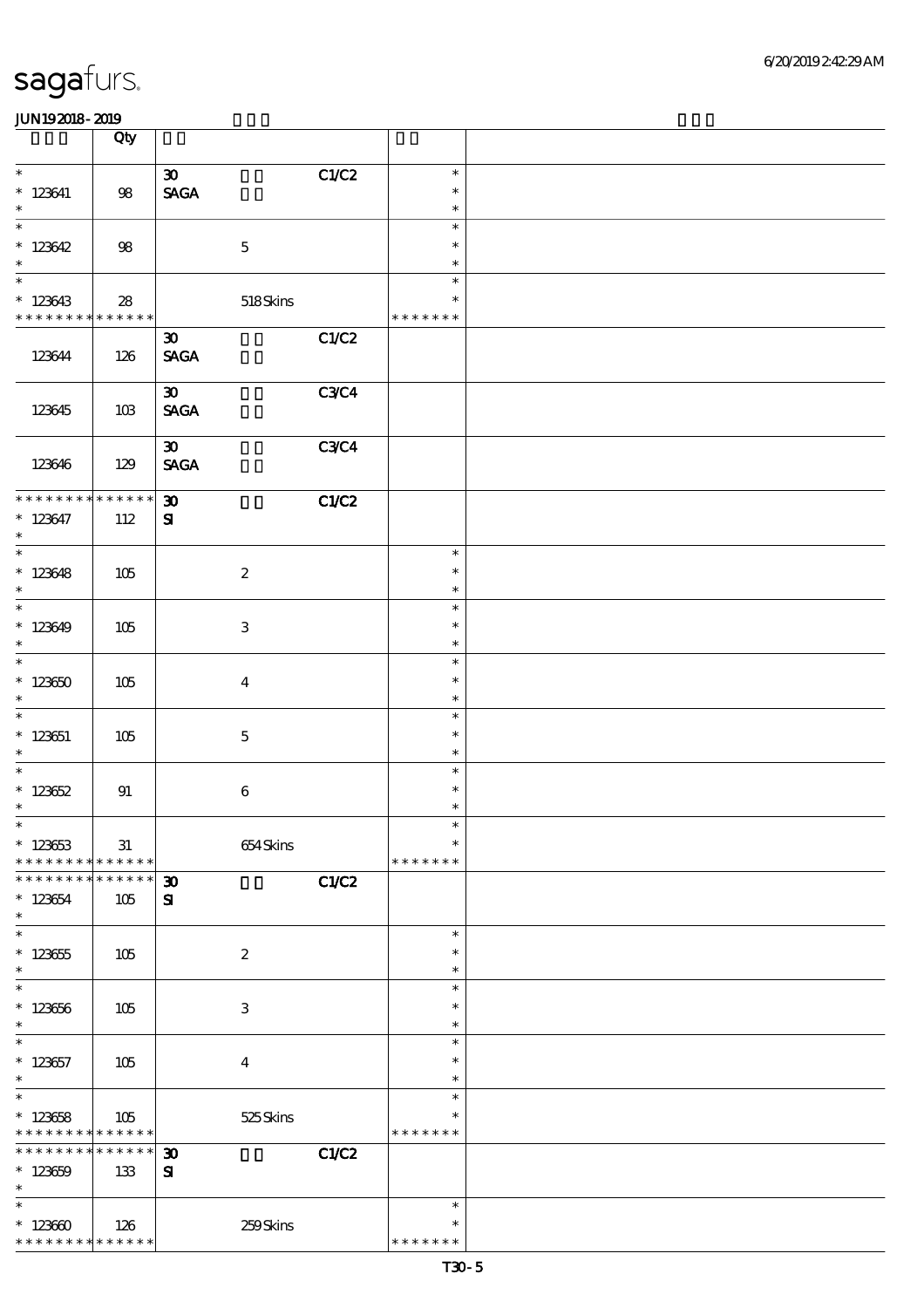|                                                                              | Qty                |                                                                        |                                   |  |
|------------------------------------------------------------------------------|--------------------|------------------------------------------------------------------------|-----------------------------------|--|
| $\ast$<br>$*123641$<br>$\ast$                                                | $98\,$             | C1/C2<br>$\boldsymbol{\mathfrak{D}}$<br>$\operatorname{\mathsf{SAGA}}$ | $\ast$<br>$\ast$<br>$\ast$        |  |
| $\overline{\ast}$<br>$*123642$<br>$\ast$                                     | $98$               | $\mathbf 5$                                                            | $\ast$<br>$\ast$<br>$\ast$        |  |
| $\overline{\phantom{0}}$<br>$*123643$<br>* * * * * * * * * * * * * *         | ${\bf 28}$         | 518Skins                                                               | $\ast$<br>$\ast$<br>* * * * * * * |  |
| 123644                                                                       | 126                | C1/C2<br>$\boldsymbol{\mathfrak{D}}$<br>$\ensuremath{\mathsf{SAGA}}$   |                                   |  |
| 123645                                                                       | 10B                | $\boldsymbol{\mathfrak{D}}$<br><b>C3C4</b><br><b>SAGA</b>              |                                   |  |
| 123646                                                                       | 129                | $\boldsymbol{\mathfrak{D}}$<br><b>C3C4</b><br><b>SAGA</b>              |                                   |  |
| * * * * * * * *<br>$* 123647$<br>$\ast$                                      | * * * * * *<br>112 | $\boldsymbol{\mathfrak{D}}$<br>C1/C2<br>$\mathbf{S}$                   |                                   |  |
| $\overline{\phantom{0}}$<br>$* 123648$<br>$\ast$                             | 105                | $\boldsymbol{2}$                                                       | $\ast$<br>$\ast$<br>$\ast$        |  |
| $\overline{\phantom{0}}$<br>$*123649$<br>$\ast$                              | 105                | 3                                                                      | $\ast$<br>$\ast$<br>$\ast$        |  |
| $\ast$<br>$*123650$<br>$\ast$                                                | 105                | $\boldsymbol{4}$                                                       | $\ast$<br>$\ast$<br>$\ast$        |  |
| $\overline{\phantom{1}}$<br>$* 123651$<br>$\ast$                             | 105                | $\mathbf 5$                                                            | $\ast$<br>$\ast$<br>$\ast$        |  |
| $\overline{\phantom{0}}$<br>$*123652$<br>$\ast$                              | 91                 | $\bf 6$                                                                | $\ast$<br>$\ast$<br>$\ast$        |  |
| $*$<br>$*123653$<br>* * * * * * * * <mark>* * * * * *</mark> *               | $3\!1$             | 654Skins                                                               | $\ast$<br>$\ast$<br>* * * * * * * |  |
| * * * * * * *<br>$*123654$<br>$\ast$                                         | * * * * * *<br>105 | C1/C2<br>$\boldsymbol{\mathfrak{D}}$<br>${\bf s}$                      |                                   |  |
| $\ast$<br>$*123655$<br>$\ast$                                                | 105                | $\boldsymbol{2}$                                                       | $\ast$<br>$\ast$<br>$\ast$        |  |
| $\ast$<br>$* 123656$<br>$\ast$                                               | 105                | $\ensuremath{\mathbf{3}}$                                              | $\ast$<br>$\ast$<br>$\ast$        |  |
| $\ast$<br>$* 123657$<br>$\ast$                                               | 105                | $\boldsymbol{4}$                                                       | $\ast$<br>$\ast$<br>$\ast$        |  |
| $\overline{\ast}$<br>$*123658$<br>* * * * * * * * <mark>* * * * * *</mark> * | 105                | 525Skins                                                               | $\ast$<br>$\ast$<br>* * * * * * * |  |
| * * * * * * * *<br>$*123659$<br>$\ast$                                       | * * * * * *<br>133 | C1/C2<br>$\boldsymbol{\mathfrak{D}}$<br>${\bf s}$                      |                                   |  |
| $\ast$<br>$*123600$<br>* * * * * * * * <mark>* * * * * *</mark> *            | 126                | 259Skins                                                               | $\ast$<br>$\ast$<br>* * * * * * * |  |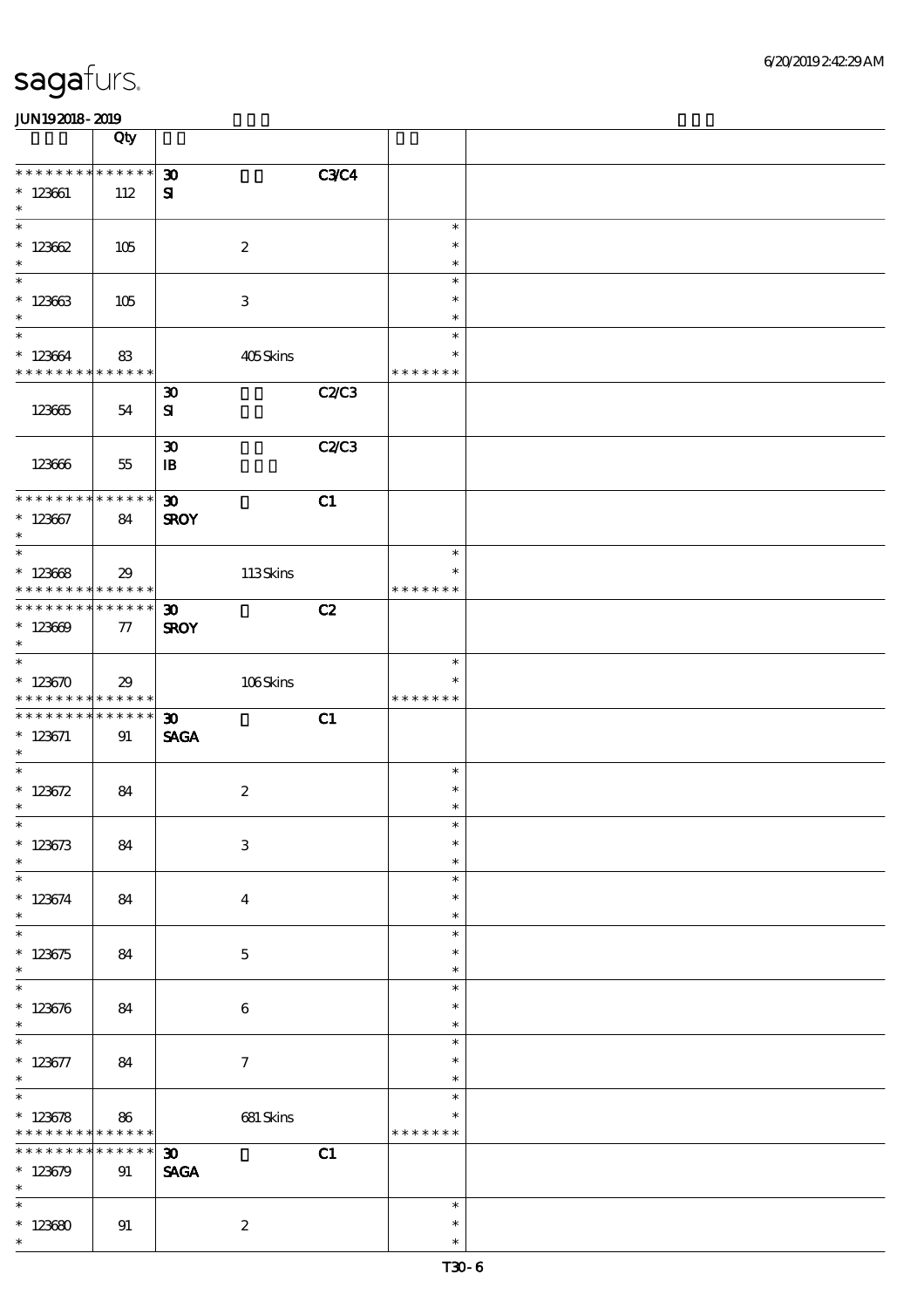|                                            | Qty         |                             |              |                  |  |
|--------------------------------------------|-------------|-----------------------------|--------------|------------------|--|
| * * * * * * * * * * * * * *                |             | $\boldsymbol{\mathfrak{D}}$ | <b>C3C4</b>  |                  |  |
| $* 123661$                                 | 112         | ${\bf s}$                   |              |                  |  |
| $\ast$                                     |             |                             |              |                  |  |
| $\overline{\ast}$                          |             |                             |              | $\ast$           |  |
| $* 12362$                                  | 105         | $\boldsymbol{2}$            |              | $\ast$           |  |
| $\ast$                                     |             |                             |              | $\ast$           |  |
| $\overline{\ast}$                          |             |                             |              | $\ast$           |  |
| $* 123663$                                 | 105         | $\,3\,$                     |              | $\ast$           |  |
| $\ast$                                     |             |                             |              | $\ast$           |  |
| $\ast$                                     |             |                             |              | $\ast$           |  |
| $* 123664$                                 | 83          | 405Skins                    |              | $\ast$           |  |
| * * * * * * * * * * * * * *                |             |                             |              | * * * * * * *    |  |
|                                            |             | $\boldsymbol{\mathfrak{D}}$ | <b>C2/C3</b> |                  |  |
| 123665                                     | 54          | ${\bf s}$                   |              |                  |  |
|                                            |             | $\boldsymbol{\mathfrak{D}}$ | <b>C2/C3</b> |                  |  |
| 123666                                     | $55\,$      | $\mathbf{B}$                |              |                  |  |
|                                            |             |                             |              |                  |  |
| * * * * * * * * * * * * * *                |             | $\boldsymbol{\mathfrak{D}}$ | C1           |                  |  |
| $* 123667$                                 | 84          | <b>SROY</b>                 |              |                  |  |
| $\ast$                                     |             |                             |              |                  |  |
| $\overline{\ast}$                          |             |                             |              | $\ast$           |  |
| $* 12368$                                  | 29          | 113Skins                    |              | $\ast$           |  |
| * * * * * * * * <mark>* * * * * *</mark> * |             |                             |              | * * * * * * *    |  |
| * * * * * * * * * * * * * *                |             | $\boldsymbol{\mathfrak{D}}$ | C2           |                  |  |
| $* 123609$                                 | 77          | <b>SROY</b>                 |              |                  |  |
| $\ast$                                     |             |                             |              |                  |  |
| $\overline{\ast}$                          |             |                             |              | $\ast$           |  |
| $* 123670$                                 | 29          | 106Skins                    |              | $\ast$           |  |
| * * * * * * * * * * * * * *                |             |                             |              | * * * * * * *    |  |
| * * * * * * * * * * * * * *                |             | $\boldsymbol{\mathfrak{D}}$ | C1           |                  |  |
| $* 123671$<br>$\ast$                       | 91          | <b>SAGA</b>                 |              |                  |  |
| $\overline{\phantom{0}}$                   |             |                             |              | $\ast$           |  |
| * 123672                                   | 84          | $\boldsymbol{2}$            |              | $\ast$           |  |
| $\ast$                                     |             |                             |              | $\ast$           |  |
| $*$                                        |             |                             |              | $\ast$           |  |
| $* 123673$                                 | 84          | $\ensuremath{\mathbf{3}}$   |              | $\ast$           |  |
| $\ast$                                     |             |                             |              | $\ast$           |  |
| $\ast$                                     |             |                             |              | $\ast$           |  |
| $* 123674$                                 | 84          | $\bf{4}$                    |              | $\ast$           |  |
| $\ast$                                     |             |                             |              | $\ast$           |  |
| $\overline{\ast}$                          |             |                             |              | $\ast$           |  |
| $*123675$<br>$\ast$                        | 84          | $\mathbf 5$                 |              | $\ast$           |  |
| $\ast$                                     |             |                             |              | $\ast$<br>$\ast$ |  |
|                                            |             |                             |              | $\ast$           |  |
| $* 123676$<br>$\ast$                       | 84          | $\,6\,$                     |              | $\ast$           |  |
| $\overline{\phantom{a}^*}$                 |             |                             |              | $\ast$           |  |
| $* 123677$                                 | 84          | $\boldsymbol{7}$            |              | $\ast$           |  |
| $\ast$                                     |             |                             |              | $\ast$           |  |
| $\overline{\phantom{0}}$                   |             |                             |              | $\ast$           |  |
| $* 123678$                                 | 86          | 681 Skins                   |              | $\ast$           |  |
| * * * * * * * *                            | * * * * * * |                             |              | * * * * * * *    |  |
| * * * * * * *                              | * * * * * * | $\boldsymbol{\mathfrak{D}}$ | C1           |                  |  |
| $*123679$                                  | 91          | <b>SAGA</b>                 |              |                  |  |
| $\ast$                                     |             |                             |              |                  |  |
| $\ast$                                     |             |                             |              | $\ast$           |  |
| $*123680$<br>$\ast$                        | 91          | $\boldsymbol{2}$            |              | $\ast$<br>$\ast$ |  |
|                                            |             |                             |              |                  |  |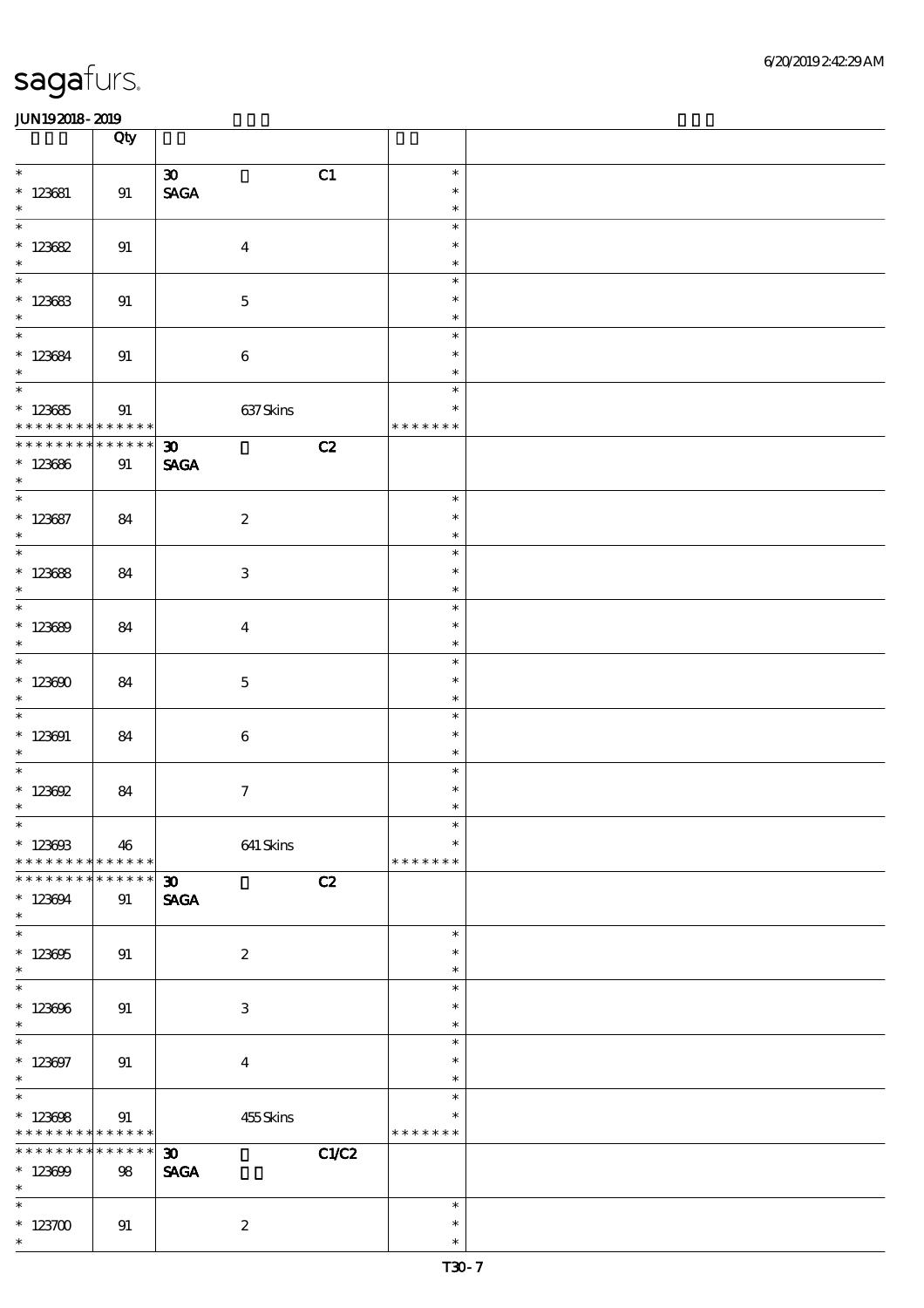|                                                                            | Qty               |                                                                   |                                      |  |
|----------------------------------------------------------------------------|-------------------|-------------------------------------------------------------------|--------------------------------------|--|
| $\ast$<br>$*$ 123681<br>$\ast$                                             | 91                | $\boldsymbol{\mathfrak{D}}$<br>C1<br>$\ensuremath{\mathsf{SAGA}}$ | $\ast$<br>$\ast$<br>$\ast$           |  |
| $\ast$<br>$\underset{*}{\ast}$ 123682                                      | 91                | $\boldsymbol{4}$                                                  | $\ast$<br>$\ast$<br>$\ast$           |  |
| $\overline{\phantom{0}}$<br>* 123683                                       | 91                | $\mathbf 5$                                                       | $\ast$<br>$\ast$<br>$\ast$           |  |
| $* 123684$<br>$\ast$                                                       | 91                | $\bf 6$                                                           | $\ast$<br>$\ast$<br>$\ast$           |  |
| $* 123685$<br>* * * * * * * * * * * * * *                                  | 91                | 637Skins                                                          | $\ast$<br>$\ast$<br>* * * * * * *    |  |
| * * * * * * * * * * * * * * *<br>$* 123686$<br>$\ast$                      | 91                | $\boldsymbol{\mathfrak{D}}$<br>C2<br>$\ensuremath{\mathsf{SAGA}}$ |                                      |  |
| $\overline{\phantom{0}}$<br>$* 123687$<br>$\ast$                           | 84                | $\boldsymbol{2}$                                                  | $\ast$<br>$\ast$<br>$\ast$           |  |
| * 123688                                                                   | 84                | $\ensuremath{\mathsf{3}}$                                         | $\ast$<br>$\ast$<br>$\ast$           |  |
| $\overline{\phantom{0}}$<br>$*123689$<br>$\ast$                            | 84                | $\bf{4}$                                                          | $\ast$<br>$\ast$<br>$\ast$           |  |
| $\overline{\phantom{0}}$<br>$*123600$<br>$\ast$                            | 84                | $\mathbf 5$                                                       | $\ast$<br>$\ast$<br>$\ast$           |  |
| $\overline{\phantom{0}}$<br>$* 123091$<br>$\ast$                           | 84                | $\bf 6$                                                           | $\ast$<br>$\ast$<br>$\ast$           |  |
| * $123692$<br>$\ast$                                                       | 84                | $\boldsymbol{\tau}$                                               | $\ast$<br>$\ast$<br>$\ast$           |  |
| $*$<br>$* 123603$<br>* * * * * * * * * * * * * *                           | 46                | 641 Skins                                                         | $\ast$<br>$\ast$<br>* * * * * * *    |  |
| * * * * * * *<br>$* 123694$<br>$\ast$<br>$\overline{\phantom{a}^*}$        | * * * * * *<br>91 | C2<br>$\boldsymbol{\mathfrak{D}}$<br><b>SAGA</b>                  |                                      |  |
| $* 123605$<br>$\ast$<br>$\overline{\phantom{0}}$                           | 91                | $\boldsymbol{2}$                                                  | $\ast$<br>$\ast$<br>$\ast$           |  |
| $* 123606$<br>$\ast$<br>$\overline{\phantom{a}^*}$                         | 91                | $\,3\,$                                                           | $\ast$<br>$\ast$<br>$\ast$           |  |
| $* 123697$<br>$\ast$<br>$\overline{\ast}$                                  | 91                | $\boldsymbol{4}$                                                  | $\ast$<br>$\ast$<br>$\ast$<br>$\ast$ |  |
| $*123608$<br>* * * * * * * * <mark>* * * * * * *</mark><br>* * * * * * * * | 91<br>$******$    | 455Skins                                                          | $\ast$<br>* * * * * * *              |  |
| $* 123609$<br>$\ast$<br>$\ast$                                             | 98                | C1/C2<br>$\boldsymbol{\mathfrak{D}}$<br><b>SAGA</b>               | $\ast$                               |  |
| $*123700$<br>$\ast$                                                        | 91                | $\boldsymbol{2}$                                                  | $\ast$<br>$\ast$                     |  |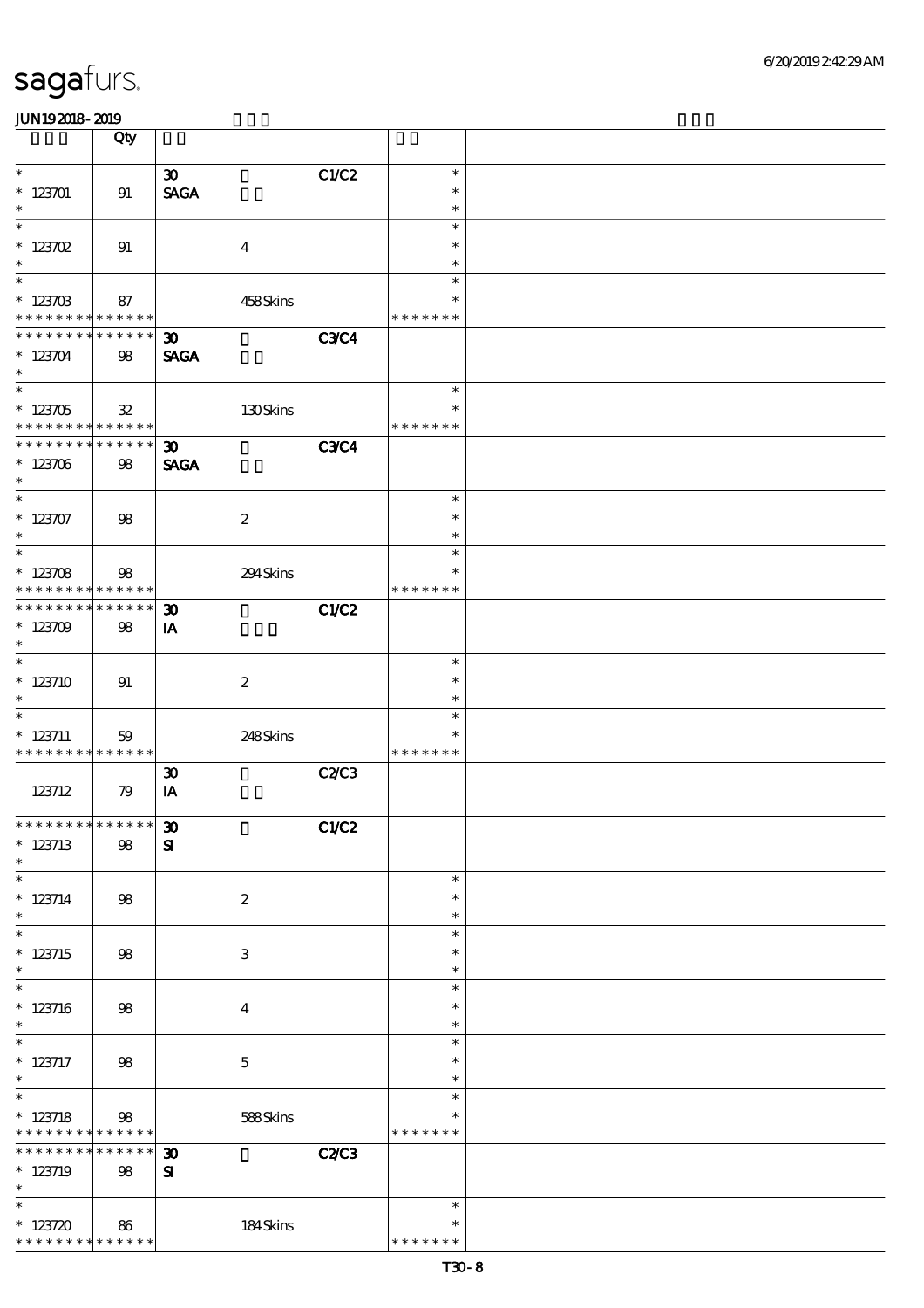|                                                                               | Qty                       |                                                                 |                                   |  |
|-------------------------------------------------------------------------------|---------------------------|-----------------------------------------------------------------|-----------------------------------|--|
| $\ast$<br>$* 123701$<br>$\ast$                                                | 91                        | C1/C2<br>$\boldsymbol{\mathfrak{D}}$<br><b>SAGA</b>             | $\ast$<br>$\ast$<br>$\ast$        |  |
| $\ast$<br>$* 123702$<br>$\ast$                                                | 91                        | $\boldsymbol{4}$                                                | $\ast$<br>$\ast$<br>$\ast$        |  |
| $\overline{\ast}$<br>$* 123703$<br>* * * * * * * * <mark>* * * * * * *</mark> | 87                        | 458Skins                                                        | $\ast$<br>$\ast$<br>* * * * * * * |  |
| * * * * * * * *<br>$*123704$<br>$\ast$                                        | * * * * * *<br>98         | <b>C3C4</b><br>$\boldsymbol{\mathfrak{D}}$<br><b>SAGA</b>       |                                   |  |
| $\overline{\ast}$<br>$* 123705$<br>* * * * * * * *                            | ${\bf 32}$<br>* * * * * * | 130Skins                                                        | $\ast$<br>$\ast$<br>* * * * * * * |  |
| __<br>* * * * * * * *<br>$* 123706$<br>$\ast$                                 | * * * * * *<br>98         | <b>C3C4</b><br>30 <sub>o</sub><br><b>SAGA</b>                   |                                   |  |
| $\overline{\ast}$<br>$* 123707$<br>$\ast$                                     | 98                        | $\boldsymbol{2}$                                                | $\ast$<br>$\ast$<br>$\ast$        |  |
| $\overline{\ast}$<br>$* 123708$<br>* * * * * * * *                            | $98$<br>* * * * * *       | 294Skins                                                        | $\ast$<br>$\ast$<br>* * * * * * * |  |
| * * * * * * *<br>$* 123709$<br>$\ast$                                         | * * * * * *<br>98         | $\boldsymbol{\mathfrak{D}}$<br>C1/C2<br>IA                      |                                   |  |
| $\overline{\ast}$<br>$*123710$<br>$\ast$                                      | 91                        | $\boldsymbol{2}$                                                | $\ast$<br>$\ast$<br>$\ast$        |  |
| $\overline{\phantom{0}}$<br>$*$ 123711<br>* * * * * * * *                     | 59<br>* * * * * *         | 248Skins                                                        | $\ast$<br>$\ast$<br>* * * * * * * |  |
| 123712                                                                        | 79                        | C2/C3<br>$\boldsymbol{\mathfrak{D}}$<br>$\mathbf{I} \mathbf{A}$ |                                   |  |
| ******** <mark>******</mark><br>$* 123713$<br>$\ast$                          | $98\,$                    | C1/C2<br>$\pmb{\mathfrak{D}}$<br>${\bf S}$                      |                                   |  |
| $\ast$<br>$* 123714$<br>$\ast$                                                | $98$                      | $\boldsymbol{2}$                                                | $\ast$<br>$\ast$<br>$\ast$        |  |
| $\overline{\ast}$<br>$* 123715$<br>$\ast$                                     | 98                        | $\ensuremath{\mathbf{3}}$                                       | $\ast$<br>$\ast$<br>$\ast$        |  |
| $\ast$<br>$* 123716$<br>$\ast$                                                | $98$                      | $\boldsymbol{4}$                                                | $\ast$<br>$\ast$<br>$\ast$        |  |
| $\ast$<br>$*$ 123717<br>$\ast$                                                | 98                        | $\mathbf 5$                                                     | $\ast$<br>$\ast$<br>$\ast$        |  |
| $\overline{\ast}$<br>$* 123718$<br>* * * * * * * *                            | 98<br>******              | 588Skins                                                        | $\ast$<br>∗<br>* * * * * * *      |  |
| * * * * * * * *<br>$*$ 123719<br>$\ast$                                       | * * * * * *<br>98         | <b>C2/C3</b><br>$\boldsymbol{\mathfrak{D}}$<br>${\bf S}$        |                                   |  |
| $\ast$<br>$*123720$<br>* * * * * * * *                                        | 86<br>* * * * * *         | 184Skins                                                        | $\ast$<br>$\ast$<br>* * * * * * * |  |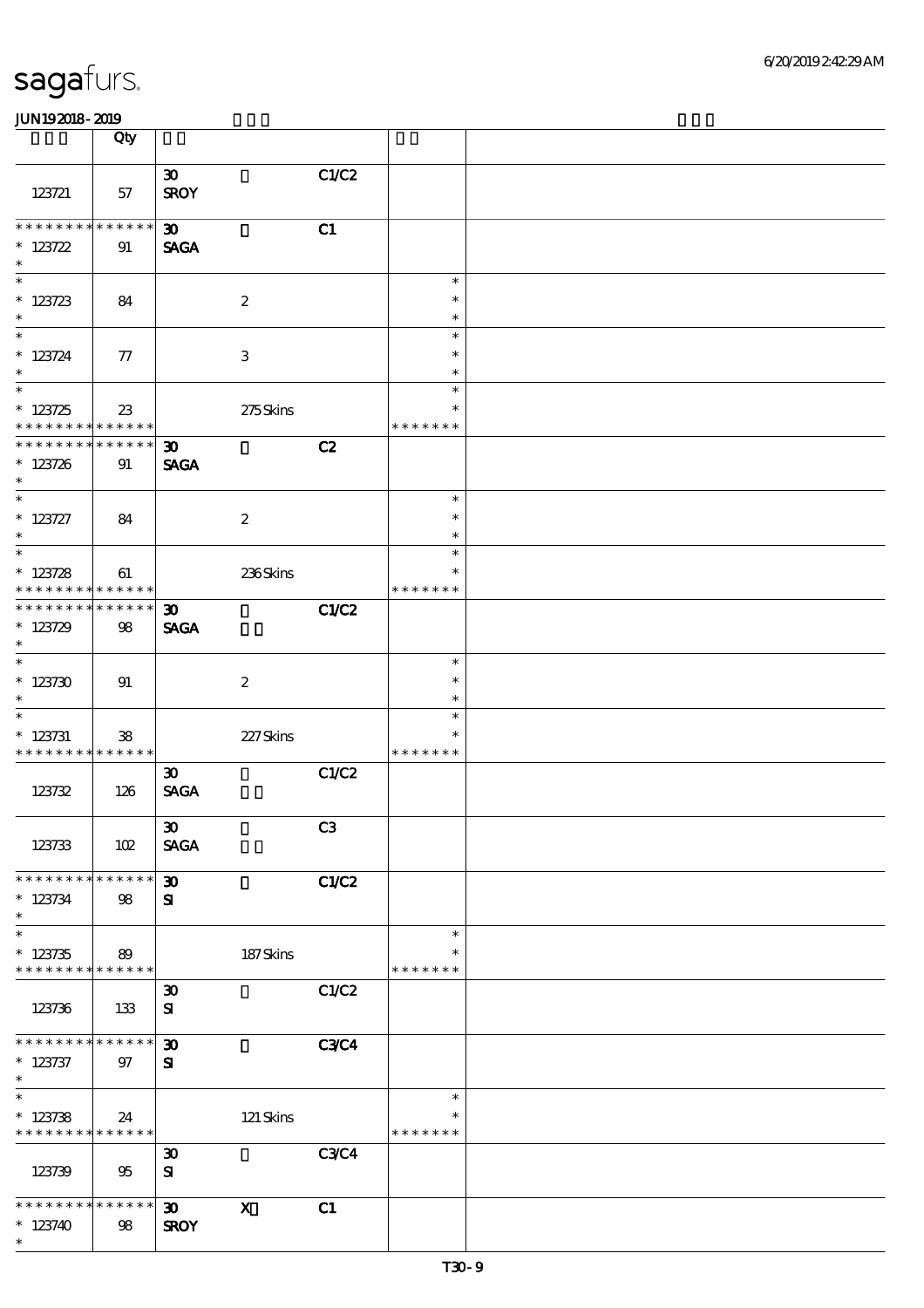|                                                                       | Qty               |                                            |                           |              |                                   |  |
|-----------------------------------------------------------------------|-------------------|--------------------------------------------|---------------------------|--------------|-----------------------------------|--|
| 123721                                                                | 57                | $\boldsymbol{\mathfrak{D}}$<br><b>SROY</b> |                           | C1/C2        |                                   |  |
| **************<br>$* 123722$<br>$\ast$                                | 91                | 30 <sub>o</sub><br><b>SAGA</b>             |                           | C1           |                                   |  |
| $\overline{\phantom{0}}$<br>$*123723$<br>$\ast$                       | 84                |                                            | $\boldsymbol{2}$          |              | $\ast$<br>$\ast$<br>$\ast$        |  |
| $\ast$<br>$* 123724$<br>$\ast$                                        | 77                |                                            | 3                         |              | $\ast$<br>$\ast$<br>$\ast$        |  |
| $\overline{\phantom{0}}$<br>$* 123725$<br>* * * * * * * * * * * * * * | 23                |                                            | 275Skins                  |              | $\ast$<br>$\ast$<br>* * * * * * * |  |
| * * * * * * * * * * * * * *<br>$* 123726$<br>$\ast$                   | 91                | $\boldsymbol{\mathfrak{D}}$<br><b>SAGA</b> |                           | C2           |                                   |  |
| $\ast$<br>$* 123727$<br>$\ast$<br>$\overline{\ast}$                   | 84                |                                            | $\boldsymbol{2}$          |              | $\ast$<br>$\ast$<br>$\ast$        |  |
| $* 123728$<br>* * * * * * * *                                         | 61<br>* * * * * * |                                            | 236Skins                  |              | $\ast$<br>$\ast$<br>* * * * * * * |  |
| * * * * * * * *<br>$*123729$<br>$\ast$                                | * * * * * *<br>98 | $\boldsymbol{\mathfrak{D}}$<br><b>SAGA</b> |                           | <b>C1/C2</b> |                                   |  |
| $\ast$<br>$*123730$<br>$\ast$                                         | 91                |                                            | $\boldsymbol{2}$          |              | $\ast$<br>$\ast$<br>$\ast$        |  |
| $*$ 123731<br>* * * * * * * * * * * * * *                             | 38                |                                            | 227Skins                  |              | $\ast$<br>$\ast$<br>* * * * * * * |  |
| 123732                                                                | 126               | $\boldsymbol{\mathfrak{D}}$<br><b>SAGA</b> |                           | C1/C2        |                                   |  |
| 123733                                                                | 102               | $\boldsymbol{\mathfrak{D}}$<br><b>SAGA</b> |                           | C3           |                                   |  |
| * * * * * * * * * * * * * *<br>$* 123734$<br>$\ast$                   | 98                | 30 <sub>o</sub><br>${\bf s}$               |                           | C1/C2        |                                   |  |
| $\ast$<br>$*123735$<br>* * * * * * * * * * * * * *                    | 89                |                                            | 187Skins                  |              | $\ast$<br>*<br>* * * * * * *      |  |
| 123736                                                                | 133               | $\boldsymbol{\mathfrak{D}}$<br>${\bf s}$   |                           | C1/C2        |                                   |  |
| * * * * * * * * * * * * * *<br>$*$ 123737<br>$\ast$                   | 97                | $\boldsymbol{\mathfrak{D}}$<br>${\bf s}$   |                           | <b>C3C4</b>  |                                   |  |
| $\overline{\ast}$<br>$* 123738$<br>* * * * * * * * * * * * * *        | 24                |                                            | 121 Skins                 |              | $\ast$<br>∗<br>* * * * * * *      |  |
| 123739                                                                | 95                | $\boldsymbol{\mathfrak{D}}$<br>${\bf S}$   |                           | <b>C3C4</b>  |                                   |  |
| * * * * * * * *<br>$*123740$<br>$\ast$                                | ******<br>98      | $\boldsymbol{\mathfrak{D}}$<br><b>SROY</b> | $\boldsymbol{\mathsf{X}}$ | C1           |                                   |  |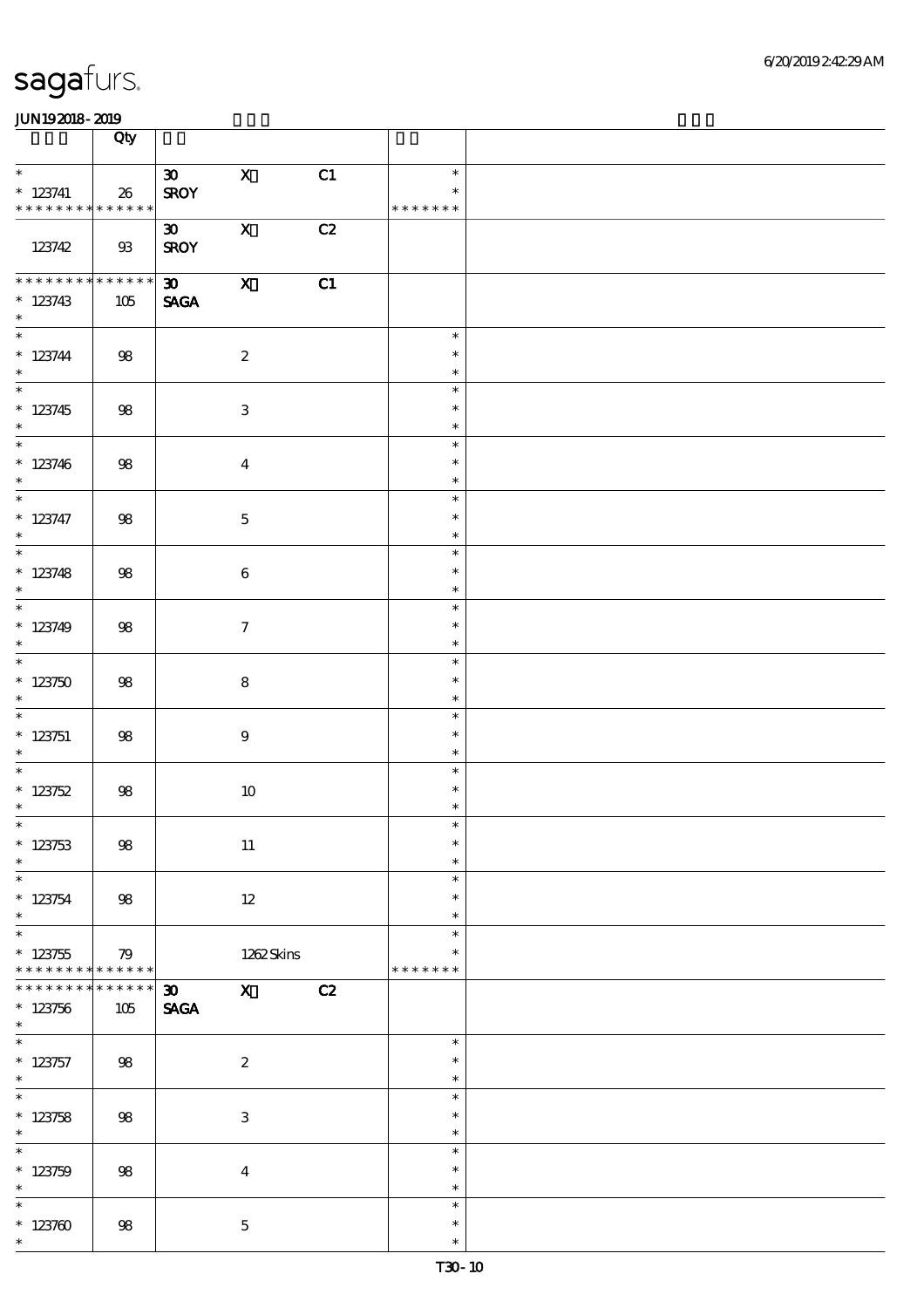|                               | Qty                              |                                            |                           |    |                    |  |
|-------------------------------|----------------------------------|--------------------------------------------|---------------------------|----|--------------------|--|
| $\ast$                        |                                  | $30-1$                                     | $\mathbf X$               | C1 | $\ast$             |  |
| $*$ 123741                    | 26                               | <b>SROY</b>                                |                           |    | $\ast$             |  |
| * * * * * * * * * * * * * * * |                                  |                                            |                           |    | * * * * * * *      |  |
| 123742                        | $93\,$                           | $\boldsymbol{\mathfrak{D}}$<br><b>SROY</b> | $\mathbf X$               | C2 |                    |  |
| * * * * * * * *               | $******$                         | $30 -$                                     | $\mathbf{X}$              | C1 |                    |  |
| $*123743$<br>$\ast$           | 105                              | <b>SAGA</b>                                |                           |    |                    |  |
|                               |                                  |                                            |                           |    | $\ast$             |  |
| $* 123744$<br>$\ast$          | $98\,$                           |                                            | $\boldsymbol{2}$          |    | $\ast$<br>$\ast$   |  |
| $*$                           |                                  |                                            |                           |    | $\ast$             |  |
| $*123745$<br>$\ast$           | $98\,$                           |                                            | $\ensuremath{\mathbf{3}}$ |    | $\ast$<br>$\ast$   |  |
| $\overline{\phantom{0}}$      |                                  |                                            |                           |    | $\ast$             |  |
| $*123746$<br>$\ast$           | 98                               |                                            | $\boldsymbol{4}$          |    | $\ast$<br>$\ast$   |  |
| $\overline{\ast}$             |                                  |                                            |                           |    | $\ast$             |  |
| $* 123747$<br>$\ast$          | 98                               |                                            | $\bf 5$                   |    | $\ast$<br>$\ast$   |  |
| $\overline{\ast}$             |                                  |                                            |                           |    | $\ast$             |  |
| * 123748                      | 98                               |                                            | 6                         |    | $\ast$<br>$\ast$   |  |
| $\overline{\ast}$             |                                  |                                            |                           |    | $\ast$             |  |
| * $123749$<br>$\ast$          | 98                               |                                            | $\tau$                    |    | $\ast$<br>$\ast$   |  |
| $*$                           |                                  |                                            |                           |    | $\ast$             |  |
| $*123750$<br>$\ast$           | 98                               |                                            | $\bf8$                    |    | $\ast$<br>$\ast$   |  |
|                               |                                  |                                            |                           |    | $\ast$             |  |
| $*123751$<br>$\ast$           | 98                               |                                            | $\boldsymbol{9}$          |    | $\ast$<br>$\ast$   |  |
| $\overline{\phantom{0}}$      |                                  |                                            |                           |    | $\ast$             |  |
| * $123752$<br>$\ast$          | $98\,$                           |                                            | $10\,$                    |    | $\ast$<br>$\ast$   |  |
| $*$                           |                                  |                                            |                           |    | $\ast$             |  |
| $* 123753$<br>$\ast$          | $98\,$                           |                                            | $11\,$                    |    | $\ast$<br>$\ast$   |  |
| $\overline{\ast}$             |                                  |                                            |                           |    | $\ast$             |  |
| $* 123754$<br>$\ast$          | 98                               |                                            | $12\,$                    |    | $\ast$<br>$\ast$   |  |
| $\overline{\ast}$             |                                  |                                            |                           |    | $\ast$             |  |
| $* 123755$<br>* * * * * * * * | 79<br>$\ast\ast\ast\ast\ast\ast$ |                                            | 1262Skins                 |    | ∗<br>* * * * * * * |  |
| * * * * * * *<br>×            | * * * * * *                      | $\boldsymbol{\mathfrak{D}}$                | $\mathbf{X}$              | C2 |                    |  |
| $*123756$<br>$*$              | 105                              | <b>SAGA</b>                                |                           |    |                    |  |
| $*$                           |                                  |                                            |                           |    | $\ast$             |  |
| $*$ 123757<br>$\ast$          | 98                               |                                            | $\boldsymbol{2}$          |    | $\ast$<br>$\ast$   |  |
| $\overline{\ast}$             |                                  |                                            |                           |    | $\ast$             |  |
| * $123758$<br>$\ast$          | 98                               |                                            | $\,3$                     |    | $\ast$<br>$\ast$   |  |
| $\overline{\ast}$             |                                  |                                            |                           |    | $\ast$             |  |
| $*123759$<br>$\ast$           | 98                               |                                            | $\bf{4}$                  |    | $\ast$<br>$\ast$   |  |
| $\ast$                        |                                  |                                            |                           |    | $\ast$             |  |
| $*123700$<br>$\ast$           | 98                               |                                            | $\mathbf 5$               |    | $\ast$<br>$\ast$   |  |
|                               |                                  |                                            |                           |    |                    |  |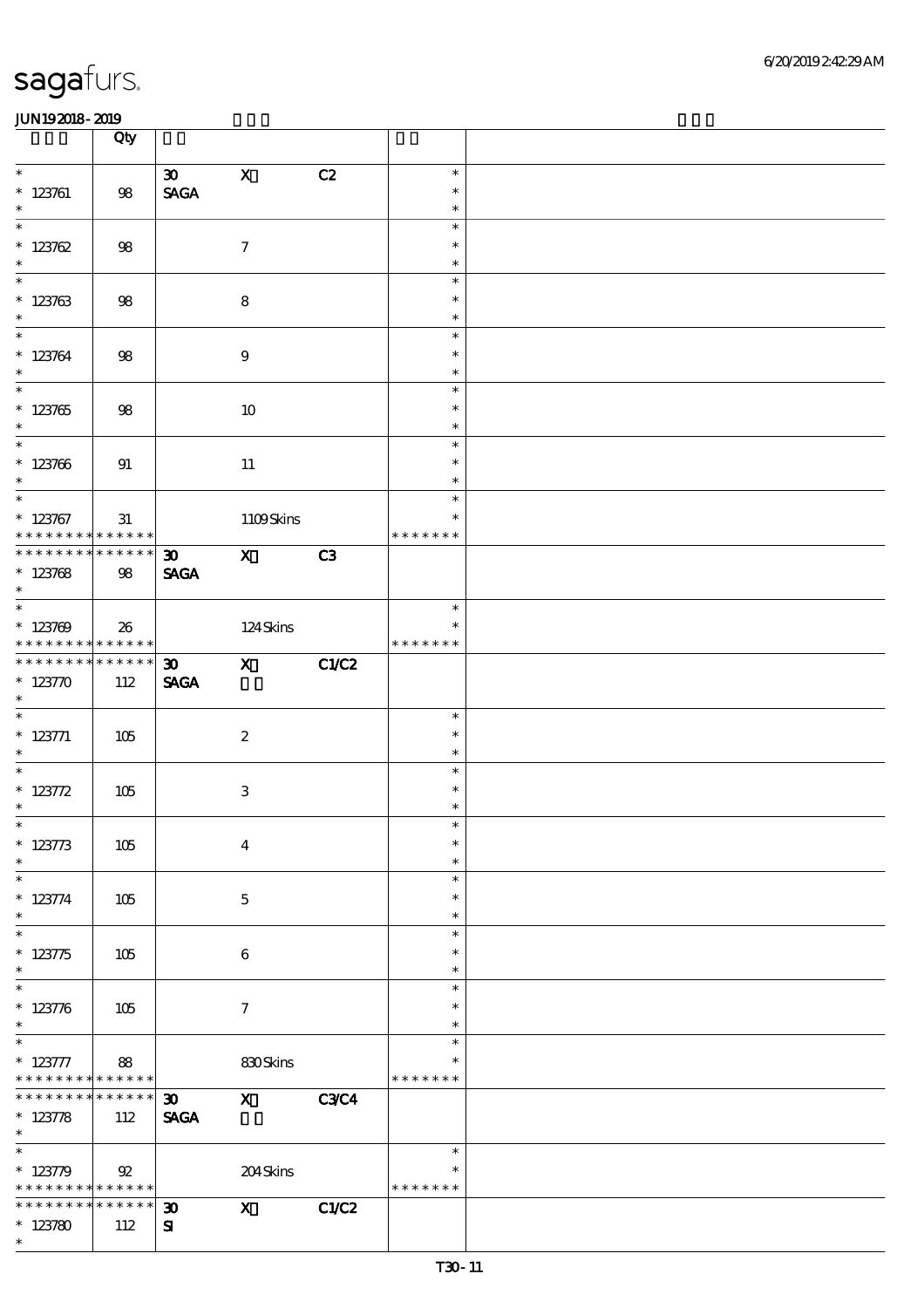|                                                                              | Qty                   |                                            |                           |             |                                   |  |
|------------------------------------------------------------------------------|-----------------------|--------------------------------------------|---------------------------|-------------|-----------------------------------|--|
| $\ast$<br>$* 123761$<br>$\ast$                                               | $98\,$                | $\infty$<br>$\operatorname{\mathsf{SAGA}}$ | $\mathbf x$               | C2          | $\ast$<br>$\ast$<br>$\ast$        |  |
| $\overline{\ast}$<br>$* 123762$<br>$\ast$                                    | 98                    |                                            | $\boldsymbol{\tau}$       |             | $\ast$<br>$\ast$<br>$\ast$        |  |
| $\overline{\ast}$<br>* 123763                                                | 98                    |                                            | $\bf 8$                   |             | $\ast$<br>$\ast$<br>$\ast$        |  |
| $\overline{\phantom{0}}$<br>* 123764                                         | 98                    |                                            | $\bf{9}$                  |             | $\ast$<br>$\ast$<br>$\ast$        |  |
| $\overline{\phantom{0}}$<br>$* 123765$<br>$\ast$                             | 98                    |                                            | $10\,$                    |             | $\ast$<br>$\ast$<br>$\ast$        |  |
| $* 123766$<br>$\ast$                                                         | 91                    |                                            | 11                        |             | $\ast$<br>$\ast$<br>$\ast$        |  |
| $\overline{\ast}$<br>$* 123767$<br>* * * * * * * *                           | 31<br>$* * * * * * *$ |                                            | 1109Skins                 |             | $\ast$<br>$\ast$<br>* * * * * * * |  |
| * * * * * * * *<br>$*123768$<br>$\ast$                                       | ******<br>98          | $\boldsymbol{\mathfrak{D}}$<br><b>SAGA</b> | $\mathbf{x}$              | C3          |                                   |  |
| $\overline{\ast}$<br>$*123709$<br>* * * * * * * * <mark>* * * * * * *</mark> | 26                    |                                            | 124Skins                  |             | $\ast$<br>* * * * * * *           |  |
| * * * * * * * *<br>$* 123770$<br>$\ast$                                      | $******$<br>112       | $\boldsymbol{\mathfrak{D}}$<br><b>SAGA</b> | $\mathbf{x}$              | C1/C2       |                                   |  |
| * $123771$<br>$\ast$                                                         | 105                   |                                            | $\boldsymbol{2}$          |             | $\ast$<br>$\ast$<br>$\ast$        |  |
| $\overline{\ast}$<br>* $123772$<br>$\ast$                                    | 105                   |                                            | $\ensuremath{\mathbf{3}}$ |             | $\ast$<br>$\ast$<br>$\ast$        |  |
| $*$<br>$* 123773$<br>$\ast$                                                  | 105                   |                                            | $\boldsymbol{4}$          |             | $\ast$<br>$\ast$<br>$\ast$        |  |
| $\ast$<br>$* 123774$<br>$\ast$<br>$\overline{\ast}$                          | 105                   |                                            | $\mathbf{5}$              |             | $\ast$<br>$\ast$<br>$\ast$        |  |
| $* 123775$<br>$\ast$<br>$\ast$                                               | 105                   |                                            | 6                         |             | $\ast$<br>$\ast$<br>$\ast$        |  |
| $* 123776$<br>$\ast$<br>$\overline{\ast}$                                    | 105                   |                                            | $\boldsymbol{7}$          |             | $\ast$<br>$\ast$<br>$\ast$        |  |
| $* 123777$<br>* * * * * * * *                                                | 88<br>$* * * * * * *$ |                                            | 830Skins                  |             | $\ast$<br>$\ast$<br>* * * * * * * |  |
| * * * * * * *<br>$* 123778$<br>$\ast$                                        | ******<br>112         | $\boldsymbol{\mathfrak{D}}$<br><b>SAGA</b> | $\mathbf x$               | <b>C3C4</b> |                                   |  |
| $\ast$<br>$* 123779$<br>* * * * * * * * * * * * * *                          | 92                    |                                            | 204Skins                  |             | $\ast$<br>∗<br>* * * * * * *      |  |
| * * * * * * *<br>$*123780$<br>$\ast$                                         | * * * * * *<br>112    | $\boldsymbol{\mathfrak{D}}$<br>${\bf s}$   | $\mathbf{x}$              | C1/C2       |                                   |  |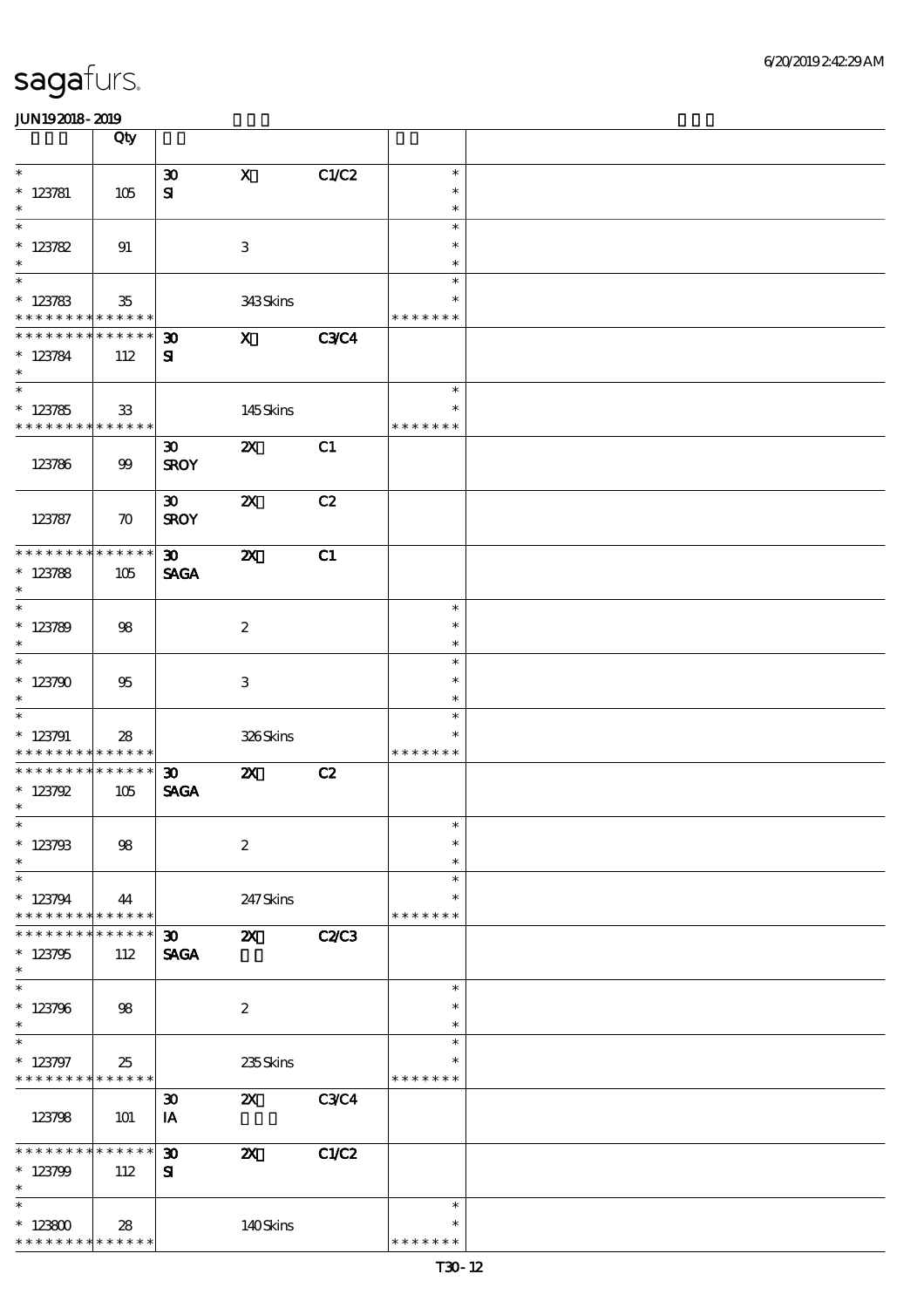|                                                                         | Qty                |                                            |                           |              |                                   |  |
|-------------------------------------------------------------------------|--------------------|--------------------------------------------|---------------------------|--------------|-----------------------------------|--|
| $\ast$<br>$* 123781$<br>$\ast$                                          | 105                | $\boldsymbol{\mathfrak{D}}$<br>${\bf s}$   | $\mathbf X$               | C1/C2        | $\ast$<br>$\ast$<br>$\ast$        |  |
| $\ast$<br>$* 123782$<br>$\ast$                                          | 91                 |                                            | $\,3$                     |              | $\ast$<br>$\ast$<br>$\ast$        |  |
| $\ast$<br>$*123783$<br>* * * * * * * * * * * * * *                      | 35                 |                                            | 343Skins                  |              | $\ast$<br>$\ast$<br>* * * * * * * |  |
| * * * * * * * *<br>$* 123784$<br>$\ast$                                 | * * * * * *<br>112 | $\boldsymbol{\mathfrak{D}}$<br>${\bf s}$   | $\mathbf{x}$              | <b>C3C4</b>  |                                   |  |
| $\overline{\phantom{0}}$<br>$* 123785$<br>* * * * * * * * * * * * * * * | $33\,$             |                                            | 145Skins                  |              | $\ast$<br>$\ast$<br>* * * * * * * |  |
| 123786                                                                  | 99                 | $\boldsymbol{\mathfrak{D}}$<br><b>SROY</b> | $\boldsymbol{\mathsf{z}}$ | C1           |                                   |  |
| 123787                                                                  | $\boldsymbol{\pi}$ | $\boldsymbol{\mathfrak{D}}$<br><b>SROY</b> | $\boldsymbol{\mathsf{z}}$ | C2           |                                   |  |
| * * * * * * * * * * * * * *<br>$* 123788$<br>$\ast$                     | 105                | 30 <sub>1</sub><br><b>SAGA</b>             | $\boldsymbol{\mathsf{z}}$ | C1           |                                   |  |
| $\overline{\phantom{0}}$<br>$* 123789$<br>$\ast$                        | $98$               |                                            | $\boldsymbol{2}$          |              | $\ast$<br>$\ast$<br>$\ast$        |  |
| $\ast$<br>$*123790$<br>$\ast$                                           | 95                 |                                            | 3                         |              | $\ast$<br>$\ast$<br>$\ast$        |  |
| $\ast$<br>$* 123791$<br>* * * * * * * * <mark>* * * * * * *</mark>      | 28                 |                                            | 326Skins                  |              | $\ast$<br>$\ast$<br>* * * * * * * |  |
| * * * * * * * * * * * * * *<br>$* 123792$<br>$\ast$                     | 105                | $\boldsymbol{\mathfrak{D}}$<br><b>SAGA</b> | $\boldsymbol{\mathsf{z}}$ | C2           |                                   |  |
| $*$<br>$* 123793$<br>$\ast$                                             | $98$               |                                            | $\boldsymbol{2}$          |              | $\ast$<br>$\ast$<br>$\ast$        |  |
| $\ast$<br>$* 123794$<br>* * * * * * * *                                 | 44<br>* * * * * *  |                                            | 247Skins                  |              | $\ast$<br>$\ast$<br>* * * * * * * |  |
| * * * * * * *<br>$*123795$<br>$\ast$                                    | * * * * * *<br>112 | $\boldsymbol{\mathfrak{D}}$<br><b>SAGA</b> | $\boldsymbol{\mathsf{z}}$ | <b>C2/C3</b> |                                   |  |
| $\ast$<br>$* 123796$<br>$\ast$                                          | 98                 |                                            | $\boldsymbol{2}$          |              | $\ast$<br>$\ast$<br>$\ast$        |  |
| $\ast$<br>$* 123797$<br>* * * * * * * * * * * * * *                     | 25                 |                                            | 235Skins                  |              | $\ast$<br>$\ast$<br>* * * * * * * |  |
| 123798                                                                  | 101                | $\boldsymbol{\mathfrak{D}}$<br>IA          | $\boldsymbol{\mathsf{Z}}$ | <b>C3C4</b>  |                                   |  |
| * * * * * * * *<br>$*123799$<br>$\ast$                                  | * * * * * *<br>112 | $\boldsymbol{\mathfrak{D}}$<br>${\bf s}$   | $\boldsymbol{\mathsf{z}}$ | <b>C1/C2</b> |                                   |  |
| $\ast$<br>$*123800$<br>* * * * * * * * <mark>* * * * * * *</mark>       | 28                 |                                            | 140Skins                  |              | $\ast$<br>$\ast$<br>* * * * * * * |  |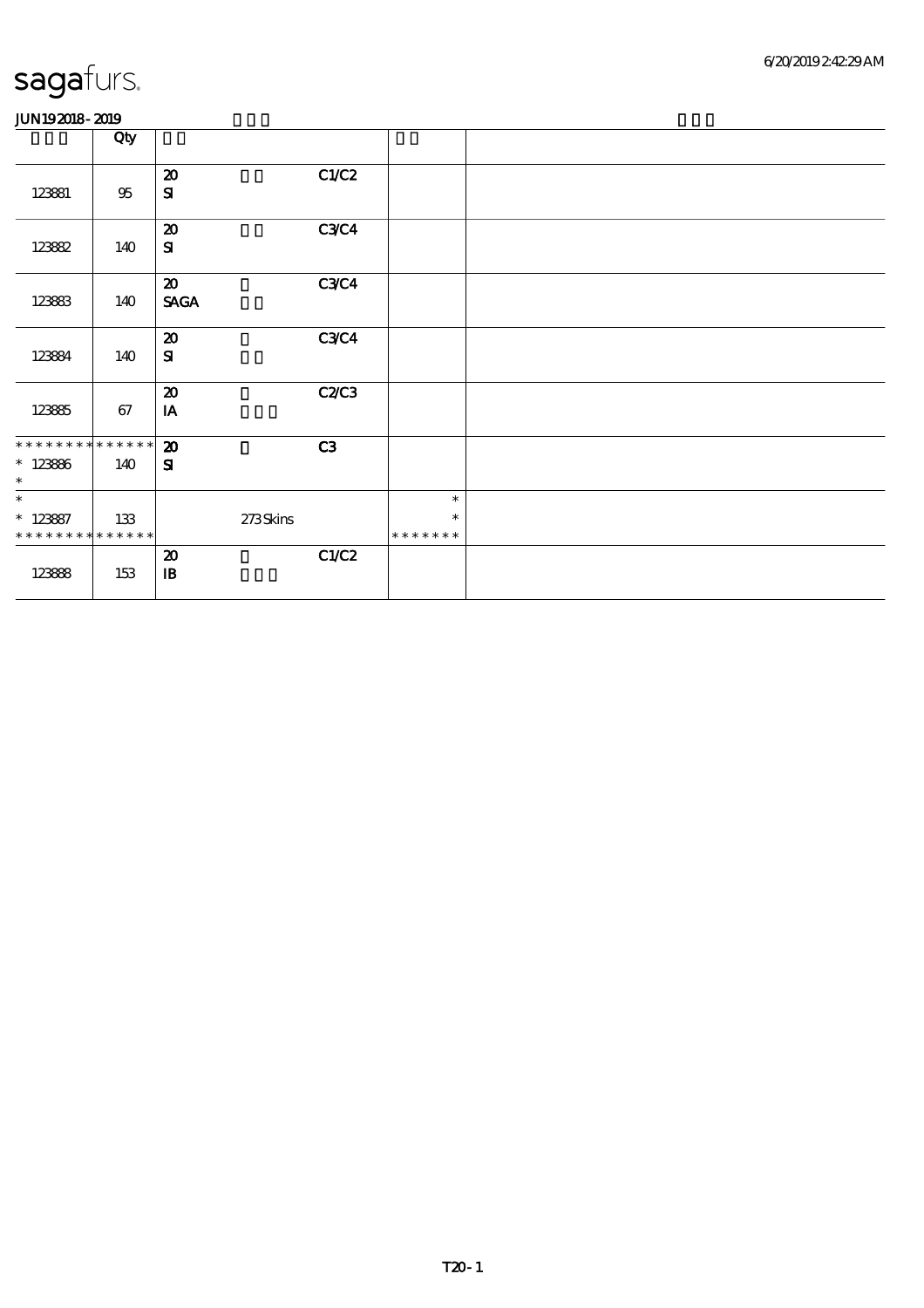|                                          | Qty    |                                                          |             |                         |  |
|------------------------------------------|--------|----------------------------------------------------------|-------------|-------------------------|--|
| 123881                                   | $95\,$ | $\boldsymbol{\mathfrak{D}}$<br>${\bf S}$                 | C1/C2       |                         |  |
| 123882                                   | 140    | $\boldsymbol{\mathbf{z}}$<br>${\bf s}$                   | <b>C3C4</b> |                         |  |
| 123833                                   | 140    | $\boldsymbol{\mathfrak{D}}$<br><b>SAGA</b>               | C3C4        |                         |  |
| 123884                                   | 140    | $\boldsymbol{\mathfrak{D}}$<br>${\bf s}$                 | <b>C3C4</b> |                         |  |
| 123885                                   | 67     | $\boldsymbol{\mathfrak{D}}$<br>$\mathbf{I}\mathbf{A}$    | C2C3        |                         |  |
| * * * * * * * * * * * * * * *            |        | $\boldsymbol{\mathbf{z}}$                                | C3          |                         |  |
| $* 123866$<br>$\ast$                     | 140    | $\mathbf{S}$                                             |             |                         |  |
| $\ast$                                   |        |                                                          |             | $\ast$                  |  |
| $*123887$<br>* * * * * * * * * * * * * * | 133    | 273Skins                                                 |             | $\ast$<br>* * * * * * * |  |
| 12388                                    | 153    | $\boldsymbol{\mathsf{20}}$<br>$\, {\bf I} \! {\bf B} \,$ | C1/C2       |                         |  |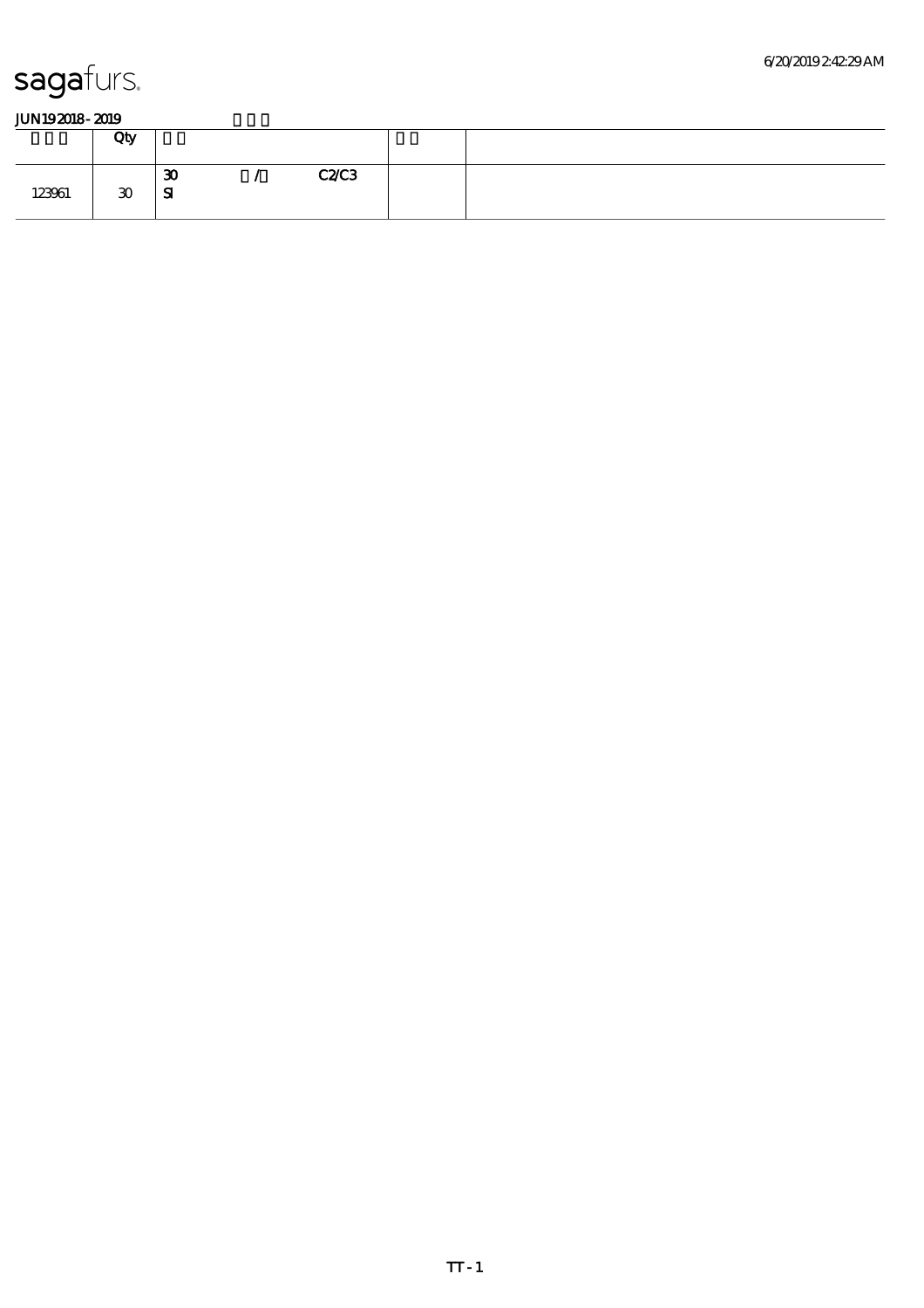|        | Qty            |                                          |      |  |
|--------|----------------|------------------------------------------|------|--|
| 123961 | $\mathfrak{D}$ | $\boldsymbol{\mathfrak{D}}$<br>${\bf s}$ | C2C3 |  |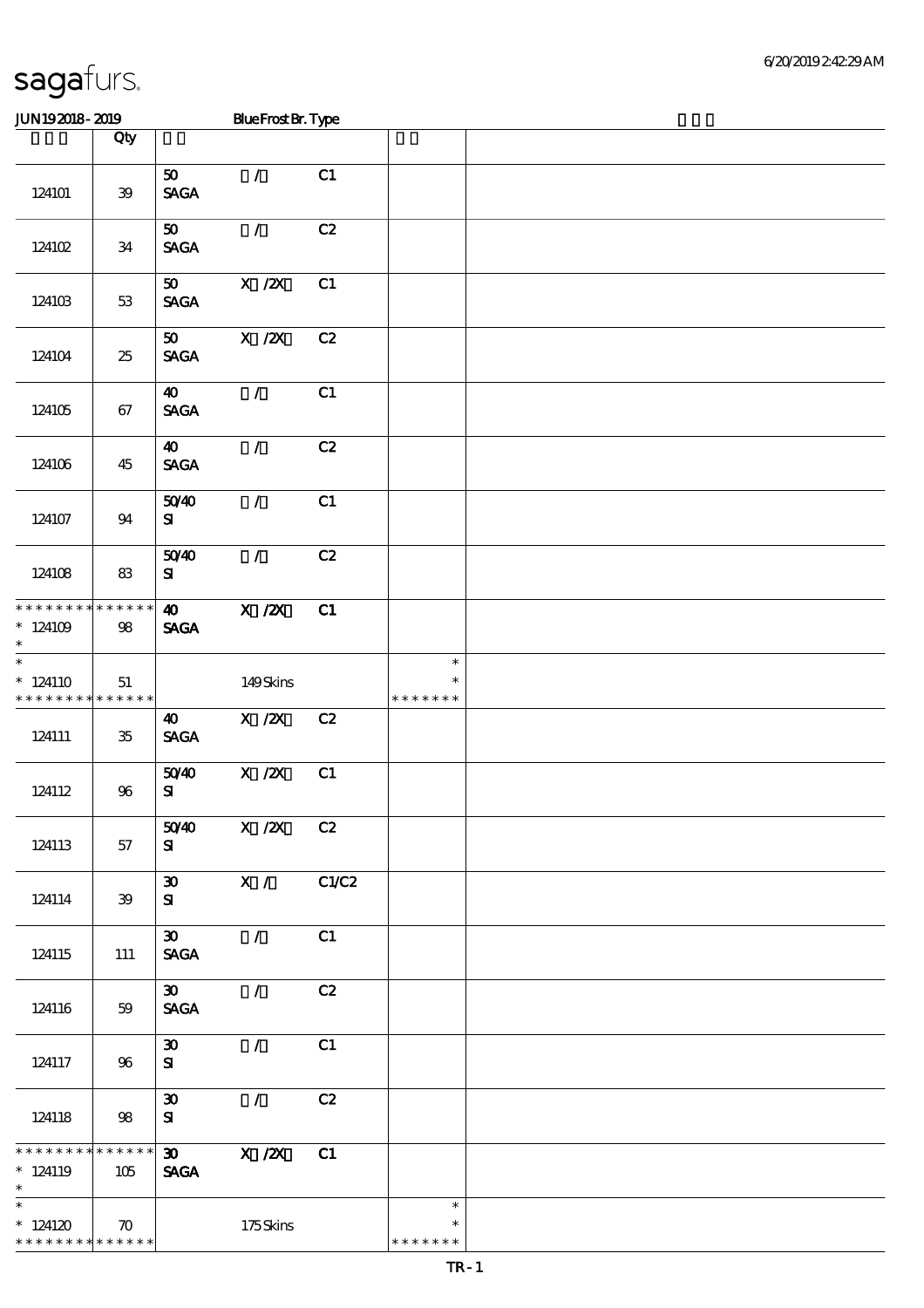| JUN192018-2019                                                                      |                       |                                                               | <b>BlueFrost Br. Type</b>                                                    |       |                                   |  |
|-------------------------------------------------------------------------------------|-----------------------|---------------------------------------------------------------|------------------------------------------------------------------------------|-------|-----------------------------------|--|
|                                                                                     | Qty                   |                                                               |                                                                              |       |                                   |  |
| 124101                                                                              | 39                    | 50<br><b>SAGA</b>                                             | $\mathcal{L}$                                                                | C1    |                                   |  |
| 12410 <sub>2</sub>                                                                  | 34                    | 50<br><b>SAGA</b>                                             | $\mathcal{L}$                                                                | C2    |                                   |  |
| 124103                                                                              | 53                    | $\boldsymbol{\mathfrak{D}}$<br>$\operatorname{\mathsf{SAGA}}$ | $\boldsymbol{\mathrm{X}}$ / $\boldsymbol{\mathrm{Z}}\boldsymbol{\mathrm{X}}$ | C1    |                                   |  |
| 124104                                                                              | 25                    | 50 <sub>o</sub><br><b>SAGA</b>                                | $X$ / $ZX$                                                                   | C2    |                                   |  |
| 124105                                                                              | 67                    | $\boldsymbol{\omega}$<br><b>SAGA</b>                          | $\mathcal{L}$                                                                | C1    |                                   |  |
| 124106                                                                              | 45                    | 40<br><b>SAGA</b>                                             | $\mathcal{L}$                                                                | C2    |                                   |  |
| 124107                                                                              | 94                    | 5040<br>${\bf s}$                                             | $\mathcal{L}$                                                                | C1    |                                   |  |
| 124108                                                                              | 83                    | 5040<br>${\bf s}$                                             | $\mathcal{L}$                                                                | C2    |                                   |  |
| * * * * * * * * * * * * * *<br>$^*$ 124109 $\,$<br>$\ast$                           | 98                    | $\boldsymbol{\omega}$<br><b>SAGA</b>                          | $X$ / $ZX$                                                                   | C1    |                                   |  |
| $\ast$<br>$*124110$<br>* * * * * * * *                                              | 51<br>$* * * * * * *$ |                                                               | 149Skins                                                                     |       | $\ast$<br>$\ast$<br>* * * * * * * |  |
| 124111                                                                              | $35\,$                | 40<br><b>SAGA</b>                                             | $X \, /ZX$                                                                   | C2    |                                   |  |
| 124112                                                                              | 96                    | 5040<br>${\bf s}$                                             | $X$ / $ZX$                                                                   | C1    |                                   |  |
| 124113                                                                              | $57\,$                | 5040<br>${\bf s}$                                             | $X$ / $ZX$                                                                   | C2    |                                   |  |
| 124114                                                                              | 39                    | $\boldsymbol{\mathfrak{D}}$<br>${\bf s}$                      | $X / \sqrt{2}$                                                               | C1/C2 |                                   |  |
| 124115                                                                              | 111                   | $\boldsymbol{\mathfrak{D}}$<br><b>SAGA</b>                    | $\mathcal{L}$                                                                | C1    |                                   |  |
| 124116                                                                              | 59                    | $\boldsymbol{\mathfrak{D}}$<br><b>SAGA</b>                    | $\mathcal{L}$                                                                | C2    |                                   |  |
| 124117                                                                              | 96                    | $\boldsymbol{\mathfrak{D}}$<br>${\bf s}$                      | $\mathcal{T}$                                                                | C1    |                                   |  |
| 124118                                                                              | 98                    | $\pmb{\mathfrak{D}}$<br>${\bf s}$                             | $\mathcal{L}$                                                                | C2    |                                   |  |
| * * * * * * * *<br>$*124119$<br>$\ast$                                              | * * * * * *<br>105    | $\boldsymbol{\mathfrak{D}}$<br><b>SAGA</b>                    | X / ZX                                                                       | C1    |                                   |  |
| $\overline{\phantom{0}}$<br>$*124120$<br>* * * * * * * * <mark>* * * * * * *</mark> | $\boldsymbol{\pi}$    |                                                               | 175Skins                                                                     |       | $\ast$<br>$\ast$<br>* * * * * * * |  |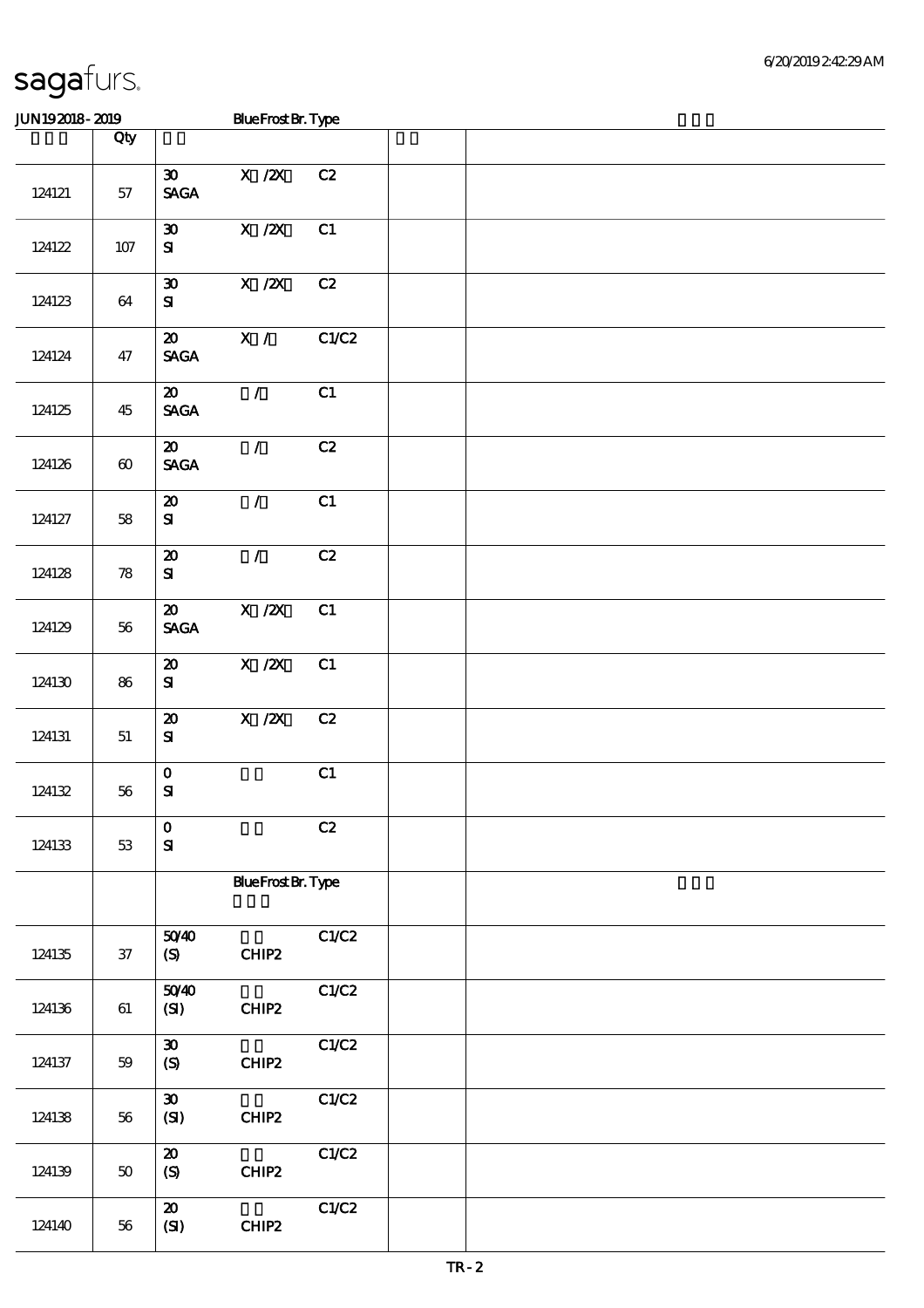| <b>JUN192018-2019</b> |                       |                                                               | <b>BlueFrost Br. Type</b>                                                                      |       |  |
|-----------------------|-----------------------|---------------------------------------------------------------|------------------------------------------------------------------------------------------------|-------|--|
|                       | Qty                   |                                                               |                                                                                                |       |  |
| 124121                | 57                    | $\boldsymbol{\mathfrak{D}}$<br>$\operatorname{\mathsf{SAGA}}$ | X / ZX                                                                                         | C2    |  |
| 124122                | $107$                 | $\pmb{\mathfrak{D}}$<br>$\mathbf{S}$                          | X / ZX                                                                                         | C1    |  |
| 124123                | 64                    | $\pmb{\mathfrak{D}}$<br>${\bf s}$                             | $X$ / $ZX$                                                                                     | C2    |  |
| 124124                | 47                    | $\boldsymbol{\mathfrak{D}}$<br>$\operatorname{\mathsf{SAGA}}$ | X /                                                                                            | C1/C2 |  |
| 124125                | 45                    | $\boldsymbol{\mathfrak{D}}$<br>$\ensuremath{\mathsf{SAGA}}$   | $\mathcal{L}$                                                                                  | C1    |  |
| 124126                | $\boldsymbol{\omega}$ | $\boldsymbol{\mathfrak{D}}$<br>$\operatorname{\mathsf{SAGA}}$ | $\mathcal{L}$                                                                                  | C2    |  |
| 124127                | $5\!8$                | $\pmb{\mathcal{X}}$<br>$\mathbf{S}$                           | $\mathcal{L}$                                                                                  | C1    |  |
| 124128                | ${\bf 78}$            | $\boldsymbol{\mathfrak{D}}$<br>${\bf S}$                      | $\mathcal{L}$                                                                                  | C2    |  |
| 124129                | 56                    | ${\bf Z}$<br><b>SAGA</b>                                      | $\boldsymbol{\mathrm{X}}$ / <b><math>\boldsymbol{\mathrm{Z}}\boldsymbol{\mathrm{X}}</math></b> | C1    |  |
| 124130                | ${\bf 86}$            | $\pmb{\mathcal{Z}}$<br>$\mathbf{S}$                           | $X$ / $ZX$                                                                                     | C1    |  |
| 124131                | 51                    | $\boldsymbol{\mathbf{z}}$<br>${\bf s}$                        | $X \, /ZX$                                                                                     | C2    |  |
| 124132                | $56\,$                | $\mathbf 0$<br>${\bf S}$                                      |                                                                                                | C1    |  |
| 124133                | $5\!3$                | $\mathbf{o}$<br>${\bf S}$                                     |                                                                                                | C2    |  |
|                       |                       |                                                               | <b>BlueFrost Br. Type</b>                                                                      |       |  |
| 124135                | $37\,$                | 5040<br>$\boldsymbol{\mathrm{(S)}}$                           | CHIP2                                                                                          | C1/C2 |  |
| 124136                | 61                    | 5040<br>(SI)                                                  | CHIP2                                                                                          | C1/C2 |  |
| 124137                | $59$                  | $\boldsymbol{\mathfrak{D}}$<br>$\boldsymbol{S}$               | CHIP2                                                                                          | C1/C2 |  |
| 124138                | 56                    | $\boldsymbol{\mathfrak{D}}$<br>(SI)                           | CHIP2                                                                                          | C1/C2 |  |
| 124139                | 50                    | ${\bf Z}$<br>(S)                                              | CHIP2                                                                                          | C1/C2 |  |
| 124140                | $5\!6$                | ${\bf Z}$<br>(SI)                                             | $CHIP2$                                                                                        | C1/C2 |  |